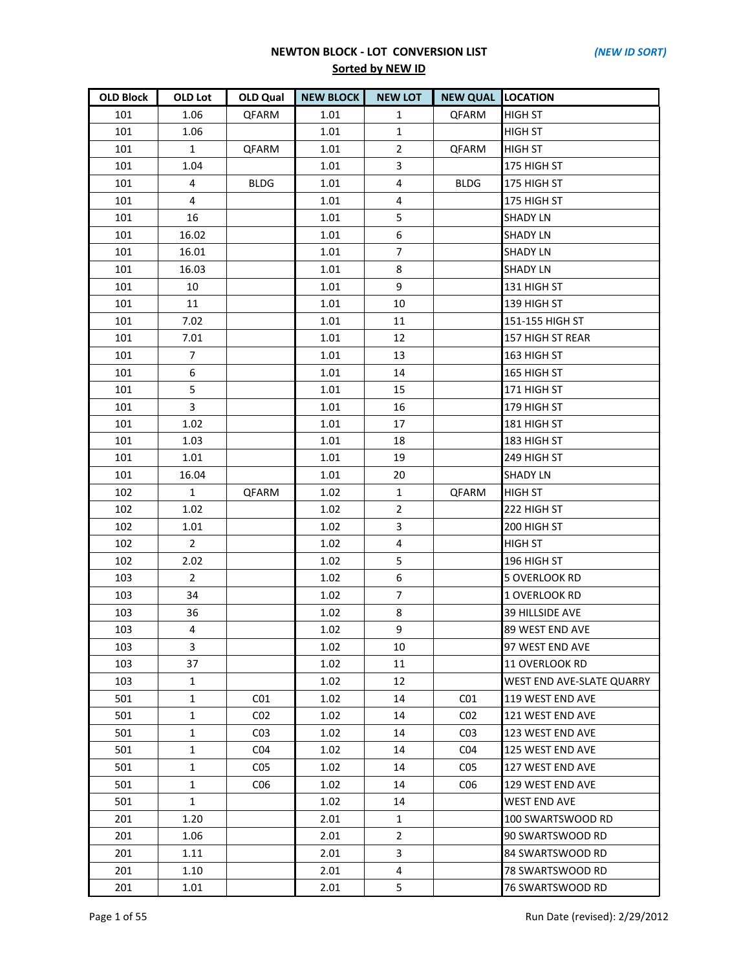| <b>OLD Block</b> | OLD Lot        | OLD Qual        | <b>NEW BLOCK</b> | <b>NEW LOT</b> | <b>NEW QUAL LOCATION</b> |                           |
|------------------|----------------|-----------------|------------------|----------------|--------------------------|---------------------------|
| 101              | 1.06           | QFARM           | 1.01             | $\mathbf{1}$   | QFARM                    | <b>HIGH ST</b>            |
| 101              | 1.06           |                 | 1.01             | $\mathbf{1}$   |                          | <b>HIGH ST</b>            |
| 101              | $\mathbf{1}$   | QFARM           | 1.01             | $\overline{2}$ | <b>QFARM</b>             | <b>HIGH ST</b>            |
| 101              | 1.04           |                 | 1.01             | 3              |                          | 175 HIGH ST               |
| 101              | 4              | <b>BLDG</b>     | 1.01             | 4              | <b>BLDG</b>              | 175 HIGH ST               |
| 101              | 4              |                 | 1.01             | 4              |                          | 175 HIGH ST               |
| 101              | 16             |                 | 1.01             | 5              |                          | <b>SHADY LN</b>           |
| 101              | 16.02          |                 | 1.01             | 6              |                          | <b>SHADY LN</b>           |
| 101              | 16.01          |                 | 1.01             | $\overline{7}$ |                          | <b>SHADY LN</b>           |
| 101              | 16.03          |                 | 1.01             | 8              |                          | <b>SHADY LN</b>           |
| 101              | 10             |                 | 1.01             | 9              |                          | 131 HIGH ST               |
| 101              | 11             |                 | 1.01             | 10             |                          | 139 HIGH ST               |
| 101              | 7.02           |                 | 1.01             | 11             |                          | 151-155 HIGH ST           |
| 101              | 7.01           |                 | 1.01             | 12             |                          | 157 HIGH ST REAR          |
| 101              | $\overline{7}$ |                 | 1.01             | 13             |                          | 163 HIGH ST               |
| 101              | 6              |                 | 1.01             | 14             |                          | 165 HIGH ST               |
| 101              | 5              |                 | 1.01             | 15             |                          | 171 HIGH ST               |
| 101              | 3              |                 | 1.01             | 16             |                          | 179 HIGH ST               |
| 101              | 1.02           |                 | 1.01             | 17             |                          | 181 HIGH ST               |
| 101              | 1.03           |                 | 1.01             | 18             |                          | 183 HIGH ST               |
| 101              | 1.01           |                 | 1.01             | 19             |                          | 249 HIGH ST               |
| 101              | 16.04          |                 | 1.01             | 20             |                          | <b>SHADY LN</b>           |
| 102              | $\mathbf{1}$   | QFARM           | 1.02             | $\mathbf{1}$   | QFARM                    | <b>HIGH ST</b>            |
| 102              | 1.02           |                 | 1.02             | $\overline{2}$ |                          | 222 HIGH ST               |
| 102              | 1.01           |                 | 1.02             | 3              |                          | 200 HIGH ST               |
| 102              | $\overline{2}$ |                 | 1.02             | $\overline{4}$ |                          | <b>HIGH ST</b>            |
| 102              | 2.02           |                 | 1.02             | 5              |                          | 196 HIGH ST               |
| 103              | $\overline{2}$ |                 | 1.02             | 6              |                          | 5 OVERLOOK RD             |
| 103              | 34             |                 | 1.02             | $\overline{7}$ |                          | 1 OVERLOOK RD             |
| 103              | 36             |                 | 1.02             | 8              |                          | 39 HILLSIDE AVE           |
| 103              | $\overline{4}$ |                 | 1.02             | 9              |                          | 89 WEST END AVE           |
| 103              | 3              |                 | 1.02             | 10             |                          | 97 WEST END AVE           |
| 103              | 37             |                 | 1.02             | 11             |                          | 11 OVERLOOK RD            |
| 103              | 1              |                 | 1.02             | 12             |                          | WEST END AVE-SLATE QUARRY |
| 501              | $\mathbf{1}$   | CO1             | 1.02             | 14             | CO <sub>1</sub>          | 119 WEST END AVE          |
| 501              | $\mathbf{1}$   | CO <sub>2</sub> | 1.02             | 14             | CO <sub>2</sub>          | 121 WEST END AVE          |
| 501              | $\mathbf{1}$   | CO <sub>3</sub> | 1.02             | 14             | CO <sub>3</sub>          | 123 WEST END AVE          |
| 501              | 1              | CO <sub>4</sub> | 1.02             | 14             | CO <sub>4</sub>          | 125 WEST END AVE          |
| 501              | $\mathbf{1}$   | CO <sub>5</sub> | 1.02             | 14             | CO <sub>5</sub>          | 127 WEST END AVE          |
| 501              | $\mathbf{1}$   | C <sub>06</sub> | 1.02             | 14             | C <sub>06</sub>          | 129 WEST END AVE          |
| 501              | $\mathbf{1}$   |                 | 1.02             | 14             |                          | <b>WEST END AVE</b>       |
| 201              | 1.20           |                 | 2.01             | 1              |                          | 100 SWARTSWOOD RD         |
| 201              | 1.06           |                 | 2.01             | $\overline{2}$ |                          | 90 SWARTSWOOD RD          |
| 201              | 1.11           |                 | 2.01             | 3              |                          | 84 SWARTSWOOD RD          |
| 201              | 1.10           |                 | 2.01             | 4              |                          | 78 SWARTSWOOD RD          |
| 201              | 1.01           |                 | 2.01             | 5              |                          | 76 SWARTSWOOD RD          |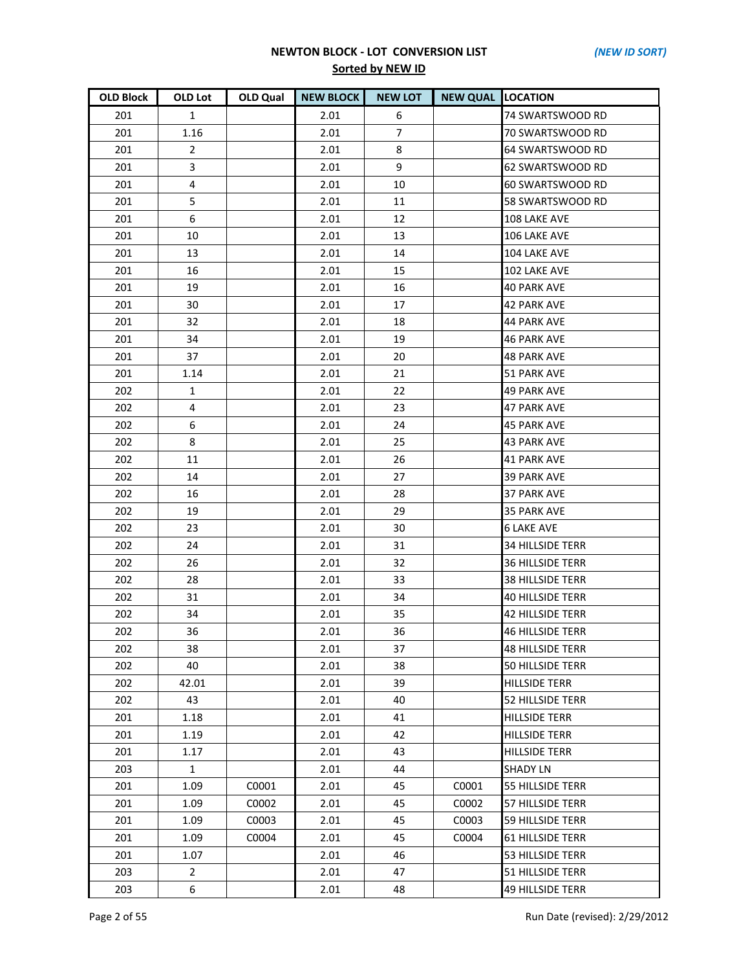| <b>OLD Block</b> | OLD Lot        | <b>OLD Qual</b> | <b>NEW BLOCK</b> | <b>NEW LOT</b> | <b>NEW QUAL LOCATION</b> |                         |
|------------------|----------------|-----------------|------------------|----------------|--------------------------|-------------------------|
| 201              | $\mathbf{1}$   |                 | 2.01             | 6              |                          | 74 SWARTSWOOD RD        |
| 201              | 1.16           |                 | 2.01             | $\overline{7}$ |                          | 70 SWARTSWOOD RD        |
| 201              | $\overline{2}$ |                 | 2.01             | 8              |                          | 64 SWARTSWOOD RD        |
| 201              | 3              |                 | 2.01             | 9              |                          | 62 SWARTSWOOD RD        |
| 201              | 4              |                 | 2.01             | 10             |                          | 60 SWARTSWOOD RD        |
| 201              | 5              |                 | 2.01             | 11             |                          | 58 SWARTSWOOD RD        |
| 201              | 6              |                 | 2.01             | 12             |                          | 108 LAKE AVE            |
| 201              | 10             |                 | 2.01             | 13             |                          | 106 LAKE AVE            |
| 201              | 13             |                 | 2.01             | 14             |                          | 104 LAKE AVE            |
| 201              | 16             |                 | 2.01             | 15             |                          | 102 LAKE AVE            |
| 201              | 19             |                 | 2.01             | 16             |                          | <b>40 PARK AVE</b>      |
| 201              | 30             |                 | 2.01             | 17             |                          | <b>42 PARK AVE</b>      |
| 201              | 32             |                 | 2.01             | 18             |                          | <b>44 PARK AVE</b>      |
| 201              | 34             |                 | 2.01             | 19             |                          | <b>46 PARK AVE</b>      |
| 201              | 37             |                 | 2.01             | 20             |                          | <b>48 PARK AVE</b>      |
| 201              | 1.14           |                 | 2.01             | 21             |                          | 51 PARK AVE             |
| 202              | 1              |                 | 2.01             | 22             |                          | 49 PARK AVE             |
| 202              | $\overline{4}$ |                 | 2.01             | 23             |                          | <b>47 PARK AVE</b>      |
| 202              | 6              |                 | 2.01             | 24             |                          | <b>45 PARK AVE</b>      |
| 202              | 8              |                 | 2.01             | 25             |                          | <b>43 PARK AVE</b>      |
| 202              | 11             |                 | 2.01             | 26             |                          | <b>41 PARK AVE</b>      |
| 202              | 14             |                 | 2.01             | 27             |                          | <b>39 PARK AVE</b>      |
| 202              | 16             |                 | 2.01             | 28             |                          | 37 PARK AVE             |
| 202              | 19             |                 | 2.01             | 29             |                          | <b>35 PARK AVE</b>      |
| 202              | 23             |                 | 2.01             | 30             |                          | <b>6 LAKE AVE</b>       |
| 202              | 24             |                 | 2.01             | 31             |                          | <b>34 HILLSIDE TERR</b> |
| 202              | 26             |                 | 2.01             | 32             |                          | <b>36 HILLSIDE TERR</b> |
| 202              | 28             |                 | 2.01             | 33             |                          | <b>38 HILLSIDE TERR</b> |
| 202              | 31             |                 | 2.01             | 34             |                          | <b>40 HILLSIDE TERR</b> |
| 202              | 34             |                 | 2.01             | 35             |                          | <b>42 HILLSIDE TERR</b> |
| 202              | 36             |                 | 2.01             | 36             |                          | <b>46 HILLSIDE TERR</b> |
| 202              | 38             |                 | 2.01             | 37             |                          | <b>48 HILLSIDE TERR</b> |
| 202              | 40             |                 | 2.01             | 38             |                          | <b>50 HILLSIDE TERR</b> |
| 202              | 42.01          |                 | 2.01             | 39             |                          | <b>HILLSIDE TERR</b>    |
| 202              | 43             |                 | 2.01             | 40             |                          | <b>52 HILLSIDE TERR</b> |
| 201              | 1.18           |                 | 2.01             | 41             |                          | <b>HILLSIDE TERR</b>    |
| 201              | 1.19           |                 | 2.01             | 42             |                          | <b>HILLSIDE TERR</b>    |
| 201              | 1.17           |                 | 2.01             | 43             |                          | <b>HILLSIDE TERR</b>    |
| 203              | $\mathbf{1}$   |                 | 2.01             | 44             |                          | <b>SHADY LN</b>         |
| 201              | 1.09           | C0001           | 2.01             | 45             | C0001                    | <b>55 HILLSIDE TERR</b> |
| 201              | 1.09           | C0002           | 2.01             | 45             | C0002                    | 57 HILLSIDE TERR        |
| 201              | 1.09           | C0003           | 2.01             | 45             | C0003                    | <b>59 HILLSIDE TERR</b> |
| 201              | 1.09           | C0004           | 2.01             | 45             | C0004                    | <b>61 HILLSIDE TERR</b> |
| 201              | 1.07           |                 | 2.01             | 46             |                          | <b>53 HILLSIDE TERR</b> |
| 203              | $\overline{2}$ |                 | 2.01             | 47             |                          | 51 HILLSIDE TERR        |
| 203              | 6              |                 | 2.01             | 48             |                          | <b>49 HILLSIDE TERR</b> |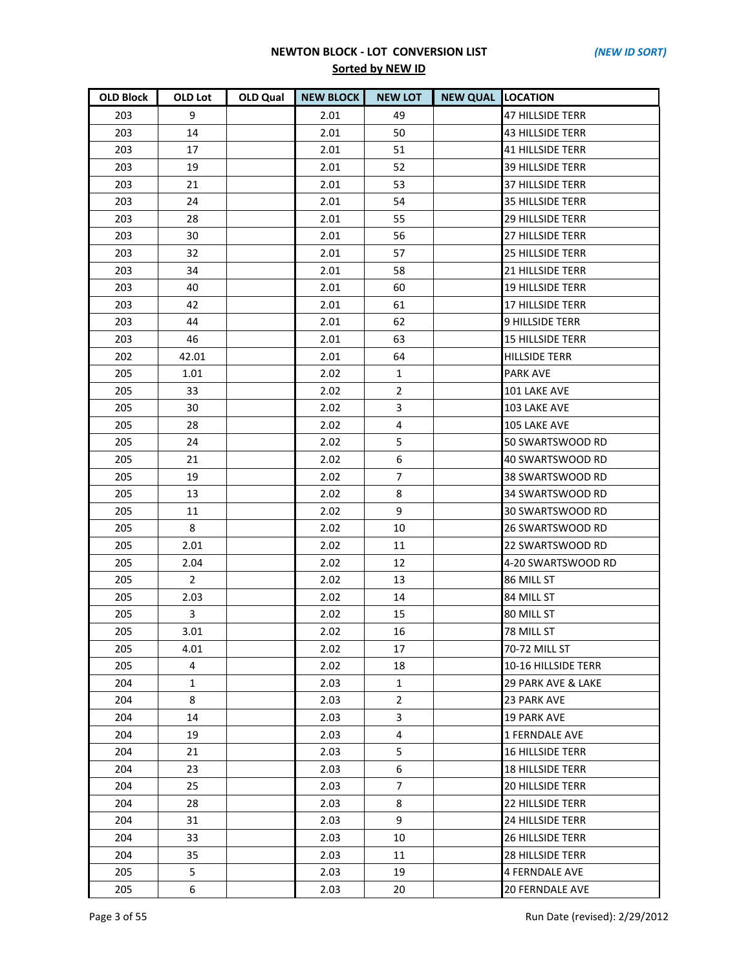| <b>OLD Block</b> | OLD Lot        | <b>OLD Qual</b> | <b>NEW BLOCK</b> | <b>NEW LOT</b> | <b>NEW QUAL LOCATION</b> |                         |
|------------------|----------------|-----------------|------------------|----------------|--------------------------|-------------------------|
| 203              | 9              |                 | 2.01             | 49             |                          | <b>47 HILLSIDE TERR</b> |
| 203              | 14             |                 | 2.01             | 50             |                          | <b>43 HILLSIDE TERR</b> |
| 203              | 17             |                 | 2.01             | 51             |                          | <b>41 HILLSIDE TERR</b> |
| 203              | 19             |                 | 2.01             | 52             |                          | <b>39 HILLSIDE TERR</b> |
| 203              | 21             |                 | 2.01             | 53             |                          | <b>37 HILLSIDE TERR</b> |
| 203              | 24             |                 | 2.01             | 54             |                          | <b>35 HILLSIDE TERR</b> |
| 203              | 28             |                 | 2.01             | 55             |                          | <b>29 HILLSIDE TERR</b> |
| 203              | 30             |                 | 2.01             | 56             |                          | 27 HILLSIDE TERR        |
| 203              | 32             |                 | 2.01             | 57             |                          | <b>25 HILLSIDE TERR</b> |
| 203              | 34             |                 | 2.01             | 58             |                          | <b>21 HILLSIDE TERR</b> |
| 203              | 40             |                 | 2.01             | 60             |                          | <b>19 HILLSIDE TERR</b> |
| 203              | 42             |                 | 2.01             | 61             |                          | <b>17 HILLSIDE TERR</b> |
| 203              | 44             |                 | 2.01             | 62             |                          | 9 HILLSIDE TERR         |
| 203              | 46             |                 | 2.01             | 63             |                          | <b>15 HILLSIDE TERR</b> |
| 202              | 42.01          |                 | 2.01             | 64             |                          | <b>HILLSIDE TERR</b>    |
| 205              | 1.01           |                 | 2.02             | $\mathbf{1}$   |                          | <b>PARK AVE</b>         |
| 205              | 33             |                 | 2.02             | $\overline{2}$ |                          | 101 LAKE AVE            |
| 205              | 30             |                 | 2.02             | 3              |                          | 103 LAKE AVE            |
| 205              | 28             |                 | 2.02             | 4              |                          | 105 LAKE AVE            |
| 205              | 24             |                 | 2.02             | 5              |                          | 50 SWARTSWOOD RD        |
| 205              | 21             |                 | 2.02             | 6              |                          | 40 SWARTSWOOD RD        |
| 205              | 19             |                 | 2.02             | $\overline{7}$ |                          | 38 SWARTSWOOD RD        |
| 205              | 13             |                 | 2.02             | 8              |                          | 34 SWARTSWOOD RD        |
| 205              | 11             |                 | 2.02             | 9              |                          | 30 SWARTSWOOD RD        |
| 205              | 8              |                 | 2.02             | 10             |                          | 26 SWARTSWOOD RD        |
| 205              | 2.01           |                 | 2.02             | 11             |                          | 22 SWARTSWOOD RD        |
| 205              | 2.04           |                 | 2.02             | 12             |                          | 4-20 SWARTSWOOD RD      |
| 205              | $\overline{2}$ |                 | 2.02             | 13             |                          | 86 MILL ST              |
| 205              | 2.03           |                 | 2.02             | 14             |                          | 84 MILL ST              |
| 205              | 3              |                 | 2.02             | 15             |                          | 80 MILL ST              |
| 205              | 3.01           |                 | 2.02             | 16             |                          | 78 MILL ST              |
| 205              | 4.01           |                 | 2.02             | 17             |                          | 70-72 MILL ST           |
| 205              | 4              |                 | 2.02             | 18             |                          | 10-16 HILLSIDE TERR     |
| 204              | $\mathbf{1}$   |                 | 2.03             | $\mathbf{1}$   |                          | 29 PARK AVE & LAKE      |
| 204              | 8              |                 | 2.03             | $\overline{2}$ |                          | 23 PARK AVE             |
| 204              | 14             |                 | 2.03             | 3              |                          | <b>19 PARK AVE</b>      |
| 204              | 19             |                 | 2.03             | $\overline{4}$ |                          | 1 FERNDALE AVE          |
| 204              | 21             |                 | 2.03             | 5              |                          | <b>16 HILLSIDE TERR</b> |
| 204              | 23             |                 | 2.03             | 6              |                          | <b>18 HILLSIDE TERR</b> |
| 204              | 25             |                 | 2.03             | $\overline{7}$ |                          | <b>20 HILLSIDE TERR</b> |
| 204              | 28             |                 | 2.03             | 8              |                          | <b>22 HILLSIDE TERR</b> |
| 204              | 31             |                 | 2.03             | 9              |                          | <b>24 HILLSIDE TERR</b> |
| 204              | 33             |                 | 2.03             | 10             |                          | <b>26 HILLSIDE TERR</b> |
| 204              | 35             |                 | 2.03             | 11             |                          | <b>28 HILLSIDE TERR</b> |
| 205              | 5              |                 | 2.03             | 19             |                          | 4 FERNDALE AVE          |
| 205              | 6              |                 | 2.03             | 20             |                          | <b>20 FERNDALE AVE</b>  |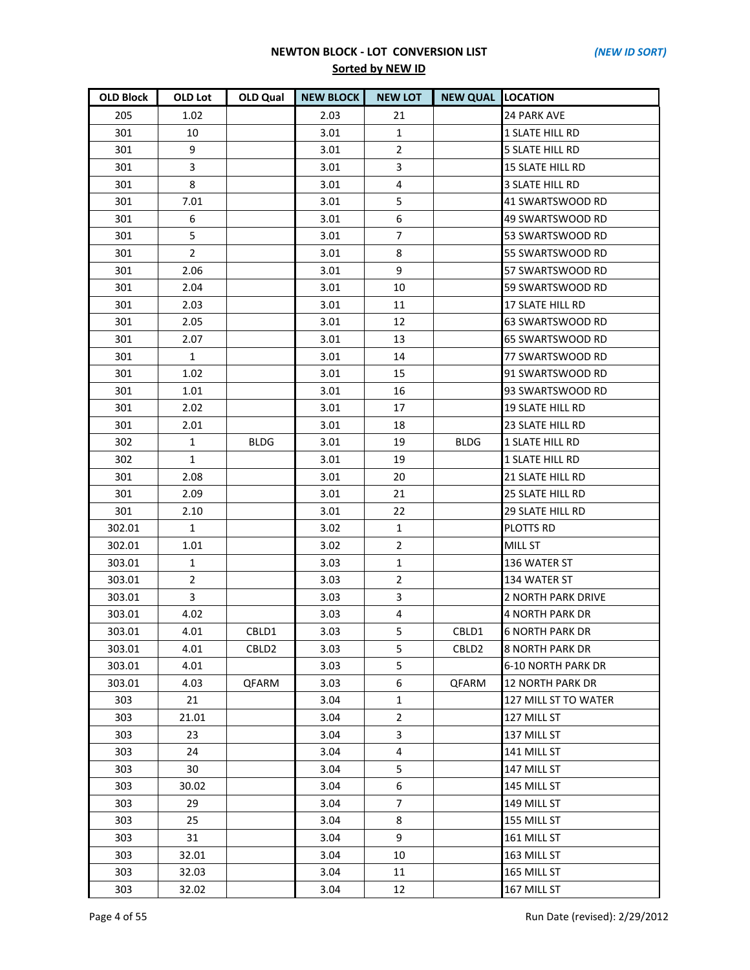| <b>OLD Block</b> | OLD Lot        | OLD Qual          | <b>NEW BLOCK</b> | <b>NEW LOT</b> | <b>NEW QUAL LOCATION</b> |                         |
|------------------|----------------|-------------------|------------------|----------------|--------------------------|-------------------------|
| 205              | 1.02           |                   | 2.03             | 21             |                          | <b>24 PARK AVE</b>      |
| 301              | 10             |                   | 3.01             | 1              |                          | <b>1 SLATE HILL RD</b>  |
| 301              | 9              |                   | 3.01             | $\overline{2}$ |                          | <b>5 SLATE HILL RD</b>  |
| 301              | 3              |                   | 3.01             | 3              |                          | <b>15 SLATE HILL RD</b> |
| 301              | 8              |                   | 3.01             | 4              |                          | <b>3 SLATE HILL RD</b>  |
| 301              | 7.01           |                   | 3.01             | 5              |                          | 41 SWARTSWOOD RD        |
| 301              | 6              |                   | 3.01             | 6              |                          | 49 SWARTSWOOD RD        |
| 301              | 5              |                   | 3.01             | $\overline{7}$ |                          | 53 SWARTSWOOD RD        |
| 301              | $\overline{2}$ |                   | 3.01             | 8              |                          | 55 SWARTSWOOD RD        |
| 301              | 2.06           |                   | 3.01             | 9              |                          | 57 SWARTSWOOD RD        |
| 301              | 2.04           |                   | 3.01             | 10             |                          | 59 SWARTSWOOD RD        |
| 301              | 2.03           |                   | 3.01             | 11             |                          | 17 SLATE HILL RD        |
| 301              | 2.05           |                   | 3.01             | 12             |                          | 63 SWARTSWOOD RD        |
| 301              | 2.07           |                   | 3.01             | 13             |                          | 65 SWARTSWOOD RD        |
| 301              | $\mathbf{1}$   |                   | 3.01             | 14             |                          | 77 SWARTSWOOD RD        |
| 301              | 1.02           |                   | 3.01             | 15             |                          | 91 SWARTSWOOD RD        |
| 301              | 1.01           |                   | 3.01             | 16             |                          | 93 SWARTSWOOD RD        |
| 301              | 2.02           |                   | 3.01             | 17             |                          | <b>19 SLATE HILL RD</b> |
| 301              | 2.01           |                   | 3.01             | 18             |                          | 23 SLATE HILL RD        |
| 302              | 1              | <b>BLDG</b>       | 3.01             | 19             | <b>BLDG</b>              | <b>1 SLATE HILL RD</b>  |
| 302              | $\mathbf{1}$   |                   | 3.01             | 19             |                          | 1 SLATE HILL RD         |
| 301              | 2.08           |                   | 3.01             | 20             |                          | <b>21 SLATE HILL RD</b> |
| 301              | 2.09           |                   | 3.01             | 21             |                          | 25 SLATE HILL RD        |
| 301              | 2.10           |                   | 3.01             | 22             |                          | <b>29 SLATE HILL RD</b> |
| 302.01           | $\mathbf{1}$   |                   | 3.02             | $\mathbf{1}$   |                          | PLOTTS RD               |
| 302.01           | 1.01           |                   | 3.02             | $\overline{2}$ |                          | <b>MILL ST</b>          |
| 303.01           | $\mathbf{1}$   |                   | 3.03             | $\mathbf{1}$   |                          | 136 WATER ST            |
| 303.01           | $\overline{2}$ |                   | 3.03             | $\overline{2}$ |                          | 134 WATER ST            |
| 303.01           | 3              |                   | 3.03             | 3              |                          | 2 NORTH PARK DRIVE      |
| 303.01           | 4.02           |                   | 3.03             | 4              |                          | <b>4 NORTH PARK DR</b>  |
| 303.01           | 4.01           | CBLD1             | 3.03             | 5              | CBLD1                    | <b>6 NORTH PARK DR</b>  |
| 303.01           | 4.01           | CBLD <sub>2</sub> | 3.03             | 5              | CBLD <sub>2</sub>        | <b>8 NORTH PARK DR</b>  |
| 303.01           | 4.01           |                   | 3.03             | 5              |                          | 6-10 NORTH PARK DR      |
| 303.01           | 4.03           | QFARM             | 3.03             | 6              | QFARM                    | 12 NORTH PARK DR        |
| 303              | 21             |                   | 3.04             | $\mathbf{1}$   |                          | 127 MILL ST TO WATER    |
| 303              | 21.01          |                   | 3.04             | $\overline{2}$ |                          | 127 MILL ST             |
| 303              | 23             |                   | 3.04             | 3              |                          | 137 MILL ST             |
| 303              | 24             |                   | 3.04             | 4              |                          | 141 MILL ST             |
| 303              | 30             |                   | 3.04             | 5              |                          | 147 MILL ST             |
| 303              | 30.02          |                   | 3.04             | 6              |                          | 145 MILL ST             |
| 303              | 29             |                   | 3.04             | 7              |                          | 149 MILL ST             |
| 303              | 25             |                   | 3.04             | 8              |                          | 155 MILL ST             |
| 303              | 31             |                   | 3.04             | 9              |                          | 161 MILL ST             |
| 303              | 32.01          |                   | 3.04             | 10             |                          | 163 MILL ST             |
| 303              | 32.03          |                   | 3.04             | 11             |                          | 165 MILL ST             |
| 303              | 32.02          |                   | 3.04             | 12             |                          | 167 MILL ST             |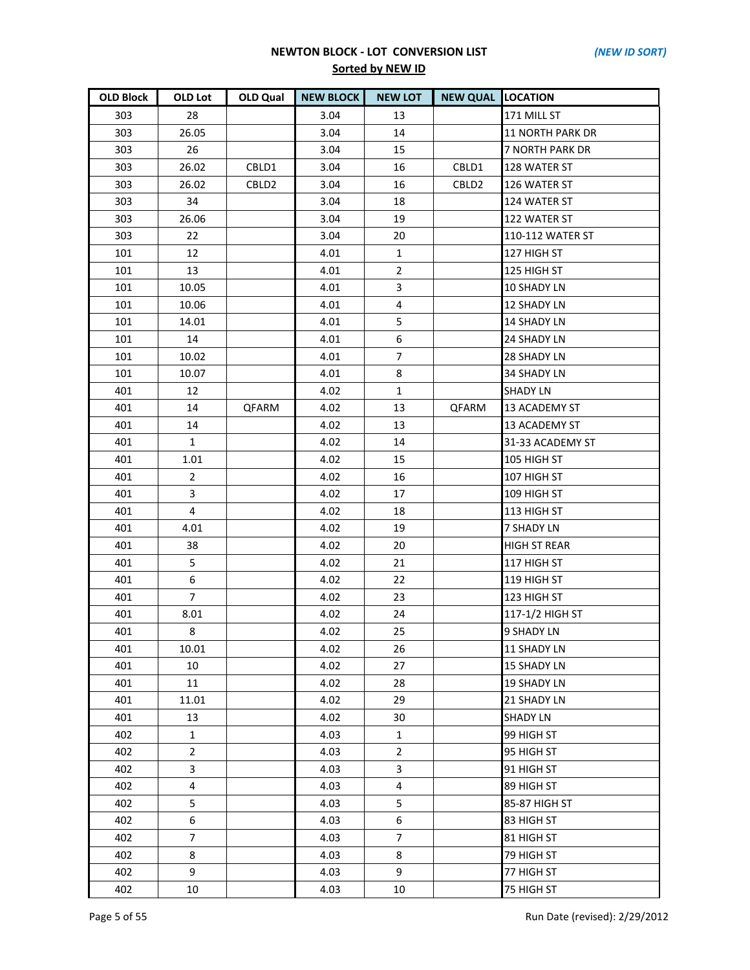| <b>OLD Block</b> | OLD Lot        | <b>OLD Qual</b> | <b>NEW BLOCK</b> | <b>NEW LOT</b> | <b>NEW QUAL LOCATION</b> |                     |
|------------------|----------------|-----------------|------------------|----------------|--------------------------|---------------------|
| 303              | 28             |                 | 3.04             | 13             |                          | 171 MILL ST         |
| 303              | 26.05          |                 | 3.04             | 14             |                          | 11 NORTH PARK DR    |
| 303              | 26             |                 | 3.04             | 15             |                          | 7 NORTH PARK DR     |
| 303              | 26.02          | CBLD1           | 3.04             | 16             | CBLD1                    | 128 WATER ST        |
| 303              | 26.02          | CBLD2           | 3.04             | 16             | CBLD <sub>2</sub>        | 126 WATER ST        |
| 303              | 34             |                 | 3.04             | 18             |                          | 124 WATER ST        |
| 303              | 26.06          |                 | 3.04             | 19             |                          | 122 WATER ST        |
| 303              | 22             |                 | 3.04             | 20             |                          | 110-112 WATER ST    |
| 101              | 12             |                 | 4.01             | $\mathbf{1}$   |                          | 127 HIGH ST         |
| 101              | 13             |                 | 4.01             | $\overline{2}$ |                          | 125 HIGH ST         |
| 101              | 10.05          |                 | 4.01             | $\mathbf{3}$   |                          | 10 SHADY LN         |
| 101              | 10.06          |                 | 4.01             | 4              |                          | <b>12 SHADY LN</b>  |
| 101              | 14.01          |                 | 4.01             | 5              |                          | <b>14 SHADY LN</b>  |
| 101              | 14             |                 | 4.01             | 6              |                          | 24 SHADY LN         |
| 101              | 10.02          |                 | 4.01             | $\overline{7}$ |                          | <b>28 SHADY LN</b>  |
| 101              | 10.07          |                 | 4.01             | 8              |                          | <b>34 SHADY LN</b>  |
| 401              | 12             |                 | 4.02             | 1              |                          | <b>SHADY LN</b>     |
| 401              | 14             | QFARM           | 4.02             | 13             | QFARM                    | 13 ACADEMY ST       |
| 401              | 14             |                 | 4.02             | 13             |                          | 13 ACADEMY ST       |
| 401              | $\mathbf{1}$   |                 | 4.02             | 14             |                          | 31-33 ACADEMY ST    |
| 401              | 1.01           |                 | 4.02             | 15             |                          | 105 HIGH ST         |
| 401              | $\overline{2}$ |                 | 4.02             | 16             |                          | 107 HIGH ST         |
| 401              | 3              |                 | 4.02             | 17             |                          | 109 HIGH ST         |
| 401              | $\overline{4}$ |                 | 4.02             | 18             |                          | 113 HIGH ST         |
| 401              | 4.01           |                 | 4.02             | 19             |                          | <b>7 SHADY LN</b>   |
| 401              | 38             |                 | 4.02             | 20             |                          | <b>HIGH ST REAR</b> |
| 401              | 5              |                 | 4.02             | 21             |                          | 117 HIGH ST         |
| 401              | 6              |                 | 4.02             | 22             |                          | 119 HIGH ST         |
| 401              | $\overline{7}$ |                 | 4.02             | 23             |                          | 123 HIGH ST         |
| 401              | 8.01           |                 | 4.02             | 24             |                          | 117-1/2 HIGH ST     |
| 401              | 8              |                 | 4.02             | 25             |                          | 9 SHADY LN          |
| 401              | 10.01          |                 | 4.02             | 26             |                          | 11 SHADY LN         |
| 401              | 10             |                 | 4.02             | 27             |                          | <b>15 SHADY LN</b>  |
| 401              | 11             |                 | 4.02             | 28             |                          | <b>19 SHADY LN</b>  |
| 401              | 11.01          |                 | 4.02             | 29             |                          | 21 SHADY LN         |
| 401              | 13             |                 | 4.02             | 30             |                          | <b>SHADY LN</b>     |
| 402              | $\mathbf{1}$   |                 | 4.03             | $\mathbf{1}$   |                          | 99 HIGH ST          |
| 402              | $\overline{2}$ |                 | 4.03             | 2              |                          | 95 HIGH ST          |
| 402              | 3              |                 | 4.03             | 3              |                          | 91 HIGH ST          |
| 402              | $\overline{4}$ |                 | 4.03             | $\overline{4}$ |                          | 89 HIGH ST          |
| 402              | 5              |                 | 4.03             | 5              |                          | 85-87 HIGH ST       |
| 402              | 6              |                 | 4.03             | 6              |                          | 83 HIGH ST          |
| 402              | $\overline{7}$ |                 | 4.03             | $\overline{7}$ |                          | 81 HIGH ST          |
| 402              | 8              |                 | 4.03             | 8              |                          | 79 HIGH ST          |
| 402              | 9              |                 | 4.03             | 9              |                          | 77 HIGH ST          |
| 402              | 10             |                 | 4.03             | 10             |                          | 75 HIGH ST          |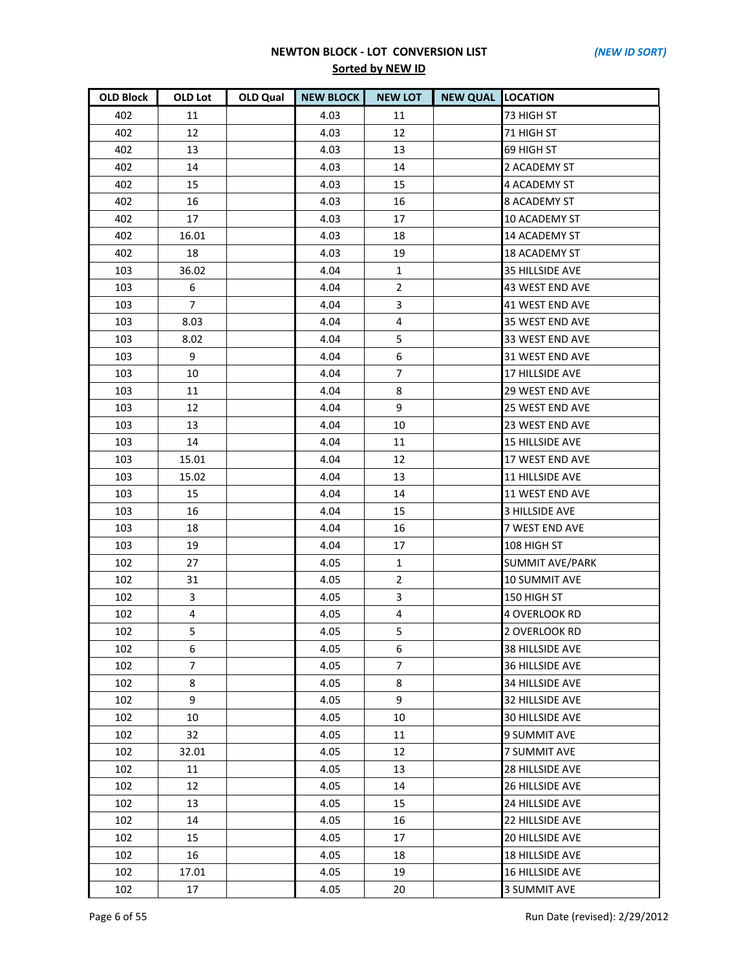| <b>OLD Block</b> | OLD Lot        | OLD Qual | <b>NEW BLOCK</b> | <b>NEW LOT</b> | <b>NEW QUAL LOCATION</b> |                        |
|------------------|----------------|----------|------------------|----------------|--------------------------|------------------------|
| 402              | 11             |          | 4.03             | 11             |                          | 73 HIGH ST             |
| 402              | 12             |          | 4.03             | 12             |                          | 71 HIGH ST             |
| 402              | 13             |          | 4.03             | 13             |                          | 69 HIGH ST             |
| 402              | 14             |          | 4.03             | 14             |                          | 2 ACADEMY ST           |
| 402              | 15             |          | 4.03             | 15             |                          | 4 ACADEMY ST           |
| 402              | 16             |          | 4.03             | 16             |                          | <b>8 ACADEMY ST</b>    |
| 402              | 17             |          | 4.03             | 17             |                          | <b>10 ACADEMY ST</b>   |
| 402              | 16.01          |          | 4.03             | 18             |                          | 14 ACADEMY ST          |
| 402              | 18             |          | 4.03             | 19             |                          | <b>18 ACADEMY ST</b>   |
| 103              | 36.02          |          | 4.04             | $\mathbf{1}$   |                          | 35 HILLSIDE AVE        |
| 103              | 6              |          | 4.04             | $\overline{2}$ |                          | 43 WEST END AVE        |
| 103              | $\overline{7}$ |          | 4.04             | 3              |                          | 41 WEST END AVE        |
| 103              | 8.03           |          | 4.04             | 4              |                          | 35 WEST END AVE        |
| 103              | 8.02           |          | 4.04             | 5              |                          | 33 WEST END AVE        |
| 103              | 9              |          | 4.04             | 6              |                          | 31 WEST END AVE        |
| 103              | $10\,$         |          | 4.04             | $\overline{7}$ |                          | 17 HILLSIDE AVE        |
| 103              | 11             |          | 4.04             | 8              |                          | <b>29 WEST END AVE</b> |
| 103              | 12             |          | 4.04             | 9              |                          | 25 WEST END AVE        |
| 103              | 13             |          | 4.04             | 10             |                          | 23 WEST END AVE        |
| 103              | 14             |          | 4.04             | 11             |                          | <b>15 HILLSIDE AVE</b> |
| 103              | 15.01          |          | 4.04             | 12             |                          | 17 WEST END AVE        |
| 103              | 15.02          |          | 4.04             | 13             |                          | 11 HILLSIDE AVE        |
| 103              | 15             |          | 4.04             | 14             |                          | 11 WEST END AVE        |
| 103              | 16             |          | 4.04             | 15             |                          | 3 HILLSIDE AVE         |
| 103              | 18             |          | 4.04             | 16             |                          | 7 WEST END AVE         |
| 103              | 19             |          | 4.04             | 17             |                          | 108 HIGH ST            |
| 102              | 27             |          | 4.05             | $\mathbf{1}$   |                          | <b>SUMMIT AVE/PARK</b> |
| 102              | 31             |          | 4.05             | $\overline{2}$ |                          | 10 SUMMIT AVE          |
| 102              | 3              |          | 4.05             | $\overline{3}$ |                          | 150 HIGH ST            |
| 102              | $\overline{4}$ |          | 4.05             | 4              |                          | 4 OVERLOOK RD          |
| 102              | 5              |          | 4.05             | 5              |                          | 2 OVERLOOK RD          |
| 102              | 6              |          | 4.05             | 6              |                          | 38 HILLSIDE AVE        |
| 102              | $\overline{7}$ |          | 4.05             | 7              |                          | 36 HILLSIDE AVE        |
| 102              | 8              |          | 4.05             | 8              |                          | 34 HILLSIDE AVE        |
| 102              | 9              |          | 4.05             | 9              |                          | 32 HILLSIDE AVE        |
| 102              | 10             |          | 4.05             | 10             |                          | <b>30 HILLSIDE AVE</b> |
| 102              | 32             |          | 4.05             | 11             |                          | <b>9 SUMMIT AVE</b>    |
| 102              | 32.01          |          | 4.05             | 12             |                          | 7 SUMMIT AVE           |
| 102              | 11             |          | 4.05             | 13             |                          | 28 HILLSIDE AVE        |
| 102              | 12             |          | 4.05             | 14             |                          | 26 HILLSIDE AVE        |
| 102              | 13             |          | 4.05             | 15             |                          | 24 HILLSIDE AVE        |
| 102              | 14             |          | 4.05             | 16             |                          | <b>22 HILLSIDE AVE</b> |
| 102              | 15             |          | 4.05             | 17             |                          | <b>20 HILLSIDE AVE</b> |
| 102              | 16             |          | 4.05             | 18             |                          | <b>18 HILLSIDE AVE</b> |
| 102              | 17.01          |          | 4.05             | 19             |                          | <b>16 HILLSIDE AVE</b> |
| 102              | 17             |          | 4.05             | 20             |                          | 3 SUMMIT AVE           |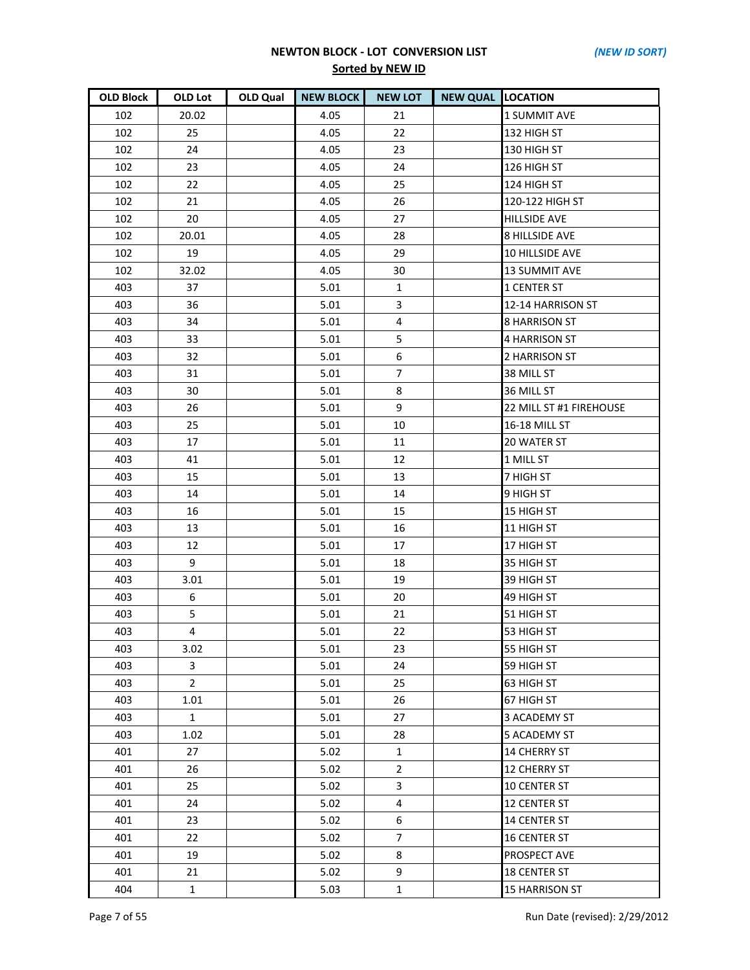| <b>OLD Block</b> | OLD Lot        | <b>OLD Qual</b> | <b>NEW BLOCK</b> | <b>NEW LOT</b> | <b>NEW QUAL LOCATION</b> |                         |
|------------------|----------------|-----------------|------------------|----------------|--------------------------|-------------------------|
| 102              | 20.02          |                 | 4.05             | 21             |                          | 1 SUMMIT AVE            |
| 102              | 25             |                 | 4.05             | 22             |                          | 132 HIGH ST             |
| 102              | 24             |                 | 4.05             | 23             |                          | 130 HIGH ST             |
| 102              | 23             |                 | 4.05             | 24             |                          | 126 HIGH ST             |
| 102              | 22             |                 | 4.05             | 25             |                          | 124 HIGH ST             |
| 102              | 21             |                 | 4.05             | 26             |                          | 120-122 HIGH ST         |
| 102              | 20             |                 | 4.05             | 27             |                          | <b>HILLSIDE AVE</b>     |
| 102              | 20.01          |                 | 4.05             | 28             |                          | <b>8 HILLSIDE AVE</b>   |
| 102              | 19             |                 | 4.05             | 29             |                          | 10 HILLSIDE AVE         |
| 102              | 32.02          |                 | 4.05             | 30             |                          | <b>13 SUMMIT AVE</b>    |
| 403              | 37             |                 | 5.01             | 1              |                          | 1 CENTER ST             |
| 403              | 36             |                 | 5.01             | 3              |                          | 12-14 HARRISON ST       |
| 403              | 34             |                 | 5.01             | 4              |                          | <b>8 HARRISON ST</b>    |
| 403              | 33             |                 | 5.01             | 5              |                          | 4 HARRISON ST           |
| 403              | 32             |                 | 5.01             | 6              |                          | 2 HARRISON ST           |
| 403              | 31             |                 | 5.01             | $\overline{7}$ |                          | 38 MILL ST              |
| 403              | 30             |                 | 5.01             | 8              |                          | 36 MILL ST              |
| 403              | 26             |                 | 5.01             | 9              |                          | 22 MILL ST #1 FIREHOUSE |
| 403              | 25             |                 | 5.01             | 10             |                          | 16-18 MILL ST           |
| 403              | 17             |                 | 5.01             | 11             |                          | 20 WATER ST             |
| 403              | 41             |                 | 5.01             | 12             |                          | 1 MILL ST               |
| 403              | 15             |                 | 5.01             | 13             |                          | 7 HIGH ST               |
| 403              | 14             |                 | 5.01             | 14             |                          | 9 HIGH ST               |
| 403              | 16             |                 | 5.01             | 15             |                          | 15 HIGH ST              |
| 403              | 13             |                 | 5.01             | 16             |                          | 11 HIGH ST              |
| 403              | 12             |                 | 5.01             | 17             |                          | 17 HIGH ST              |
| 403              | 9              |                 | 5.01             | 18             |                          | 35 HIGH ST              |
| 403              | 3.01           |                 | 5.01             | 19             |                          | 39 HIGH ST              |
| 403              | 6              |                 | 5.01             | 20             |                          | 49 HIGH ST              |
| 403              | 5              |                 | 5.01             | 21             |                          | 51 HIGH ST              |
| 403              | 4              |                 | 5.01             | 22             |                          | 53 HIGH ST              |
| 403              | 3.02           |                 | 5.01             | 23             |                          | 55 HIGH ST              |
| 403              | 3              |                 | 5.01             | 24             |                          | 59 HIGH ST              |
| 403              | $\overline{2}$ |                 | 5.01             | 25             |                          | 63 HIGH ST              |
| 403              | 1.01           |                 | 5.01             | 26             |                          | 67 HIGH ST              |
| 403              | $\mathbf{1}$   |                 | 5.01             | 27             |                          | 3 ACADEMY ST            |
| 403              | 1.02           |                 | 5.01             | 28             |                          | <b>5 ACADEMY ST</b>     |
| 401              | 27             |                 | 5.02             | $\mathbf{1}$   |                          | <b>14 CHERRY ST</b>     |
| 401              | 26             |                 | 5.02             | $\overline{2}$ |                          | <b>12 CHERRY ST</b>     |
| 401              | 25             |                 | 5.02             | 3              |                          | <b>10 CENTER ST</b>     |
| 401              | 24             |                 | 5.02             | 4              |                          | <b>12 CENTER ST</b>     |
| 401              | 23             |                 | 5.02             | 6              |                          | <b>14 CENTER ST</b>     |
| 401              | 22             |                 | 5.02             | $\overline{7}$ |                          | <b>16 CENTER ST</b>     |
| 401              | 19             |                 | 5.02             | 8              |                          | PROSPECT AVE            |
| 401              | 21             |                 | 5.02             | 9              |                          | <b>18 CENTER ST</b>     |
| 404              | $\mathbf{1}$   |                 | 5.03             | $\mathbf{1}$   |                          | 15 HARRISON ST          |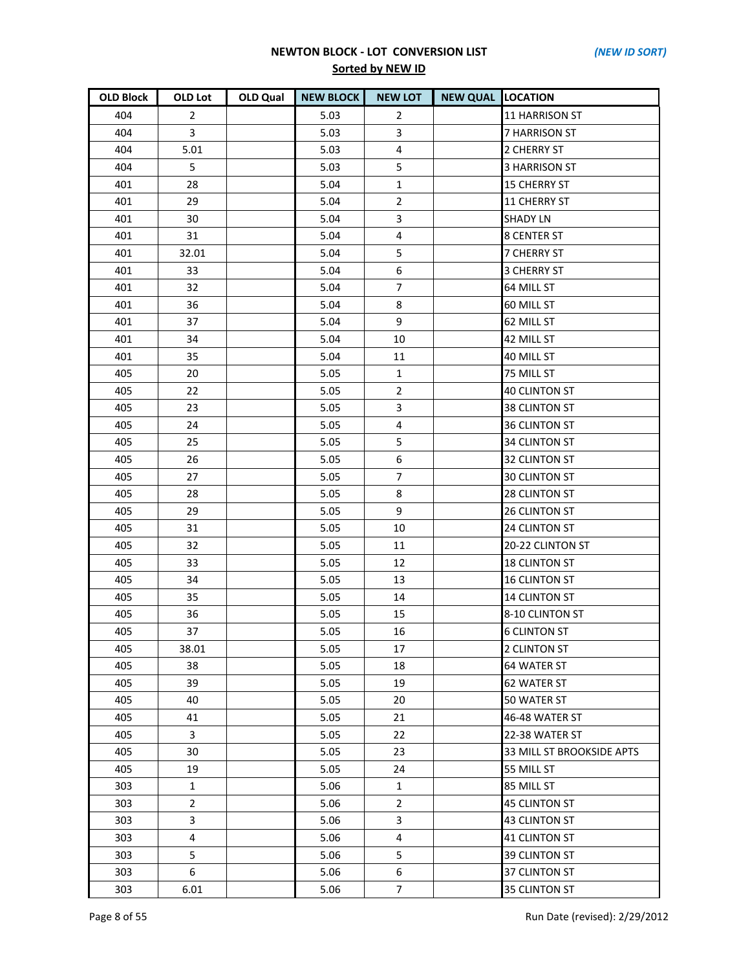| <b>OLD Block</b> | OLD Lot        | OLD Qual | <b>NEW BLOCK</b> | <b>NEW LOT</b>   | <b>NEW QUAL LOCATION</b> |                           |
|------------------|----------------|----------|------------------|------------------|--------------------------|---------------------------|
| 404              | $\overline{2}$ |          | 5.03             | $\overline{2}$   |                          | <b>11 HARRISON ST</b>     |
| 404              | 3              |          | 5.03             | 3                |                          | 7 HARRISON ST             |
| 404              | 5.01           |          | 5.03             | $\pmb{4}$        |                          | 2 CHERRY ST               |
| 404              | 5              |          | 5.03             | 5                |                          | <b>3 HARRISON ST</b>      |
| 401              | 28             |          | 5.04             | $\mathbf{1}$     |                          | <b>15 CHERRY ST</b>       |
| 401              | 29             |          | 5.04             | $\overline{2}$   |                          | <b>11 CHERRY ST</b>       |
| 401              | 30             |          | 5.04             | 3                |                          | <b>SHADY LN</b>           |
| 401              | 31             |          | 5.04             | 4                |                          | <b>8 CENTER ST</b>        |
| 401              | 32.01          |          | 5.04             | 5                |                          | <b>7 CHERRY ST</b>        |
| 401              | 33             |          | 5.04             | $\boldsymbol{6}$ |                          | <b>3 CHERRY ST</b>        |
| 401              | 32             |          | 5.04             | $\overline{7}$   |                          | 64 MILL ST                |
| 401              | 36             |          | 5.04             | 8                |                          | 60 MILL ST                |
| 401              | 37             |          | 5.04             | 9                |                          | 62 MILL ST                |
| 401              | 34             |          | 5.04             | 10               |                          | 42 MILL ST                |
| 401              | 35             |          | 5.04             | 11               |                          | 40 MILL ST                |
| 405              | 20             |          | 5.05             | $\mathbf{1}$     |                          | 75 MILL ST                |
| 405              | 22             |          | 5.05             | 2                |                          | <b>40 CLINTON ST</b>      |
| 405              | 23             |          | 5.05             | 3                |                          | 38 CLINTON ST             |
| 405              | 24             |          | 5.05             | 4                |                          | <b>36 CLINTON ST</b>      |
| 405              | 25             |          | 5.05             | 5                |                          | <b>34 CLINTON ST</b>      |
| 405              | 26             |          | 5.05             | 6                |                          | 32 CLINTON ST             |
| 405              | 27             |          | 5.05             | $\overline{7}$   |                          | <b>30 CLINTON ST</b>      |
| 405              | 28             |          | 5.05             | 8                |                          | 28 CLINTON ST             |
| 405              | 29             |          | 5.05             | 9                |                          | <b>26 CLINTON ST</b>      |
| 405              | 31             |          | 5.05             | 10               |                          | 24 CLINTON ST             |
| 405              | 32             |          | 5.05             | 11               |                          | 20-22 CLINTON ST          |
| 405              | 33             |          | 5.05             | 12               |                          | <b>18 CLINTON ST</b>      |
| 405              | 34             |          | 5.05             | 13               |                          | <b>16 CLINTON ST</b>      |
| 405              | 35             |          | 5.05             | 14               |                          | <b>14 CLINTON ST</b>      |
| 405              | 36             |          | 5.05             | 15               |                          | 8-10 CLINTON ST           |
| 405              | 37             |          | 5.05             | 16               |                          | <b>6 CLINTON ST</b>       |
| 405              | 38.01          |          | 5.05             | 17               |                          | 2 CLINTON ST              |
| 405              | 38             |          | 5.05             | 18               |                          | <b>64 WATER ST</b>        |
| 405              | 39             |          | 5.05             | 19               |                          | <b>62 WATER ST</b>        |
| 405              | 40             |          | 5.05             | 20               |                          | 50 WATER ST               |
| 405              | 41             |          | 5.05             | 21               |                          | 46-48 WATER ST            |
| 405              | 3              |          | 5.05             | 22               |                          | 22-38 WATER ST            |
| 405              | 30             |          | 5.05             | 23               |                          | 33 MILL ST BROOKSIDE APTS |
| 405              | 19             |          | 5.05             | 24               |                          | 55 MILL ST                |
| 303              | $\mathbf{1}$   |          | 5.06             | $\mathbf{1}$     |                          | 85 MILL ST                |
| 303              | $\overline{2}$ |          | 5.06             | $\overline{2}$   |                          | <b>45 CLINTON ST</b>      |
| 303              | 3              |          | 5.06             | 3                |                          | <b>43 CLINTON ST</b>      |
| 303              | $\overline{4}$ |          | 5.06             | $\overline{4}$   |                          | <b>41 CLINTON ST</b>      |
| 303              | 5              |          | 5.06             | 5                |                          | <b>39 CLINTON ST</b>      |
| 303              | 6              |          | 5.06             | 6                |                          | 37 CLINTON ST             |
| 303              | 6.01           |          | 5.06             | $\overline{7}$   |                          | 35 CLINTON ST             |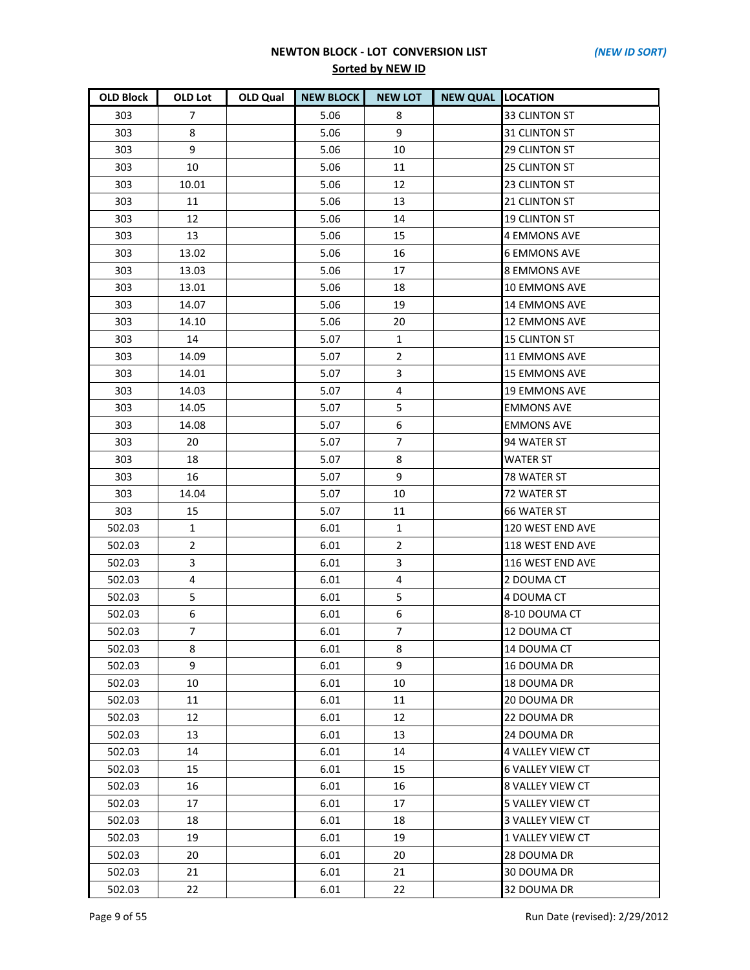| <b>OLD Block</b> | <b>OLD Lot</b>   | OLD Qual | <b>NEW BLOCK</b> | <b>NEW LOT</b> | <b>NEW QUAL LOCATION</b> |                         |
|------------------|------------------|----------|------------------|----------------|--------------------------|-------------------------|
| 303              | 7                |          | 5.06             | 8              |                          | 33 CLINTON ST           |
| 303              | 8                |          | 5.06             | 9              |                          | 31 CLINTON ST           |
| 303              | 9                |          | 5.06             | 10             |                          | <b>29 CLINTON ST</b>    |
| 303              | 10               |          | 5.06             | 11             |                          | 25 CLINTON ST           |
| 303              | 10.01            |          | 5.06             | 12             |                          | 23 CLINTON ST           |
| 303              | 11               |          | 5.06             | 13             |                          | 21 CLINTON ST           |
| 303              | 12               |          | 5.06             | 14             |                          | <b>19 CLINTON ST</b>    |
| 303              | 13               |          | 5.06             | 15             |                          | <b>4 EMMONS AVE</b>     |
| 303              | 13.02            |          | 5.06             | 16             |                          | <b>6 EMMONS AVE</b>     |
| 303              | 13.03            |          | 5.06             | 17             |                          | <b>8 EMMONS AVE</b>     |
| 303              | 13.01            |          | 5.06             | 18             |                          | <b>10 EMMONS AVE</b>    |
| 303              | 14.07            |          | 5.06             | 19             |                          | <b>14 EMMONS AVE</b>    |
| 303              | 14.10            |          | 5.06             | 20             |                          | <b>12 EMMONS AVE</b>    |
| 303              | 14               |          | 5.07             | 1              |                          | <b>15 CLINTON ST</b>    |
| 303              | 14.09            |          | 5.07             | $\overline{2}$ |                          | <b>11 EMMONS AVE</b>    |
| 303              | 14.01            |          | 5.07             | 3              |                          | <b>15 EMMONS AVE</b>    |
| 303              | 14.03            |          | 5.07             | 4              |                          | <b>19 EMMONS AVE</b>    |
| 303              | 14.05            |          | 5.07             | 5              |                          | <b>EMMONS AVE</b>       |
| 303              | 14.08            |          | 5.07             | 6              |                          | <b>EMMONS AVE</b>       |
| 303              | 20               |          | 5.07             | $\overline{7}$ |                          | 94 WATER ST             |
| 303              | 18               |          | 5.07             | 8              |                          | <b>WATER ST</b>         |
| 303              | 16               |          | 5.07             | 9              |                          | 78 WATER ST             |
| 303              | 14.04            |          | 5.07             | 10             |                          | 72 WATER ST             |
| 303              | 15               |          | 5.07             | 11             |                          | <b>66 WATER ST</b>      |
| 502.03           | $\mathbf{1}$     |          | 6.01             | $\mathbf{1}$   |                          | 120 WEST END AVE        |
| 502.03           | $\overline{2}$   |          | 6.01             | $\overline{2}$ |                          | 118 WEST END AVE        |
| 502.03           | 3                |          | 6.01             | 3              |                          | 116 WEST END AVE        |
| 502.03           | 4                |          | 6.01             | $\overline{4}$ |                          | 2 DOUMA CT              |
| 502.03           | 5                |          | 6.01             | 5              |                          | 4 DOUMA CT              |
| 502.03           | $\boldsymbol{6}$ |          | 6.01             | 6              |                          | 8-10 DOUMA CT           |
| 502.03           | $\overline{7}$   |          | 6.01             | $\overline{7}$ |                          | 12 DOUMA CT             |
| 502.03           | 8                |          | 6.01             | 8              |                          | 14 DOUMA CT             |
| 502.03           | 9                |          | 6.01             | 9              |                          | 16 DOUMA DR             |
| 502.03           | 10               |          | 6.01             | 10             |                          | 18 DOUMA DR             |
| 502.03           | 11               |          | 6.01             | 11             |                          | 20 DOUMA DR             |
| 502.03           | 12               |          | 6.01             | 12             |                          | 22 DOUMA DR             |
| 502.03           | 13               |          | 6.01             | 13             |                          | 24 DOUMA DR             |
| 502.03           | 14               |          | 6.01             | 14             |                          | 4 VALLEY VIEW CT        |
| 502.03           | 15               |          | 6.01             | 15             |                          | <b>6 VALLEY VIEW CT</b> |
| 502.03           | 16               |          | 6.01             | 16             |                          | 8 VALLEY VIEW CT        |
| 502.03           | 17               |          | 6.01             | 17             |                          | 5 VALLEY VIEW CT        |
| 502.03           | 18               |          | 6.01             | 18             |                          | <b>3 VALLEY VIEW CT</b> |
| 502.03           | 19               |          | 6.01             | 19             |                          | 1 VALLEY VIEW CT        |
| 502.03           | 20               |          | 6.01             | 20             |                          | 28 DOUMA DR             |
| 502.03           | 21               |          | 6.01             | 21             |                          | 30 DOUMA DR             |
| 502.03           | 22               |          | 6.01             | 22             |                          | 32 DOUMA DR             |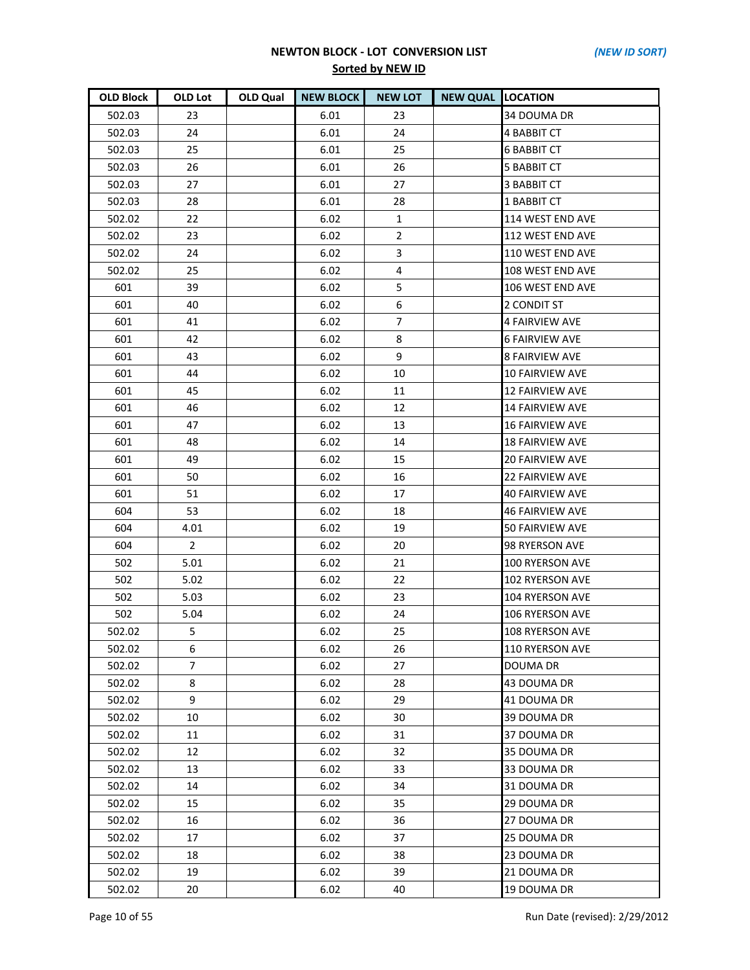| <b>OLD Block</b> | OLD Lot        | OLD Qual | <b>NEW BLOCK</b> | <b>NEW LOT</b> | <b>NEW QUAL LOCATION</b> |                        |
|------------------|----------------|----------|------------------|----------------|--------------------------|------------------------|
| 502.03           | 23             |          | 6.01             | 23             |                          | 34 DOUMA DR            |
| 502.03           | 24             |          | 6.01             | 24             |                          | <b>4 BABBIT CT</b>     |
| 502.03           | 25             |          | 6.01             | 25             |                          | <b>6 BABBIT CT</b>     |
| 502.03           | 26             |          | 6.01             | 26             |                          | <b>5 BABBIT CT</b>     |
| 502.03           | 27             |          | 6.01             | 27             |                          | <b>3 BABBIT CT</b>     |
| 502.03           | 28             |          | 6.01             | 28             |                          | 1 BABBIT CT            |
| 502.02           | 22             |          | 6.02             | $\mathbf{1}$   |                          | 114 WEST END AVE       |
| 502.02           | 23             |          | 6.02             | $\overline{2}$ |                          | 112 WEST END AVE       |
| 502.02           | 24             |          | 6.02             | 3              |                          | 110 WEST END AVE       |
| 502.02           | 25             |          | 6.02             | 4              |                          | 108 WEST END AVE       |
| 601              | 39             |          | 6.02             | 5              |                          | 106 WEST END AVE       |
| 601              | 40             |          | 6.02             | 6              |                          | 2 CONDIT ST            |
| 601              | 41             |          | 6.02             | 7              |                          | 4 FAIRVIEW AVE         |
| 601              | 42             |          | 6.02             | 8              |                          | <b>6 FAIRVIEW AVE</b>  |
| 601              | 43             |          | 6.02             | 9              |                          | <b>8 FAIRVIEW AVE</b>  |
| 601              | 44             |          | 6.02             | 10             |                          | <b>10 FAIRVIEW AVE</b> |
| 601              | 45             |          | 6.02             | 11             |                          | <b>12 FAIRVIEW AVE</b> |
| 601              | 46             |          | 6.02             | 12             |                          | <b>14 FAIRVIEW AVE</b> |
| 601              | 47             |          | 6.02             | 13             |                          | <b>16 FAIRVIEW AVE</b> |
| 601              | 48             |          | 6.02             | 14             |                          | <b>18 FAIRVIEW AVE</b> |
| 601              | 49             |          | 6.02             | 15             |                          | <b>20 FAIRVIEW AVE</b> |
| 601              | 50             |          | 6.02             | 16             |                          | <b>22 FAIRVIEW AVE</b> |
| 601              | 51             |          | 6.02             | 17             |                          | 40 FAIRVIEW AVE        |
| 604              | 53             |          | 6.02             | 18             |                          | <b>46 FAIRVIEW AVE</b> |
| 604              | 4.01           |          | 6.02             | 19             |                          | 50 FAIRVIEW AVE        |
| 604              | $\overline{2}$ |          | 6.02             | 20             |                          | 98 RYERSON AVE         |
| 502              | 5.01           |          | 6.02             | 21             |                          | 100 RYERSON AVE        |
| 502              | 5.02           |          | 6.02             | 22             |                          | 102 RYERSON AVE        |
| 502              | 5.03           |          | 6.02             | 23             |                          | 104 RYERSON AVE        |
| 502              | 5.04           |          | 6.02             | 24             |                          | 106 RYERSON AVE        |
| 502.02           | 5              |          | 6.02             | 25             |                          | <b>108 RYERSON AVE</b> |
| 502.02           | 6              |          | 6.02             | 26             |                          | 110 RYERSON AVE        |
| 502.02           | 7              |          | 6.02             | 27             |                          | <b>DOUMA DR</b>        |
| 502.02           | 8              |          | 6.02             | 28             |                          | 43 DOUMA DR            |
| 502.02           | 9              |          | 6.02             | 29             |                          | 41 DOUMA DR            |
| 502.02           | 10             |          | 6.02             | 30             |                          | 39 DOUMA DR            |
| 502.02           | 11             |          | 6.02             | 31             |                          | 37 DOUMA DR            |
| 502.02           | 12             |          | 6.02             | 32             |                          | 35 DOUMA DR            |
| 502.02           | 13             |          | 6.02             | 33             |                          | 33 DOUMA DR            |
| 502.02           | 14             |          | 6.02             | 34             |                          | 31 DOUMA DR            |
| 502.02           | 15             |          | 6.02             | 35             |                          | 29 DOUMA DR            |
| 502.02           | 16             |          | 6.02             | 36             |                          | 27 DOUMA DR            |
| 502.02           | 17             |          | 6.02             | 37             |                          | 25 DOUMA DR            |
| 502.02           | 18             |          | 6.02             | 38             |                          | 23 DOUMA DR            |
| 502.02           | 19             |          | 6.02             | 39             |                          | 21 DOUMA DR            |
| 502.02           | 20             |          | 6.02             | 40             |                          | 19 DOUMA DR            |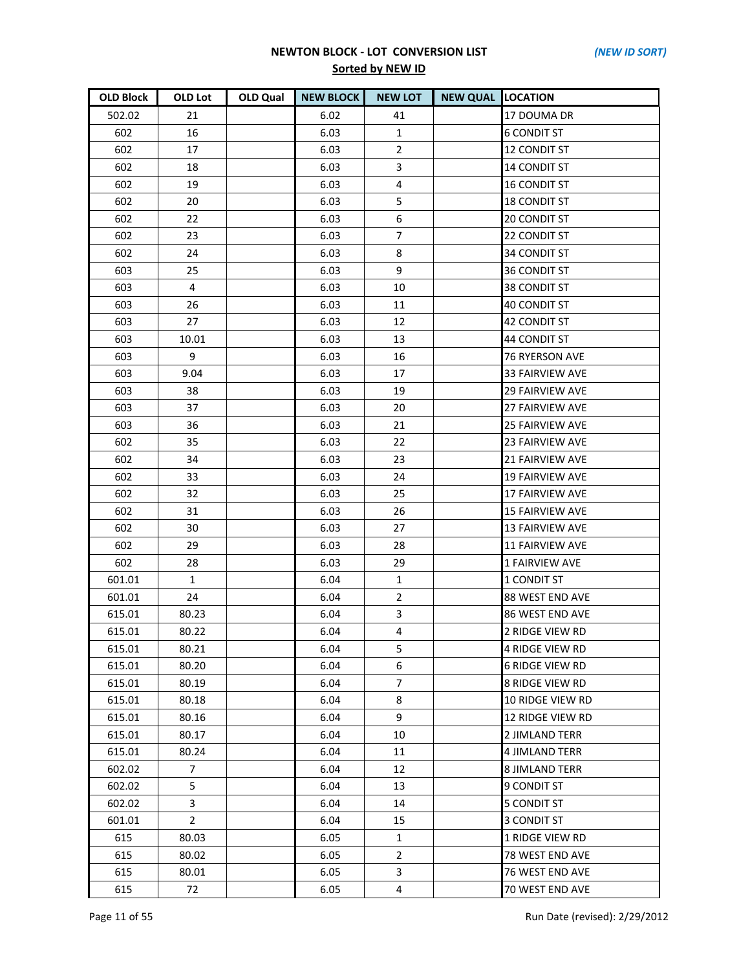| <b>OLD Block</b> | OLD Lot        | OLD Qual | <b>NEW BLOCK</b> | <b>NEW LOT</b>   | <b>NEW QUAL LOCATION</b> |                         |
|------------------|----------------|----------|------------------|------------------|--------------------------|-------------------------|
| 502.02           | 21             |          | 6.02             | 41               |                          | 17 DOUMA DR             |
| 602              | 16             |          | 6.03             | $\mathbf{1}$     |                          | <b>6 CONDIT ST</b>      |
| 602              | 17             |          | 6.03             | $\overline{2}$   |                          | <b>12 CONDIT ST</b>     |
| 602              | 18             |          | 6.03             | 3                |                          | <b>14 CONDIT ST</b>     |
| 602              | 19             |          | 6.03             | $\overline{4}$   |                          | <b>16 CONDIT ST</b>     |
| 602              | 20             |          | 6.03             | 5                |                          | <b>18 CONDIT ST</b>     |
| 602              | 22             |          | 6.03             | $\boldsymbol{6}$ |                          | <b>20 CONDIT ST</b>     |
| 602              | 23             |          | 6.03             | $\overline{7}$   |                          | 22 CONDIT ST            |
| 602              | 24             |          | 6.03             | 8                |                          | <b>34 CONDIT ST</b>     |
| 603              | 25             |          | 6.03             | 9                |                          | <b>36 CONDIT ST</b>     |
| 603              | $\overline{4}$ |          | 6.03             | 10               |                          | <b>38 CONDIT ST</b>     |
| 603              | 26             |          | 6.03             | 11               |                          | <b>40 CONDIT ST</b>     |
| 603              | 27             |          | 6.03             | 12               |                          | 42 CONDIT ST            |
| 603              | 10.01          |          | 6.03             | 13               |                          | 44 CONDIT ST            |
| 603              | 9              |          | 6.03             | 16               |                          | <b>76 RYERSON AVE</b>   |
| 603              | 9.04           |          | 6.03             | 17               |                          | <b>33 FAIRVIEW AVE</b>  |
| 603              | 38             |          | 6.03             | 19               |                          | <b>29 FAIRVIEW AVE</b>  |
| 603              | 37             |          | 6.03             | 20               |                          | <b>27 FAIRVIEW AVE</b>  |
| 603              | 36             |          | 6.03             | 21               |                          | <b>25 FAIRVIEW AVE</b>  |
| 602              | 35             |          | 6.03             | 22               |                          | <b>23 FAIRVIEW AVE</b>  |
| 602              | 34             |          | 6.03             | 23               |                          | <b>21 FAIRVIEW AVE</b>  |
| 602              | 33             |          | 6.03             | 24               |                          | <b>19 FAIRVIEW AVE</b>  |
| 602              | 32             |          | 6.03             | 25               |                          | <b>17 FAIRVIEW AVE</b>  |
| 602              | 31             |          | 6.03             | 26               |                          | <b>15 FAIRVIEW AVE</b>  |
| 602              | 30             |          | 6.03             | 27               |                          | <b>13 FAIRVIEW AVE</b>  |
| 602              | 29             |          | 6.03             | 28               |                          | <b>11 FAIRVIEW AVE</b>  |
| 602              | 28             |          | 6.03             | 29               |                          | 1 FAIRVIEW AVE          |
| 601.01           | $\mathbf{1}$   |          | 6.04             | $\mathbf{1}$     |                          | 1 CONDIT ST             |
| 601.01           | 24             |          | 6.04             | $\overline{2}$   |                          | 88 WEST END AVE         |
| 615.01           | 80.23          |          | 6.04             | 3                |                          | <b>86 WEST END AVE</b>  |
| 615.01           | 80.22          |          | 6.04             | 4                |                          | 2 RIDGE VIEW RD         |
| 615.01           | 80.21          |          | 6.04             | 5                |                          | 4 RIDGE VIEW RD         |
| 615.01           | 80.20          |          | 6.04             | 6                |                          | <b>6 RIDGE VIEW RD</b>  |
| 615.01           | 80.19          |          | 6.04             | $\overline{7}$   |                          | 8 RIDGE VIEW RD         |
| 615.01           | 80.18          |          | 6.04             | 8                |                          | <b>10 RIDGE VIEW RD</b> |
| 615.01           | 80.16          |          | 6.04             | 9                |                          | 12 RIDGE VIEW RD        |
| 615.01           | 80.17          |          | 6.04             | 10               |                          | 2 JIMLAND TERR          |
| 615.01           | 80.24          |          | 6.04             | 11               |                          | 4 JIMLAND TERR          |
| 602.02           | $\overline{7}$ |          | 6.04             | 12               |                          | <b>8 JIMLAND TERR</b>   |
| 602.02           | 5              |          | 6.04             | 13               |                          | 9 CONDIT ST             |
| 602.02           | 3              |          | 6.04             | 14               |                          | <b>5 CONDIT ST</b>      |
| 601.01           | $\overline{2}$ |          | 6.04             | 15               |                          | <b>3 CONDIT ST</b>      |
| 615              | 80.03          |          | 6.05             | $\mathbf{1}$     |                          | 1 RIDGE VIEW RD         |
| 615              | 80.02          |          | 6.05             | $\mathbf{2}$     |                          | 78 WEST END AVE         |
| 615              | 80.01          |          | 6.05             | 3                |                          | 76 WEST END AVE         |
| 615              | 72             |          | 6.05             | 4                |                          | 70 WEST END AVE         |

Page 11 of 55 Run Date (revised): 2/29/2012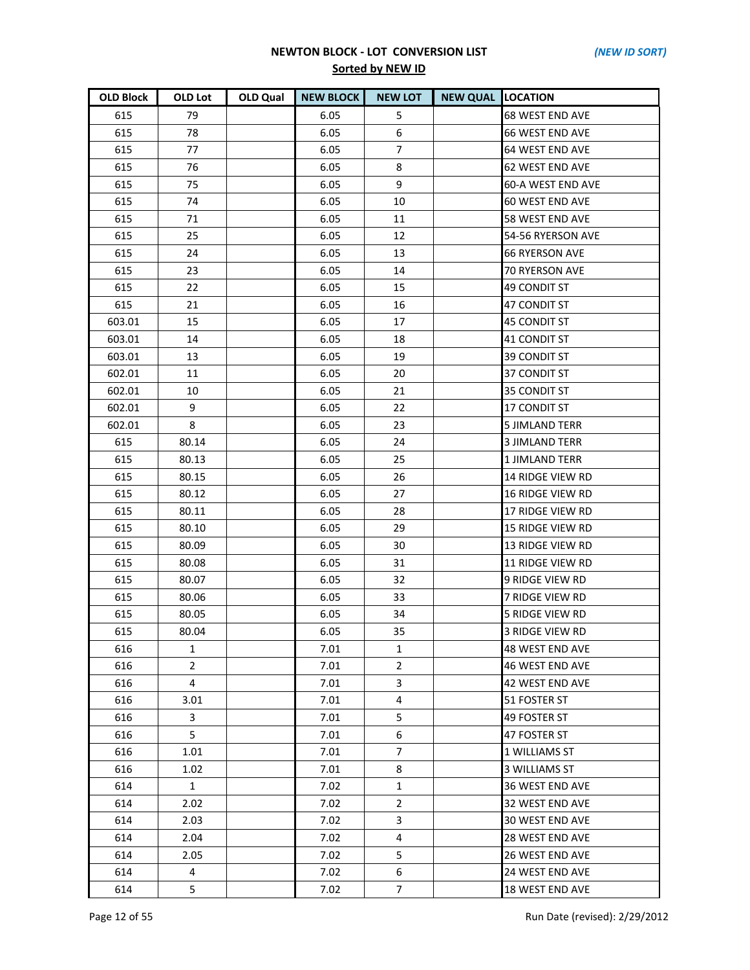| <b>OLD Block</b> | OLD Lot        | OLD Qual | <b>NEW BLOCK</b> | <b>NEW LOT</b> | <b>NEW QUAL LOCATION</b> |                         |
|------------------|----------------|----------|------------------|----------------|--------------------------|-------------------------|
| 615              | 79             |          | 6.05             | 5              |                          | <b>68 WEST END AVE</b>  |
| 615              | 78             |          | 6.05             | 6              |                          | <b>66 WEST END AVE</b>  |
| 615              | 77             |          | 6.05             | $\overline{7}$ |                          | 64 WEST END AVE         |
| 615              | 76             |          | 6.05             | 8              |                          | <b>62 WEST END AVE</b>  |
| 615              | 75             |          | 6.05             | 9              |                          | 60-A WEST END AVE       |
| 615              | 74             |          | 6.05             | 10             |                          | <b>60 WEST END AVE</b>  |
| 615              | 71             |          | 6.05             | 11             |                          | 58 WEST END AVE         |
| 615              | 25             |          | 6.05             | 12             |                          | 54-56 RYERSON AVE       |
| 615              | 24             |          | 6.05             | 13             |                          | <b>66 RYERSON AVE</b>   |
| 615              | 23             |          | 6.05             | 14             |                          | <b>70 RYERSON AVE</b>   |
| 615              | 22             |          | 6.05             | 15             |                          | 49 CONDIT ST            |
| 615              | 21             |          | 6.05             | 16             |                          | 47 CONDIT ST            |
| 603.01           | 15             |          | 6.05             | 17             |                          | <b>45 CONDIT ST</b>     |
| 603.01           | 14             |          | 6.05             | 18             |                          | 41 CONDIT ST            |
| 603.01           | 13             |          | 6.05             | 19             |                          | <b>39 CONDIT ST</b>     |
| 602.01           | 11             |          | 6.05             | 20             |                          | <b>37 CONDIT ST</b>     |
| 602.01           | 10             |          | 6.05             | 21             |                          | 35 CONDIT ST            |
| 602.01           | 9              |          | 6.05             | 22             |                          | <b>17 CONDIT ST</b>     |
| 602.01           | 8              |          | 6.05             | 23             |                          | <b>5 JIMLAND TERR</b>   |
| 615              | 80.14          |          | 6.05             | 24             |                          | <b>3 JIMLAND TERR</b>   |
| 615              | 80.13          |          | 6.05             | 25             |                          | <b>1 JIMLAND TERR</b>   |
| 615              | 80.15          |          | 6.05             | 26             |                          | 14 RIDGE VIEW RD        |
| 615              | 80.12          |          | 6.05             | 27             |                          | <b>16 RIDGE VIEW RD</b> |
| 615              | 80.11          |          | 6.05             | 28             |                          | 17 RIDGE VIEW RD        |
| 615              | 80.10          |          | 6.05             | 29             |                          | <b>15 RIDGE VIEW RD</b> |
| 615              | 80.09          |          | 6.05             | 30             |                          | <b>13 RIDGE VIEW RD</b> |
| 615              | 80.08          |          | 6.05             | 31             |                          | <b>11 RIDGE VIEW RD</b> |
| 615              | 80.07          |          | 6.05             | 32             |                          | 9 RIDGE VIEW RD         |
| 615              | 80.06          |          | 6.05             | 33             |                          | <b>7 RIDGE VIEW RD</b>  |
| 615              | 80.05          |          | 6.05             | 34             |                          | <b>5 RIDGE VIEW RD</b>  |
| 615              | 80.04          |          | 6.05             | 35             |                          | 3 RIDGE VIEW RD         |
| 616              | 1              |          | 7.01             | 1              |                          | 48 WEST END AVE         |
| 616              | $\overline{2}$ |          | 7.01             | $\mathbf{2}$   |                          | 46 WEST END AVE         |
| 616              | 4              |          | 7.01             | 3              |                          | 42 WEST END AVE         |
| 616              | 3.01           |          | 7.01             | 4              |                          | 51 FOSTER ST            |
| 616              | 3              |          | 7.01             | 5              |                          | 49 FOSTER ST            |
| 616              | 5              |          | 7.01             | 6              |                          | 47 FOSTER ST            |
| 616              | 1.01           |          | 7.01             | 7              |                          | 1 WILLIAMS ST           |
| 616              | 1.02           |          | 7.01             | 8              |                          | 3 WILLIAMS ST           |
| 614              | 1              |          | 7.02             | $\mathbf{1}$   |                          | 36 WEST END AVE         |
| 614              | 2.02           |          | 7.02             | $\overline{2}$ |                          | 32 WEST END AVE         |
| 614              | 2.03           |          | 7.02             | 3              |                          | 30 WEST END AVE         |
| 614              | 2.04           |          | 7.02             | 4              |                          | 28 WEST END AVE         |
| 614              | 2.05           |          | 7.02             | 5              |                          | 26 WEST END AVE         |
| 614              | 4              |          | 7.02             | 6              |                          | 24 WEST END AVE         |
| 614              | 5              |          | 7.02             | 7 <sup>7</sup> |                          | 18 WEST END AVE         |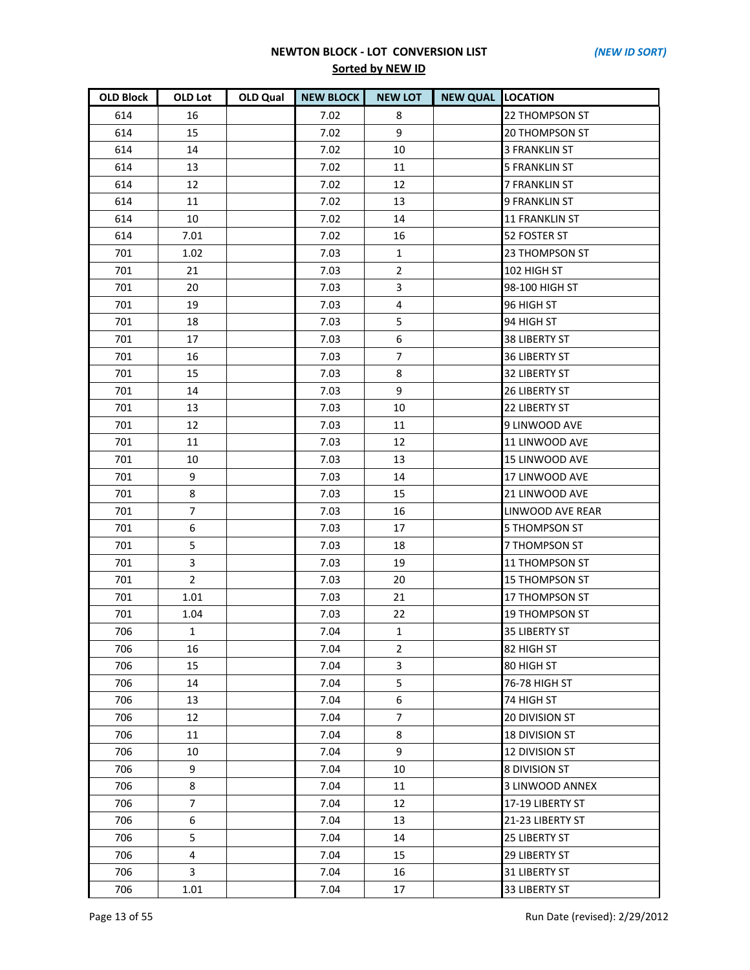| <b>OLD Block</b> | <b>OLD Lot</b> | <b>OLD Qual</b> | <b>NEW BLOCK</b> | <b>NEW LOT</b> | <b>NEW QUAL LOCATION</b> |                         |
|------------------|----------------|-----------------|------------------|----------------|--------------------------|-------------------------|
| 614              | 16             |                 | 7.02             | 8              |                          | 22 THOMPSON ST          |
| 614              | 15             |                 | 7.02             | 9              |                          | <b>20 THOMPSON ST</b>   |
| 614              | 14             |                 | 7.02             | 10             |                          | <b>3 FRANKLIN ST</b>    |
| 614              | 13             |                 | 7.02             | 11             |                          | <b>5 FRANKLIN ST</b>    |
| 614              | 12             |                 | 7.02             | 12             |                          | <b>7 FRANKLIN ST</b>    |
| 614              | 11             |                 | 7.02             | 13             |                          | <b>9 FRANKLIN ST</b>    |
| 614              | 10             |                 | 7.02             | 14             |                          | <b>11 FRANKLIN ST</b>   |
| 614              | 7.01           |                 | 7.02             | 16             |                          | 52 FOSTER ST            |
| 701              | 1.02           |                 | 7.03             | $\mathbf{1}$   |                          | 23 THOMPSON ST          |
| 701              | 21             |                 | 7.03             | $\overline{2}$ |                          | 102 HIGH ST             |
| 701              | 20             |                 | 7.03             | 3              |                          | 98-100 HIGH ST          |
| 701              | 19             |                 | 7.03             | 4              |                          | 96 HIGH ST              |
| 701              | 18             |                 | 7.03             | 5              |                          | 94 HIGH ST              |
| 701              | 17             |                 | 7.03             | 6              |                          | <b>38 LIBERTY ST</b>    |
| 701              | 16             |                 | 7.03             | $\overline{7}$ |                          | <b>36 LIBERTY ST</b>    |
| 701              | 15             |                 | 7.03             | 8              |                          | <b>32 LIBERTY ST</b>    |
| 701              | 14             |                 | 7.03             | 9              |                          | <b>26 LIBERTY ST</b>    |
| 701              | 13             |                 | 7.03             | 10             |                          | 22 LIBERTY ST           |
| 701              | 12             |                 | 7.03             | 11             |                          | 9 LINWOOD AVE           |
| 701              | 11             |                 | 7.03             | 12             |                          | 11 LINWOOD AVE          |
| 701              | 10             |                 | 7.03             | 13             |                          | 15 LINWOOD AVE          |
| 701              | 9              |                 | 7.03             | 14             |                          | 17 LINWOOD AVE          |
| 701              | 8              |                 | 7.03             | 15             |                          | 21 LINWOOD AVE          |
| 701              | $\overline{7}$ |                 | 7.03             | 16             |                          | <b>LINWOOD AVE REAR</b> |
| 701              | 6              |                 | 7.03             | 17             |                          | <b>5 THOMPSON ST</b>    |
| 701              | 5              |                 | 7.03             | 18             |                          | <b>7 THOMPSON ST</b>    |
| 701              | 3              |                 | 7.03             | 19             |                          | 11 THOMPSON ST          |
| 701              | $\overline{2}$ |                 | 7.03             | 20             |                          | <b>15 THOMPSON ST</b>   |
| 701              | 1.01           |                 | 7.03             | 21             |                          | 17 THOMPSON ST          |
| 701              | 1.04           |                 | 7.03             | 22             |                          | <b>19 THOMPSON ST</b>   |
| 706              | $\mathbf{1}$   |                 | 7.04             | $\mathbf{1}$   |                          | <b>35 LIBERTY ST</b>    |
| 706              | 16             |                 | 7.04             | $\overline{2}$ |                          | 82 HIGH ST              |
| 706              | 15             |                 | 7.04             | 3              |                          | 80 HIGH ST              |
| 706              | 14             |                 | 7.04             | 5              |                          | 76-78 HIGH ST           |
| 706              | 13             |                 | 7.04             | 6              |                          | 74 HIGH ST              |
| 706              | 12             |                 | 7.04             | $\overline{7}$ |                          | <b>20 DIVISION ST</b>   |
| 706              | 11             |                 | 7.04             | 8              |                          | <b>18 DIVISION ST</b>   |
| 706              | 10             |                 | 7.04             | 9              |                          | <b>12 DIVISION ST</b>   |
| 706              | 9              |                 | 7.04             | 10             |                          | <b>8 DIVISION ST</b>    |
| 706              | 8              |                 | 7.04             | 11             |                          | 3 LINWOOD ANNEX         |
| 706              | $\overline{7}$ |                 | 7.04             | 12             |                          | 17-19 LIBERTY ST        |
| 706              | 6              |                 | 7.04             | 13             |                          | 21-23 LIBERTY ST        |
| 706              | 5              |                 | 7.04             | 14             |                          | <b>25 LIBERTY ST</b>    |
| 706              | 4              |                 | 7.04             | 15             |                          | <b>29 LIBERTY ST</b>    |
| 706              | 3              |                 | 7.04             | 16             |                          | <b>31 LIBERTY ST</b>    |
| 706              | 1.01           |                 | 7.04             | 17             |                          | 33 LIBERTY ST           |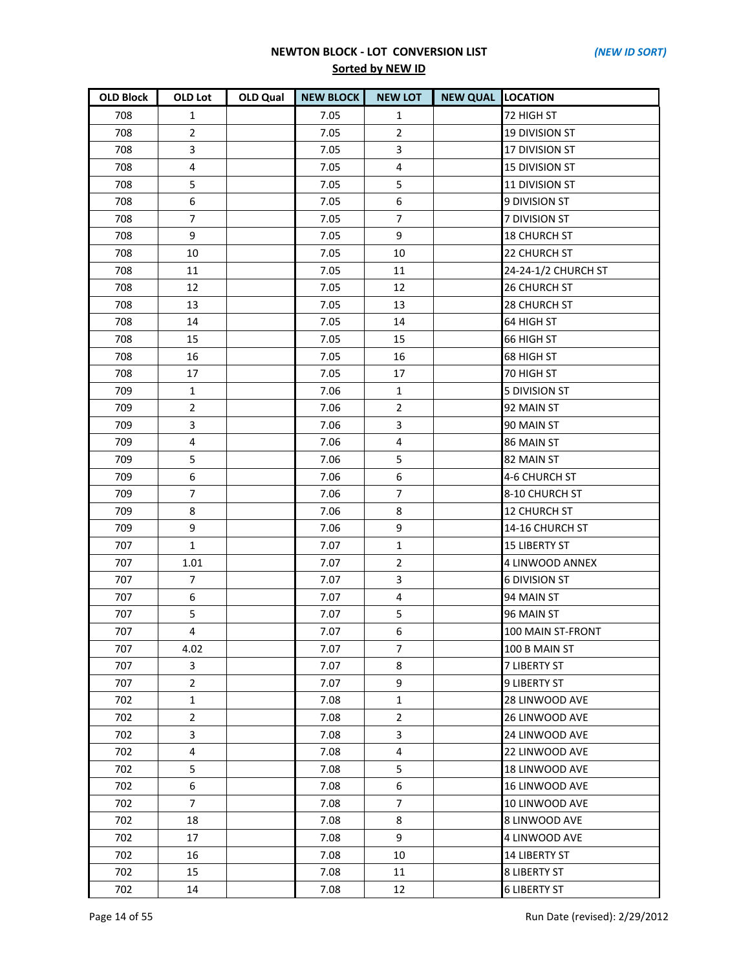| <b>OLD Block</b> | OLD Lot                 | OLD Qual | <b>NEW BLOCK</b> | <b>NEW LOT</b>   | <b>NEW QUAL LOCATION</b> |                       |
|------------------|-------------------------|----------|------------------|------------------|--------------------------|-----------------------|
| 708              | $\mathbf{1}$            |          | 7.05             | $\mathbf{1}$     |                          | 72 HIGH ST            |
| 708              | $\overline{2}$          |          | 7.05             | $\overline{2}$   |                          | <b>19 DIVISION ST</b> |
| 708              | 3                       |          | 7.05             | $\overline{3}$   |                          | 17 DIVISION ST        |
| 708              | $\overline{4}$          |          | 7.05             | $\overline{4}$   |                          | <b>15 DIVISION ST</b> |
| 708              | 5                       |          | 7.05             | 5                |                          | 11 DIVISION ST        |
| 708              | $\,6\,$                 |          | 7.05             | $\boldsymbol{6}$ |                          | 9 DIVISION ST         |
| 708              | $\overline{7}$          |          | 7.05             | $\overline{7}$   |                          | 7 DIVISION ST         |
| 708              | 9                       |          | 7.05             | 9                |                          | <b>18 CHURCH ST</b>   |
| 708              | 10                      |          | 7.05             | 10               |                          | 22 CHURCH ST          |
| 708              | 11                      |          | 7.05             | 11               |                          | 24-24-1/2 CHURCH ST   |
| 708              | 12                      |          | 7.05             | 12               |                          | 26 CHURCH ST          |
| 708              | 13                      |          | 7.05             | 13               |                          | 28 CHURCH ST          |
| 708              | 14                      |          | 7.05             | 14               |                          | 64 HIGH ST            |
| 708              | 15                      |          | 7.05             | 15               |                          | 66 HIGH ST            |
| 708              | 16                      |          | 7.05             | 16               |                          | 68 HIGH ST            |
| 708              | 17                      |          | 7.05             | 17               |                          | 70 HIGH ST            |
| 709              | $\mathbf{1}$            |          | 7.06             | 1                |                          | <b>5 DIVISION ST</b>  |
| 709              | $\overline{2}$          |          | 7.06             | $\overline{2}$   |                          | 92 MAIN ST            |
| 709              | 3                       |          | 7.06             | 3                |                          | 90 MAIN ST            |
| 709              | $\overline{4}$          |          | 7.06             | 4                |                          | 86 MAIN ST            |
| 709              | 5                       |          | 7.06             | 5                |                          | 82 MAIN ST            |
| 709              | 6                       |          | 7.06             | 6                |                          | 4-6 CHURCH ST         |
| 709              | $\overline{7}$          |          | 7.06             | $\overline{7}$   |                          | 8-10 CHURCH ST        |
| 709              | 8                       |          | 7.06             | 8                |                          | <b>12 CHURCH ST</b>   |
| 709              | 9                       |          | 7.06             | 9                |                          | 14-16 CHURCH ST       |
| 707              | $\mathbf{1}$            |          | 7.07             | $\mathbf{1}$     |                          | <b>15 LIBERTY ST</b>  |
| 707              | 1.01                    |          | 7.07             | $\overline{2}$   |                          | 4 LINWOOD ANNEX       |
| 707              | $\overline{7}$          |          | 7.07             | $\overline{3}$   |                          | <b>6 DIVISION ST</b>  |
| 707              | $\boldsymbol{6}$        |          | 7.07             | 4                |                          | 94 MAIN ST            |
| 707              | 5                       |          | 7.07             | 5                |                          | 96 MAIN ST            |
| 707              | $\overline{\mathbf{4}}$ |          | 7.07             | 6                |                          | 100 MAIN ST-FRONT     |
| 707              | 4.02                    |          | 7.07             | 7                |                          | 100 B MAIN ST         |
| 707              | 3                       |          | 7.07             | 8                |                          | <b>7 LIBERTY ST</b>   |
| 707              | $\overline{2}$          |          | 7.07             | 9                |                          | 9 LIBERTY ST          |
| 702              | $\mathbf{1}$            |          | 7.08             | $\mathbf{1}$     |                          | 28 LINWOOD AVE        |
| 702              | $\overline{2}$          |          | 7.08             | $\overline{2}$   |                          | 26 LINWOOD AVE        |
| 702              | 3                       |          | 7.08             | 3                |                          | <b>24 LINWOOD AVE</b> |
| 702              | 4                       |          | 7.08             | 4                |                          | 22 LINWOOD AVE        |
| 702              | 5                       |          | 7.08             | 5                |                          | 18 LINWOOD AVE        |
| 702              | 6                       |          | 7.08             | 6                |                          | 16 LINWOOD AVE        |
| 702              | $\overline{7}$          |          | 7.08             | 7                |                          | 10 LINWOOD AVE        |
| 702              | 18                      |          | 7.08             | 8                |                          | 8 LINWOOD AVE         |
| 702              | 17                      |          | 7.08             | 9                |                          | 4 LINWOOD AVE         |
| 702              | 16                      |          | 7.08             | 10               |                          | <b>14 LIBERTY ST</b>  |
| 702              | 15                      |          | 7.08             | 11               |                          | <b>8 LIBERTY ST</b>   |
| 702              | 14                      |          | 7.08             | 12               |                          | <b>6 LIBERTY ST</b>   |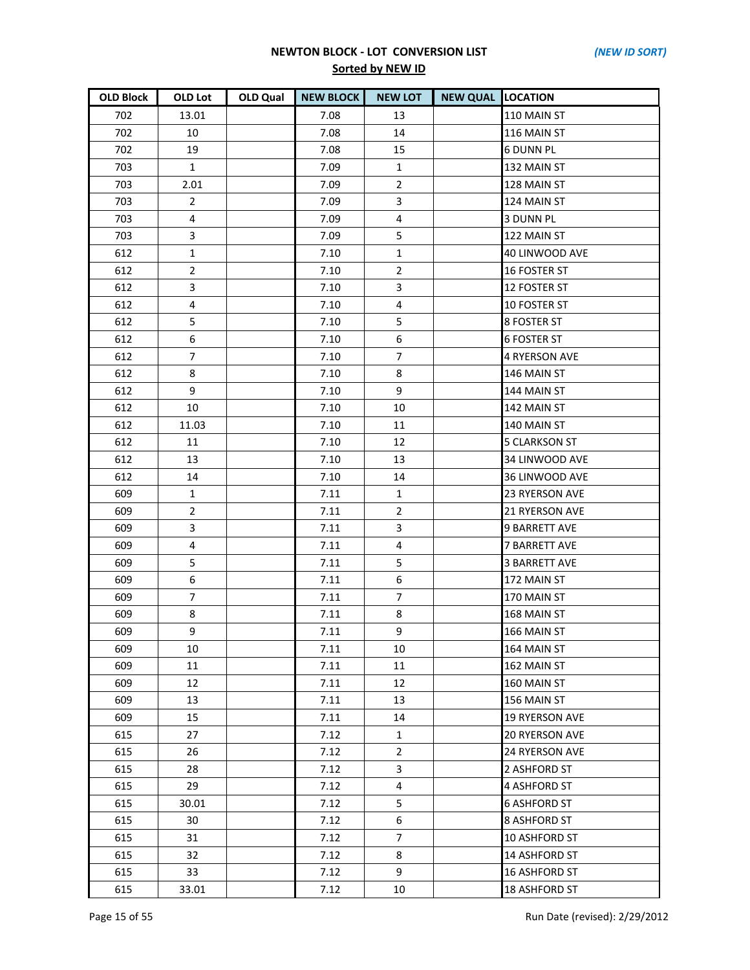| <b>OLD Block</b> | OLD Lot        | OLD Qual | <b>NEW BLOCK</b> | <b>NEW LOT</b>   | <b>NEW QUAL LOCATION</b> |                       |
|------------------|----------------|----------|------------------|------------------|--------------------------|-----------------------|
| 702              | 13.01          |          | 7.08             | 13               |                          | 110 MAIN ST           |
| 702              | 10             |          | 7.08             | 14               |                          | 116 MAIN ST           |
| 702              | 19             |          | 7.08             | 15               |                          | <b>6 DUNN PL</b>      |
| 703              | $\mathbf{1}$   |          | 7.09             | $\mathbf{1}$     |                          | 132 MAIN ST           |
| 703              | 2.01           |          | 7.09             | $\overline{2}$   |                          | 128 MAIN ST           |
| 703              | $\overline{2}$ |          | 7.09             | 3                |                          | 124 MAIN ST           |
| 703              | 4              |          | 7.09             | 4                |                          | 3 DUNN PL             |
| 703              | 3              |          | 7.09             | 5                |                          | 122 MAIN ST           |
| 612              | $\mathbf{1}$   |          | 7.10             | $\mathbf{1}$     |                          | 40 LINWOOD AVE        |
| 612              | $\overline{2}$ |          | 7.10             | $\overline{2}$   |                          | <b>16 FOSTER ST</b>   |
| 612              | 3              |          | 7.10             | 3                |                          | 12 FOSTER ST          |
| 612              | $\overline{4}$ |          | 7.10             | 4                |                          | 10 FOSTER ST          |
| 612              | 5              |          | 7.10             | 5                |                          | 8 FOSTER ST           |
| 612              | 6              |          | 7.10             | 6                |                          | <b>6 FOSTER ST</b>    |
| 612              | $\overline{7}$ |          | 7.10             | $\overline{7}$   |                          | <b>4 RYERSON AVE</b>  |
| 612              | 8              |          | 7.10             | 8                |                          | 146 MAIN ST           |
| 612              | 9              |          | 7.10             | 9                |                          | 144 MAIN ST           |
| 612              | 10             |          | 7.10             | 10               |                          | 142 MAIN ST           |
| 612              | 11.03          |          | 7.10             | 11               |                          | 140 MAIN ST           |
| 612              | 11             |          | 7.10             | 12               |                          | <b>5 CLARKSON ST</b>  |
| 612              | 13             |          | 7.10             | 13               |                          | 34 LINWOOD AVE        |
| 612              | 14             |          | 7.10             | 14               |                          | 36 LINWOOD AVE        |
| 609              | 1              |          | 7.11             | 1                |                          | <b>23 RYERSON AVE</b> |
| 609              | $\overline{2}$ |          | 7.11             | $\overline{2}$   |                          | <b>21 RYERSON AVE</b> |
| 609              | 3              |          | 7.11             | 3                |                          | <b>9 BARRETT AVE</b>  |
| 609              | $\overline{4}$ |          | 7.11             | 4                |                          | <b>7 BARRETT AVE</b>  |
| 609              | 5              |          | 7.11             | 5                |                          | <b>3 BARRETT AVE</b>  |
| 609              | 6              |          | 7.11             | $\boldsymbol{6}$ |                          | 172 MAIN ST           |
| 609              | $\overline{7}$ |          | 7.11             | $\overline{7}$   |                          | 170 MAIN ST           |
| 609              | 8              |          | 7.11             | 8                |                          | 168 MAIN ST           |
| 609              | 9              |          | 7.11             | 9                |                          | 166 MAIN ST           |
| 609              | 10             |          | 7.11             | 10               |                          | 164 MAIN ST           |
| 609              | 11             |          | 7.11             | 11               |                          | 162 MAIN ST           |
| 609              | 12             |          | 7.11             | 12               |                          | 160 MAIN ST           |
| 609              | 13             |          | 7.11             | 13               |                          | 156 MAIN ST           |
| 609              | 15             |          | 7.11             | 14               |                          | <b>19 RYERSON AVE</b> |
| 615              | 27             |          | 7.12             | $\mathbf{1}$     |                          | <b>20 RYERSON AVE</b> |
| 615              | 26             |          | 7.12             | $\overline{2}$   |                          | <b>24 RYERSON AVE</b> |
| 615              | 28             |          | 7.12             | 3                |                          | 2 ASHFORD ST          |
| 615              | 29             |          | 7.12             | 4                |                          | 4 ASHFORD ST          |
| 615              | 30.01          |          | 7.12             | 5                |                          | <b>6 ASHFORD ST</b>   |
| 615              | 30             |          | 7.12             | 6                |                          | 8 ASHFORD ST          |
| 615              | 31             |          | 7.12             | $\overline{7}$   |                          | 10 ASHFORD ST         |
| 615              | 32             |          | 7.12             | 8                |                          | 14 ASHFORD ST         |
| 615              | 33             |          | 7.12             | 9                |                          | 16 ASHFORD ST         |
| 615              | 33.01          |          | 7.12             | 10               |                          | 18 ASHFORD ST         |

Page 15 of 55 Run Date (revised): 2/29/2012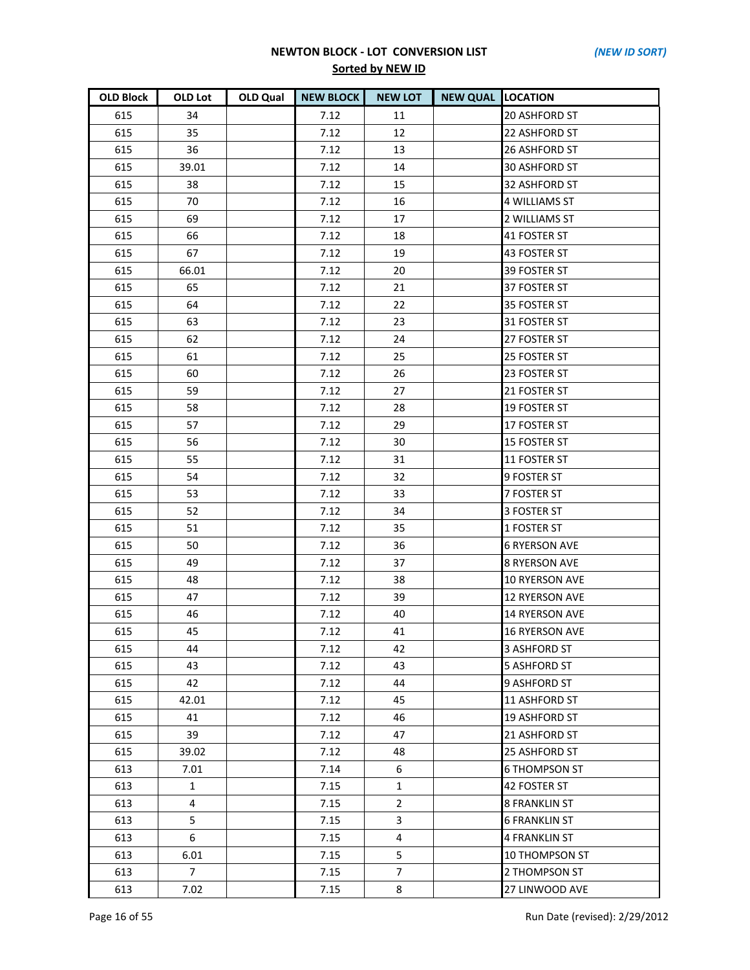| <b>OLD Block</b> | OLD Lot        | OLD Qual | <b>NEW BLOCK</b> | <b>NEW LOT</b> | <b>NEW QUAL LOCATION</b> |                       |
|------------------|----------------|----------|------------------|----------------|--------------------------|-----------------------|
| 615              | 34             |          | 7.12             | 11             |                          | 20 ASHFORD ST         |
| 615              | 35             |          | 7.12             | 12             |                          | 22 ASHFORD ST         |
| 615              | 36             |          | 7.12             | 13             |                          | 26 ASHFORD ST         |
| 615              | 39.01          |          | 7.12             | 14             |                          | 30 ASHFORD ST         |
| 615              | 38             |          | 7.12             | 15             |                          | 32 ASHFORD ST         |
| 615              | 70             |          | 7.12             | 16             |                          | <b>4 WILLIAMS ST</b>  |
| 615              | 69             |          | 7.12             | 17             |                          | 2 WILLIAMS ST         |
| 615              | 66             |          | 7.12             | 18             |                          | 41 FOSTER ST          |
| 615              | 67             |          | 7.12             | 19             |                          | 43 FOSTER ST          |
| 615              | 66.01          |          | 7.12             | 20             |                          | 39 FOSTER ST          |
| 615              | 65             |          | 7.12             | 21             |                          | 37 FOSTER ST          |
| 615              | 64             |          | 7.12             | 22             |                          | 35 FOSTER ST          |
| 615              | 63             |          | 7.12             | 23             |                          | 31 FOSTER ST          |
| 615              | 62             |          | 7.12             | 24             |                          | 27 FOSTER ST          |
| 615              | 61             |          | 7.12             | 25             |                          | 25 FOSTER ST          |
| 615              | 60             |          | 7.12             | 26             |                          | 23 FOSTER ST          |
| 615              | 59             |          | 7.12             | 27             |                          | 21 FOSTER ST          |
| 615              | 58             |          | 7.12             | 28             |                          | 19 FOSTER ST          |
| 615              | 57             |          | 7.12             | 29             |                          | 17 FOSTER ST          |
| 615              | 56             |          | 7.12             | 30             |                          | <b>15 FOSTER ST</b>   |
| 615              | 55             |          | 7.12             | 31             |                          | 11 FOSTER ST          |
| 615              | 54             |          | 7.12             | 32             |                          | 9 FOSTER ST           |
| 615              | 53             |          | 7.12             | 33             |                          | 7 FOSTER ST           |
| 615              | 52             |          | 7.12             | 34             |                          | 3 FOSTER ST           |
| 615              | 51             |          | 7.12             | 35             |                          | 1 FOSTER ST           |
| 615              | 50             |          | 7.12             | 36             |                          | <b>6 RYERSON AVE</b>  |
| 615              | 49             |          | 7.12             | 37             |                          | <b>8 RYERSON AVE</b>  |
| 615              | 48             |          | 7.12             | 38             |                          | 10 RYERSON AVE        |
| 615              | 47             |          | 7.12             | 39             |                          | <b>12 RYERSON AVE</b> |
| 615              | 46             |          | 7.12             | 40             |                          | 14 RYERSON AVE        |
| 615              | 45             |          | 7.12             | 41             |                          | <b>16 RYERSON AVE</b> |
| 615              | 44             |          | 7.12             | 42             |                          | 3 ASHFORD ST          |
| 615              | 43             |          | 7.12             | 43             |                          | <b>5 ASHFORD ST</b>   |
| 615              | 42             |          | 7.12             | 44             |                          | 9 ASHFORD ST          |
| 615              | 42.01          |          | 7.12             | 45             |                          | 11 ASHFORD ST         |
| 615              | 41             |          | 7.12             | 46             |                          | 19 ASHFORD ST         |
| 615              | 39             |          | 7.12             | 47             |                          | 21 ASHFORD ST         |
| 615              | 39.02          |          | 7.12             | 48             |                          | 25 ASHFORD ST         |
| 613              | 7.01           |          | 7.14             | 6              |                          | <b>6 THOMPSON ST</b>  |
| 613              | 1              |          | 7.15             | $\mathbf{1}$   |                          | 42 FOSTER ST          |
| 613              | $\overline{4}$ |          | 7.15             | $\overline{2}$ |                          | <b>8 FRANKLIN ST</b>  |
| 613              | 5              |          | 7.15             | 3              |                          | 6 FRANKLIN ST         |
| 613              | 6              |          | 7.15             | 4              |                          | <b>4 FRANKLIN ST</b>  |
| 613              | 6.01           |          | 7.15             | 5              |                          | 10 THOMPSON ST        |
| 613              | $\overline{7}$ |          | 7.15             | $\overline{7}$ |                          | 2 THOMPSON ST         |
| 613              | 7.02           |          | 7.15             | 8              |                          | 27 LINWOOD AVE        |

Page 16 of 55 Run Date (revised): 2/29/2012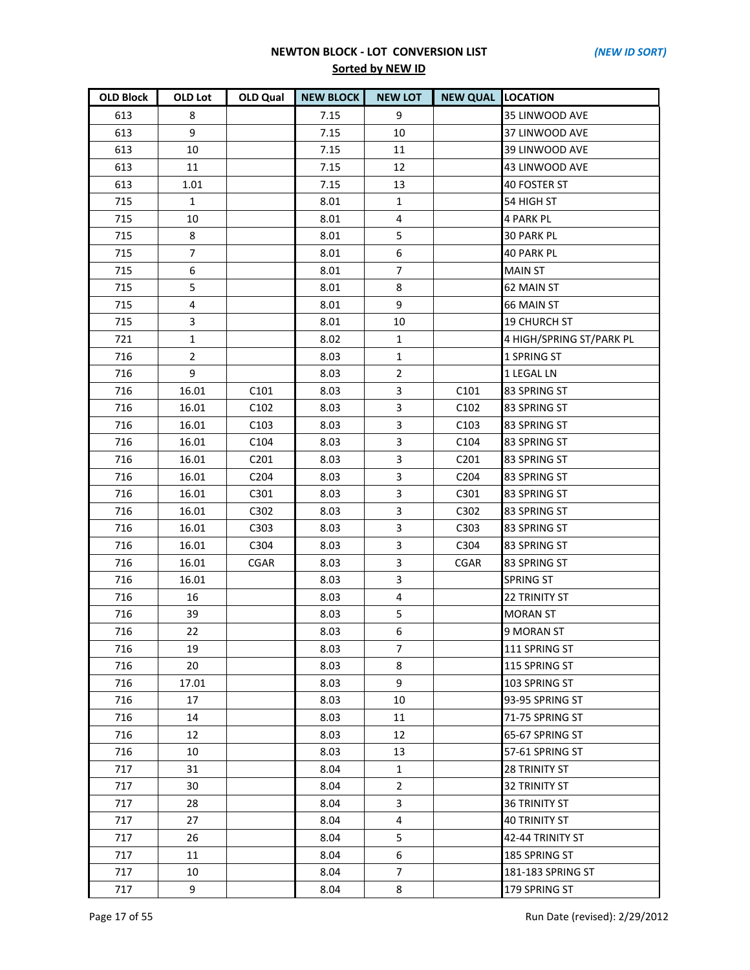| <b>OLD Block</b> | OLD Lot        | OLD Qual         | <b>NEW BLOCK</b> | <b>NEW LOT</b> | <b>NEW QUAL LOCATION</b> |                          |
|------------------|----------------|------------------|------------------|----------------|--------------------------|--------------------------|
| 613              | 8              |                  | 7.15             | 9              |                          | 35 LINWOOD AVE           |
| 613              | 9              |                  | 7.15             | 10             |                          | 37 LINWOOD AVE           |
| 613              | 10             |                  | 7.15             | 11             |                          | 39 LINWOOD AVE           |
| 613              | 11             |                  | 7.15             | 12             |                          | 43 LINWOOD AVE           |
| 613              | 1.01           |                  | 7.15             | 13             |                          | 40 FOSTER ST             |
| 715              | $\mathbf{1}$   |                  | 8.01             | 1              |                          | 54 HIGH ST               |
| 715              | 10             |                  | 8.01             | 4              |                          | <b>4 PARK PL</b>         |
| 715              | 8              |                  | 8.01             | 5              |                          | <b>30 PARK PL</b>        |
| 715              | $\overline{7}$ |                  | 8.01             | 6              |                          | <b>40 PARK PL</b>        |
| 715              | 6              |                  | 8.01             | $\overline{7}$ |                          | <b>MAIN ST</b>           |
| 715              | 5              |                  | 8.01             | 8              |                          | 62 MAIN ST               |
| 715              | $\overline{4}$ |                  | 8.01             | 9              |                          | 66 MAIN ST               |
| 715              | 3              |                  | 8.01             | 10             |                          | <b>19 CHURCH ST</b>      |
| 721              | $\mathbf{1}$   |                  | 8.02             | 1              |                          | 4 HIGH/SPRING ST/PARK PL |
| 716              | $\overline{2}$ |                  | 8.03             | $\mathbf{1}$   |                          | 1 SPRING ST              |
| 716              | 9              |                  | 8.03             | $\overline{2}$ |                          | 1 LEGAL LN               |
| 716              | 16.01          | C <sub>101</sub> | 8.03             | 3              | C <sub>101</sub>         | 83 SPRING ST             |
| 716              | 16.01          | C102             | 8.03             | 3              | C102                     | 83 SPRING ST             |
| 716              | 16.01          | C <sub>103</sub> | 8.03             | 3              | C <sub>103</sub>         | 83 SPRING ST             |
| 716              | 16.01          | C104             | 8.03             | 3              | C <sub>104</sub>         | 83 SPRING ST             |
| 716              | 16.01          | C201             | 8.03             | 3              | C201                     | 83 SPRING ST             |
| 716              | 16.01          | C <sub>204</sub> | 8.03             | $\mathbf{3}$   | C <sub>204</sub>         | 83 SPRING ST             |
| 716              | 16.01          | C301             | 8.03             | 3              | C301                     | 83 SPRING ST             |
| 716              | 16.01          | C302             | 8.03             | 3              | C302                     | 83 SPRING ST             |
| 716              | 16.01          | C303             | 8.03             | 3              | C303                     | 83 SPRING ST             |
| 716              | 16.01          | C304             | 8.03             | 3              | C304                     | 83 SPRING ST             |
| 716              | 16.01          | CGAR             | 8.03             | $\overline{3}$ | CGAR                     | 83 SPRING ST             |
| 716              | 16.01          |                  | 8.03             | 3              |                          | <b>SPRING ST</b>         |
| 716              | 16             |                  | 8.03             | 4              |                          | <b>22 TRINITY ST</b>     |
| 716              | 39             |                  | 8.03             | 5              |                          | <b>MORAN ST</b>          |
| 716              | 22             |                  | 8.03             | 6              |                          | 9 MORAN ST               |
| 716              | 19             |                  | 8.03             | 7              |                          | 111 SPRING ST            |
| 716              | 20             |                  | 8.03             | 8              |                          | 115 SPRING ST            |
| 716              | 17.01          |                  | 8.03             | 9              |                          | 103 SPRING ST            |
| 716              | 17             |                  | 8.03             | 10             |                          | 93-95 SPRING ST          |
| 716              | 14             |                  | 8.03             | 11             |                          | 71-75 SPRING ST          |
| 716              | 12             |                  | 8.03             | 12             |                          | 65-67 SPRING ST          |
| 716              | 10             |                  | 8.03             | 13             |                          | 57-61 SPRING ST          |
| 717              | 31             |                  | 8.04             | 1              |                          | <b>28 TRINITY ST</b>     |
| 717              | 30             |                  | 8.04             | $\mathbf{2}$   |                          | <b>32 TRINITY ST</b>     |
| 717              | 28             |                  | 8.04             | 3              |                          | <b>36 TRINITY ST</b>     |
| 717              | 27             |                  | 8.04             | 4              |                          | <b>40 TRINITY ST</b>     |
| 717              | 26             |                  | 8.04             | 5              |                          | 42-44 TRINITY ST         |
| 717              | 11             |                  | 8.04             | 6              |                          | 185 SPRING ST            |
| 717              | 10             |                  | 8.04             | $\overline{7}$ |                          | 181-183 SPRING ST        |
| 717              | 9              |                  | 8.04             | 8              |                          | 179 SPRING ST            |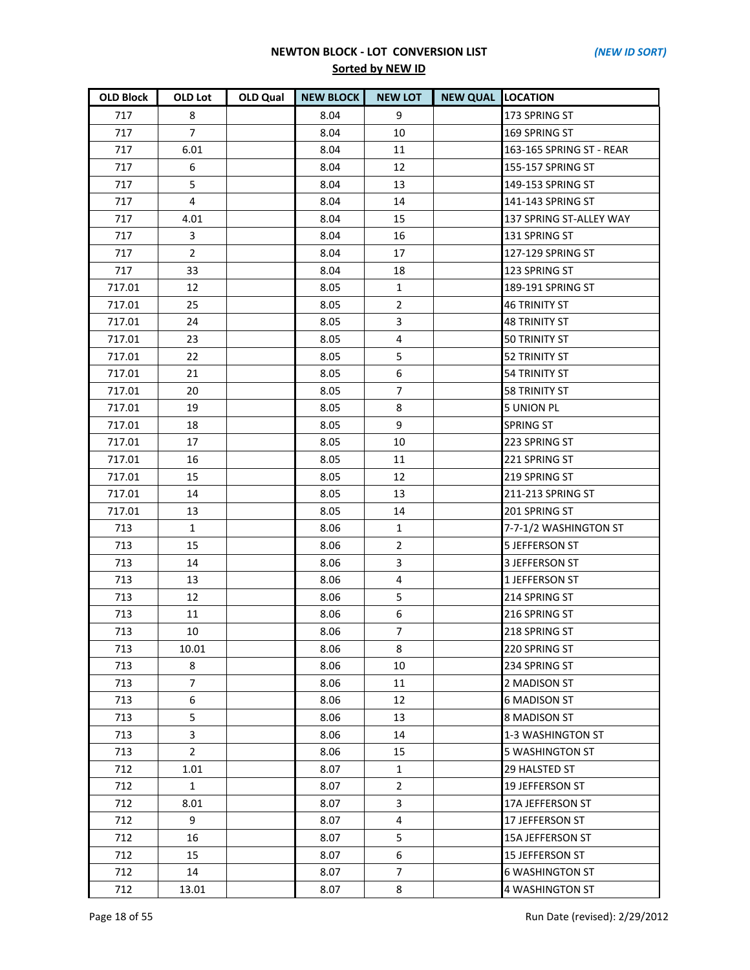| <b>OLD Block</b> | OLD Lot        | <b>OLD Qual</b> | <b>NEW BLOCK</b> | <b>NEW LOT</b> | <b>NEW QUAL LOCATION</b> |                          |
|------------------|----------------|-----------------|------------------|----------------|--------------------------|--------------------------|
| 717              | 8              |                 | 8.04             | 9              |                          | 173 SPRING ST            |
| 717              | $\overline{7}$ |                 | 8.04             | 10             |                          | 169 SPRING ST            |
| 717              | 6.01           |                 | 8.04             | 11             |                          | 163-165 SPRING ST - REAR |
| 717              | 6              |                 | 8.04             | 12             |                          | 155-157 SPRING ST        |
| 717              | 5              |                 | 8.04             | 13             |                          | 149-153 SPRING ST        |
| 717              | $\overline{4}$ |                 | 8.04             | 14             |                          | 141-143 SPRING ST        |
| 717              | 4.01           |                 | 8.04             | 15             |                          | 137 SPRING ST-ALLEY WAY  |
| 717              | 3              |                 | 8.04             | 16             |                          | 131 SPRING ST            |
| 717              | $\overline{2}$ |                 | 8.04             | 17             |                          | 127-129 SPRING ST        |
| 717              | 33             |                 | 8.04             | 18             |                          | 123 SPRING ST            |
| 717.01           | 12             |                 | 8.05             | $\mathbf{1}$   |                          | 189-191 SPRING ST        |
| 717.01           | 25             |                 | 8.05             | $\overline{2}$ |                          | <b>46 TRINITY ST</b>     |
| 717.01           | 24             |                 | 8.05             | 3              |                          | <b>48 TRINITY ST</b>     |
| 717.01           | 23             |                 | 8.05             | 4              |                          | 50 TRINITY ST            |
| 717.01           | 22             |                 | 8.05             | 5              |                          | <b>52 TRINITY ST</b>     |
| 717.01           | 21             |                 | 8.05             | 6              |                          | <b>54 TRINITY ST</b>     |
| 717.01           | 20             |                 | 8.05             | $\overline{7}$ |                          | <b>58 TRINITY ST</b>     |
| 717.01           | 19             |                 | 8.05             | 8              |                          | <b>5 UNION PL</b>        |
| 717.01           | 18             |                 | 8.05             | 9              |                          | <b>SPRING ST</b>         |
| 717.01           | 17             |                 | 8.05             | 10             |                          | 223 SPRING ST            |
| 717.01           | 16             |                 | 8.05             | 11             |                          | 221 SPRING ST            |
| 717.01           | 15             |                 | 8.05             | 12             |                          | 219 SPRING ST            |
| 717.01           | 14             |                 | 8.05             | 13             |                          | 211-213 SPRING ST        |
| 717.01           | 13             |                 | 8.05             | 14             |                          | 201 SPRING ST            |
| 713              | $\mathbf{1}$   |                 | 8.06             | $\mathbf{1}$   |                          | 7-7-1/2 WASHINGTON ST    |
| 713              | 15             |                 | 8.06             | $\overline{2}$ |                          | <b>5 JEFFERSON ST</b>    |
| 713              | 14             |                 | 8.06             | 3              |                          | <b>3 JEFFERSON ST</b>    |
| 713              | 13             |                 | 8.06             | $\overline{4}$ |                          | 1 JEFFERSON ST           |
| 713              | 12             |                 | 8.06             | 5              |                          | 214 SPRING ST            |
| 713              | 11             |                 | 8.06             | 6              |                          | 216 SPRING ST            |
| 713              | 10             |                 | 8.06             | $\overline{7}$ |                          | 218 SPRING ST            |
| 713              | 10.01          |                 | 8.06             | 8              |                          | 220 SPRING ST            |
| 713              | 8              |                 | 8.06             | 10             |                          | 234 SPRING ST            |
| 713              | $\overline{7}$ |                 | 8.06             | 11             |                          | 2 MADISON ST             |
| 713              | 6              |                 | 8.06             | 12             |                          | <b>6 MADISON ST</b>      |
| 713              | 5              |                 | 8.06             | 13             |                          | 8 MADISON ST             |
| 713              | 3              |                 | 8.06             | 14             |                          | 1-3 WASHINGTON ST        |
| 713              | $\overline{2}$ |                 | 8.06             | 15             |                          | 5 WASHINGTON ST          |
| 712              | 1.01           |                 | 8.07             | $\mathbf{1}$   |                          | 29 HALSTED ST            |
| 712              | $\mathbf{1}$   |                 | 8.07             | $\overline{2}$ |                          | <b>19 JEFFERSON ST</b>   |
| 712              | 8.01           |                 | 8.07             | 3              |                          | 17A JEFFERSON ST         |
| 712              | 9              |                 | 8.07             | 4              |                          | 17 JEFFERSON ST          |
| 712              | 16             |                 | 8.07             | 5              |                          | 15A JEFFERSON ST         |
| 712              | 15             |                 | 8.07             | 6              |                          | <b>15 JEFFERSON ST</b>   |
| 712              | 14             |                 | 8.07             | 7              |                          | <b>6 WASHINGTON ST</b>   |
| 712              | 13.01          |                 | 8.07             | 8              |                          | 4 WASHINGTON ST          |

Page 18 of 55 Run Date (revised): 2/29/2012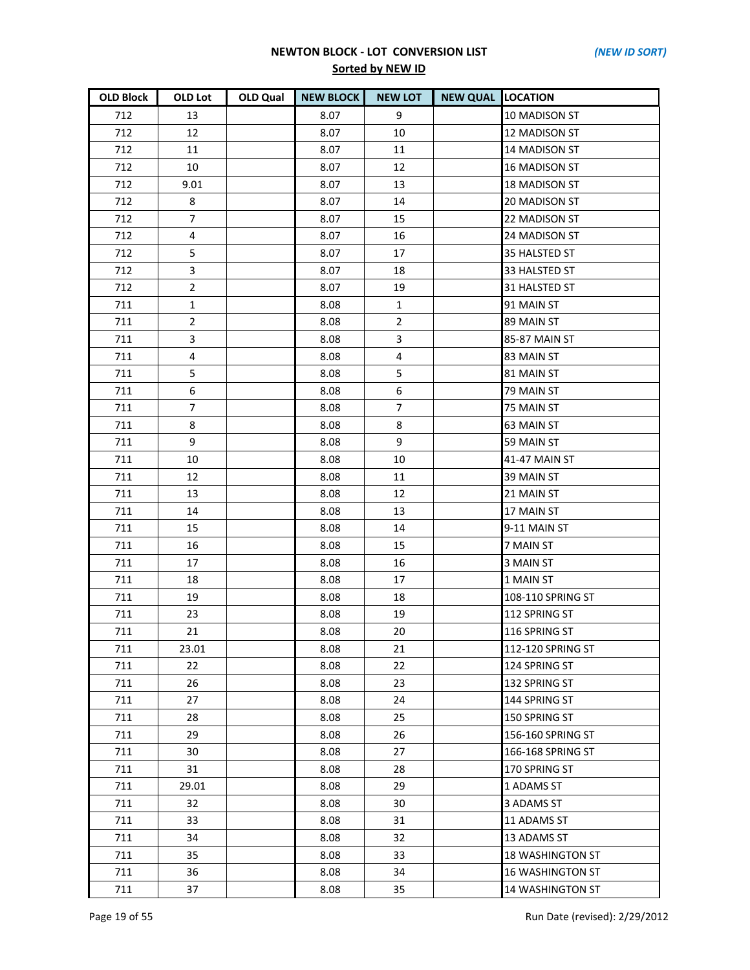| <b>OLD Block</b> | OLD Lot        | <b>OLD Qual</b> | <b>NEW BLOCK</b> | <b>NEW LOT</b> | <b>NEW QUAL LOCATION</b> |                         |
|------------------|----------------|-----------------|------------------|----------------|--------------------------|-------------------------|
| 712              | 13             |                 | 8.07             | 9              |                          | 10 MADISON ST           |
| 712              | 12             |                 | 8.07             | 10             |                          | 12 MADISON ST           |
| 712              | 11             |                 | 8.07             | 11             |                          | 14 MADISON ST           |
| 712              | 10             |                 | 8.07             | 12             |                          | <b>16 MADISON ST</b>    |
| 712              | 9.01           |                 | 8.07             | 13             |                          | 18 MADISON ST           |
| 712              | 8              |                 | 8.07             | 14             |                          | 20 MADISON ST           |
| 712              | $\overline{7}$ |                 | 8.07             | 15             |                          | 22 MADISON ST           |
| 712              | 4              |                 | 8.07             | 16             |                          | 24 MADISON ST           |
| 712              | 5              |                 | 8.07             | 17             |                          | 35 HALSTED ST           |
| 712              | 3              |                 | 8.07             | 18             |                          | 33 HALSTED ST           |
| 712              | $\overline{2}$ |                 | 8.07             | 19             |                          | 31 HALSTED ST           |
| 711              | $\mathbf{1}$   |                 | 8.08             | $\mathbf{1}$   |                          | 91 MAIN ST              |
| 711              | $\overline{2}$ |                 | 8.08             | $\overline{2}$ |                          | 89 MAIN ST              |
| 711              | 3              |                 | 8.08             | 3              |                          | 85-87 MAIN ST           |
| 711              | $\overline{4}$ |                 | 8.08             | 4              |                          | 83 MAIN ST              |
| 711              | 5              |                 | 8.08             | 5              |                          | 81 MAIN ST              |
| 711              | 6              |                 | 8.08             | 6              |                          | 79 MAIN ST              |
| 711              | 7              |                 | 8.08             | 7              |                          | 75 MAIN ST              |
| 711              | 8              |                 | 8.08             | 8              |                          | 63 MAIN ST              |
| 711              | 9              |                 | 8.08             | 9              |                          | 59 MAIN ST              |
| 711              | 10             |                 | 8.08             | 10             |                          | 41-47 MAIN ST           |
| 711              | 12             |                 | 8.08             | 11             |                          | 39 MAIN ST              |
| 711              | 13             |                 | 8.08             | 12             |                          | 21 MAIN ST              |
| 711              | 14             |                 | 8.08             | 13             |                          | 17 MAIN ST              |
| 711              | 15             |                 | 8.08             | 14             |                          | 9-11 MAIN ST            |
| 711              | 16             |                 | 8.08             | 15             |                          | 7 MAIN ST               |
| 711              | 17             |                 | 8.08             | 16             |                          | 3 MAIN ST               |
| 711              | 18             |                 | 8.08             | 17             |                          | 1 MAIN ST               |
| 711              | 19             |                 | 8.08             | 18             |                          | 108-110 SPRING ST       |
| 711              | 23             |                 | 8.08             | 19             |                          | 112 SPRING ST           |
| 711              | 21             |                 | 8.08             | 20             |                          | 116 SPRING ST           |
| 711              | 23.01          |                 | 8.08             | 21             |                          | 112-120 SPRING ST       |
| 711              | 22             |                 | 8.08             | 22             |                          | 124 SPRING ST           |
| 711              | 26             |                 | 8.08             | 23             |                          | 132 SPRING ST           |
| 711              | 27             |                 | 8.08             | 24             |                          | 144 SPRING ST           |
| 711              | 28             |                 | 8.08             | 25             |                          | 150 SPRING ST           |
| 711              | 29             |                 | 8.08             | 26             |                          | 156-160 SPRING ST       |
| 711              | 30             |                 | 8.08             | 27             |                          | 166-168 SPRING ST       |
| 711              | 31             |                 | 8.08             | 28             |                          | 170 SPRING ST           |
| 711              | 29.01          |                 | 8.08             | 29             |                          | 1 ADAMS ST              |
| 711              | 32             |                 | 8.08             | 30             |                          | 3 ADAMS ST              |
| 711              | 33             |                 | 8.08             | 31             |                          | 11 ADAMS ST             |
| 711              | 34             |                 | 8.08             | 32             |                          | 13 ADAMS ST             |
| 711              | 35             |                 | 8.08             | 33             |                          | <b>18 WASHINGTON ST</b> |
| 711              | 36             |                 | 8.08             | 34             |                          | <b>16 WASHINGTON ST</b> |
| 711              | 37             |                 | 8.08             | 35             |                          | <b>14 WASHINGTON ST</b> |

Page 19 of 55 Run Date (revised): 2/29/2012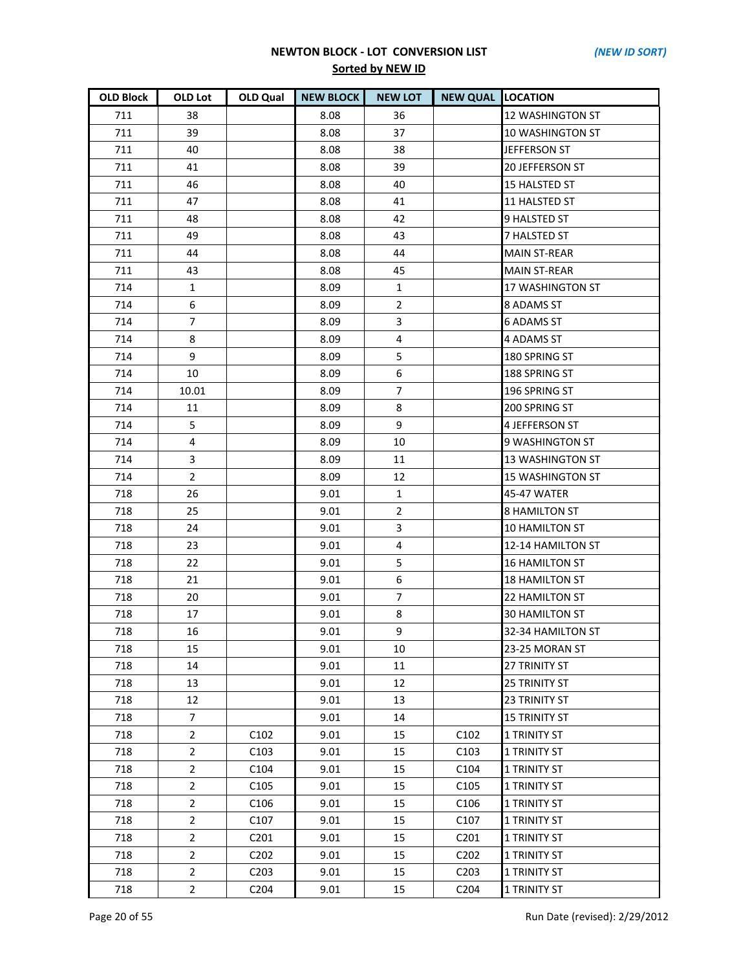| <b>OLD Block</b> | OLD Lot        | OLD Qual                      | <b>NEW BLOCK</b> | <b>NEW LOT</b> | <b>NEW QUAL LOCATION</b> |                         |
|------------------|----------------|-------------------------------|------------------|----------------|--------------------------|-------------------------|
| 711              | 38             |                               | 8.08             | 36             |                          | <b>12 WASHINGTON ST</b> |
| 711              | 39             |                               | 8.08             | 37             |                          | <b>10 WASHINGTON ST</b> |
| 711              | 40             |                               | 8.08             | 38             |                          | JEFFERSON ST            |
| 711              | 41             |                               | 8.08             | 39             |                          | <b>20 JEFFERSON ST</b>  |
| 711              | 46             |                               | 8.08             | 40             |                          | 15 HALSTED ST           |
| 711              | 47             |                               | 8.08             | 41             |                          | 11 HALSTED ST           |
| 711              | 48             |                               | 8.08             | 42             |                          | 9 HALSTED ST            |
| 711              | 49             |                               | 8.08             | 43             |                          | 7 HALSTED ST            |
| 711              | 44             |                               | 8.08             | 44             |                          | <b>MAIN ST-REAR</b>     |
| 711              | 43             |                               | 8.08             | 45             |                          | <b>MAIN ST-REAR</b>     |
| 714              | 1              |                               | 8.09             | 1              |                          | 17 WASHINGTON ST        |
| 714              | 6              |                               | 8.09             | $\overline{2}$ |                          | 8 ADAMS ST              |
| 714              | $\overline{7}$ |                               | 8.09             | 3              |                          | <b>6 ADAMS ST</b>       |
| 714              | 8              |                               | 8.09             | 4              |                          | 4 ADAMS ST              |
| 714              | 9              |                               | 8.09             | 5              |                          | 180 SPRING ST           |
| 714              | 10             |                               | 8.09             | 6              |                          | 188 SPRING ST           |
| 714              | 10.01          |                               | 8.09             | $\overline{7}$ |                          | 196 SPRING ST           |
| 714              | 11             |                               | 8.09             | 8              |                          | 200 SPRING ST           |
| 714              | 5              |                               | 8.09             | 9              |                          | 4 JEFFERSON ST          |
| 714              | 4              |                               | 8.09             | 10             |                          | 9 WASHINGTON ST         |
| 714              | 3              |                               | 8.09             | 11             |                          | <b>13 WASHINGTON ST</b> |
| 714              | $\overline{2}$ |                               | 8.09             | 12             |                          | <b>15 WASHINGTON ST</b> |
| 718              | 26             |                               | 9.01             | 1              |                          | 45-47 WATER             |
| 718              | 25             |                               | 9.01             | $\overline{2}$ |                          | <b>8 HAMILTON ST</b>    |
| 718              | 24             |                               | 9.01             | 3              |                          | <b>10 HAMILTON ST</b>   |
| 718              | 23             |                               | 9.01             | 4              |                          | 12-14 HAMILTON ST       |
| 718              | 22             |                               | 9.01             | 5              |                          | <b>16 HAMILTON ST</b>   |
| 718              | 21             |                               | 9.01             | 6              |                          | <b>18 HAMILTON ST</b>   |
| 718              | 20             |                               | 9.01             | $\overline{7}$ |                          | 22 HAMILTON ST          |
| 718              | 17             |                               | 9.01             | 8              |                          | <b>30 HAMILTON ST</b>   |
| 718              | 16             |                               | 9.01             | 9              |                          | 32-34 HAMILTON ST       |
| 718              | 15             |                               | 9.01             | 10             |                          | 23-25 MORAN ST          |
| 718              | 14             |                               | 9.01             | 11             |                          | <b>27 TRINITY ST</b>    |
| 718              | 13             |                               | 9.01             | 12             |                          | <b>25 TRINITY ST</b>    |
| 718              | 12             |                               | 9.01             | 13             |                          | <b>23 TRINITY ST</b>    |
| 718              | $\overline{7}$ |                               | 9.01             | 14             |                          | <b>15 TRINITY ST</b>    |
| 718              | $\overline{2}$ | C <sub>102</sub>              | 9.01             | 15             | C <sub>102</sub>         | <b>1 TRINITY ST</b>     |
| 718              | $\overline{a}$ | C <sub>103</sub>              | 9.01             | 15             | C <sub>103</sub>         | <b>1 TRINITY ST</b>     |
| 718              | $\overline{2}$ | C104                          | 9.01             | 15             | C104                     | <b>1 TRINITY ST</b>     |
| 718              | $\overline{2}$ | C <sub>105</sub>              | 9.01             | 15             | C <sub>105</sub>         | 1 TRINITY ST            |
| 718              | $\overline{2}$ | C <sub>106</sub>              | 9.01             | 15             | C106                     | 1 TRINITY ST            |
| 718              | $\overline{2}$ | C107                          | 9.01             | 15             | C107                     | <b>1 TRINITY ST</b>     |
| 718              | $\overline{2}$ | C <sub>201</sub>              | 9.01             | 15             | C201                     | <b>1 TRINITY ST</b>     |
| 718              | $\overline{2}$ | C <sub>2</sub> 0 <sub>2</sub> | 9.01             | 15             | C <sub>202</sub>         | 1 TRINITY ST            |
| 718              | $\overline{2}$ | C <sub>2</sub> 03             | 9.01             | 15             | C203                     | <b>1 TRINITY ST</b>     |
| 718              | $\overline{2}$ | C <sub>2</sub> 04             | 9.01             | 15             | C <sub>204</sub>         | <b>1 TRINITY ST</b>     |

Page 20 of 55 Run Date (revised): 2/29/2012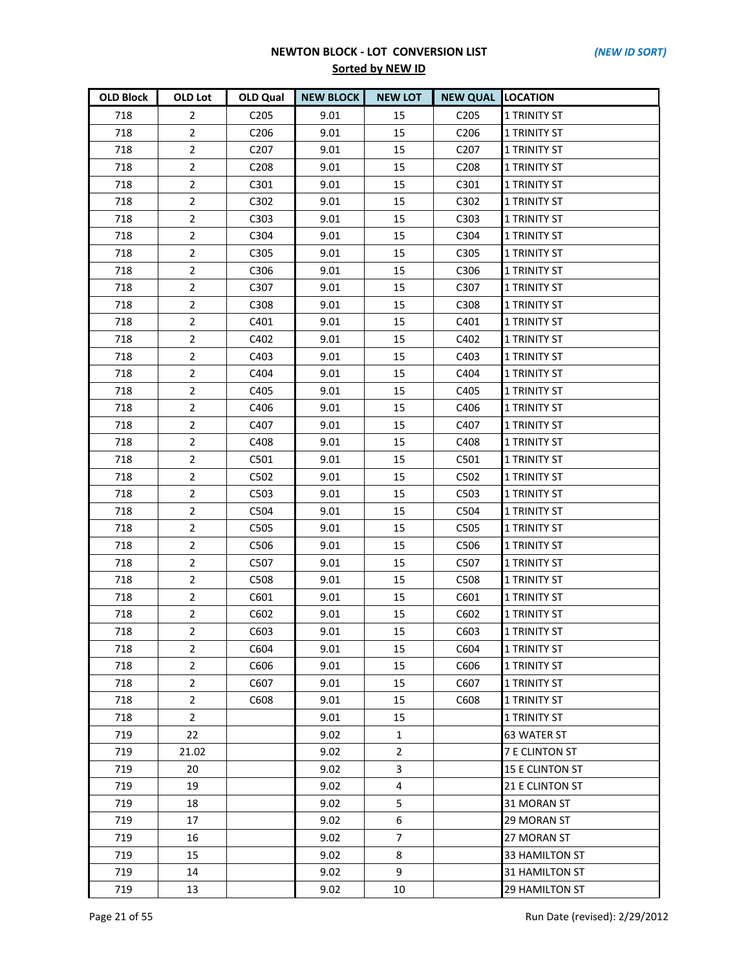| <b>OLD Block</b> | OLD Lot        | OLD Qual          | <b>NEW BLOCK</b> | <b>NEW LOT</b> | <b>NEW QUAL LOCATION</b> |                        |
|------------------|----------------|-------------------|------------------|----------------|--------------------------|------------------------|
| 718              | $\overline{2}$ | C205              | 9.01             | 15             | C <sub>205</sub>         | <b>1 TRINITY ST</b>    |
| 718              | $\overline{2}$ | C206              | 9.01             | 15             | C206                     | <b>1 TRINITY ST</b>    |
| 718              | $\overline{2}$ | C <sub>2</sub> 07 | 9.01             | 15             | C <sub>207</sub>         | <b>1 TRINITY ST</b>    |
| 718              | $\overline{2}$ | C <sub>208</sub>  | 9.01             | 15             | C <sub>208</sub>         | <b>1 TRINITY ST</b>    |
| 718              | $\overline{2}$ | C301              | 9.01             | 15             | C301                     | <b>1 TRINITY ST</b>    |
| 718              | $\overline{2}$ | C302              | 9.01             | 15             | C302                     | <b>1 TRINITY ST</b>    |
| 718              | $\overline{2}$ | C303              | 9.01             | 15             | C303                     | <b>1 TRINITY ST</b>    |
| 718              | $\overline{2}$ | C304              | 9.01             | 15             | C304                     | <b>1 TRINITY ST</b>    |
| 718              | $\overline{2}$ | C305              | 9.01             | 15             | C305                     | <b>1 TRINITY ST</b>    |
| 718              | $\overline{2}$ | C306              | 9.01             | 15             | C306                     | <b>1 TRINITY ST</b>    |
| 718              | $\overline{2}$ | C307              | 9.01             | 15             | C307                     | <b>1 TRINITY ST</b>    |
| 718              | $\overline{2}$ | C308              | 9.01             | 15             | C308                     | <b>1 TRINITY ST</b>    |
| 718              | $\overline{2}$ | C401              | 9.01             | 15             | C401                     | <b>1 TRINITY ST</b>    |
| 718              | $\overline{2}$ | C402              | 9.01             | 15             | C402                     | <b>1 TRINITY ST</b>    |
| 718              | $\overline{2}$ | C403              | 9.01             | 15             | C403                     | 1 TRINITY ST           |
| 718              | $\overline{2}$ | C404              | 9.01             | 15             | C404                     | <b>1 TRINITY ST</b>    |
| 718              | $\overline{2}$ | C405              | 9.01             | 15             | C405                     | <b>1 TRINITY ST</b>    |
| 718              | $\overline{2}$ | C406              | 9.01             | 15             | C406                     | <b>1 TRINITY ST</b>    |
| 718              | $\overline{2}$ | C407              | 9.01             | 15             | C407                     | 1 TRINITY ST           |
| 718              | $\overline{2}$ | C408              | 9.01             | 15             | C408                     | 1 TRINITY ST           |
| 718              | $\overline{2}$ | C501              | 9.01             | 15             | C501                     | <b>1 TRINITY ST</b>    |
| 718              | $\overline{2}$ | C502              | 9.01             | 15             | C502                     | <b>1 TRINITY ST</b>    |
| 718              | $\overline{2}$ | C503              | 9.01             | 15             | C503                     | <b>1 TRINITY ST</b>    |
| 718              | $\overline{2}$ | C504              | 9.01             | 15             | C504                     | <b>1 TRINITY ST</b>    |
| 718              | $\overline{2}$ | C505              | 9.01             | 15             | C505                     | 1 TRINITY ST           |
| 718              | $\overline{2}$ | C506              | 9.01             | 15             | C506                     | 1 TRINITY ST           |
| 718              | $\overline{2}$ | C507              | 9.01             | 15             | C507                     | <b>1 TRINITY ST</b>    |
| 718              | $\overline{2}$ | C508              | 9.01             | 15             | C508                     | <b>1 TRINITY ST</b>    |
| 718              | $\overline{2}$ | C601              | 9.01             | 15             | C601                     | <b>1 TRINITY ST</b>    |
| 718              | $\overline{2}$ | C602              | 9.01             | 15             | C602                     | <b>1 TRINITY ST</b>    |
| 718              | $\overline{2}$ | C603              | 9.01             | 15             | C603                     | <b>1 TRINITY ST</b>    |
| 718              | $\overline{2}$ | C604              | 9.01             | 15             | C604                     | <b>1 TRINITY ST</b>    |
| 718              | $\overline{2}$ | C606              | 9.01             | 15             | C606                     | <b>1 TRINITY ST</b>    |
| 718              | $\overline{2}$ | C607              | 9.01             | 15             | C607                     | 1 TRINITY ST           |
| 718              | $\overline{2}$ | C608              | 9.01             | 15             | C608                     | <b>1 TRINITY ST</b>    |
| 718              | $\overline{2}$ |                   | 9.01             | 15             |                          | <b>1 TRINITY ST</b>    |
| 719              | 22             |                   | 9.02             | 1              |                          | <b>63 WATER ST</b>     |
| 719              | 21.02          |                   | 9.02             | $\overline{2}$ |                          | <b>7 E CLINTON ST</b>  |
| 719              | 20             |                   | 9.02             | 3              |                          | <b>15 E CLINTON ST</b> |
| 719              | 19             |                   | 9.02             | 4              |                          | 21 E CLINTON ST        |
| 719              | 18             |                   | 9.02             | 5              |                          | 31 MORAN ST            |
| 719              | 17             |                   | 9.02             | 6              |                          | 29 MORAN ST            |
| 719              | 16             |                   | 9.02             | $\overline{7}$ |                          | 27 MORAN ST            |
| 719              | 15             |                   | 9.02             | 8              |                          | 33 HAMILTON ST         |
| 719              | 14             |                   | 9.02             | 9              |                          | 31 HAMILTON ST         |
| 719              | 13             |                   | 9.02             | 10             |                          | 29 HAMILTON ST         |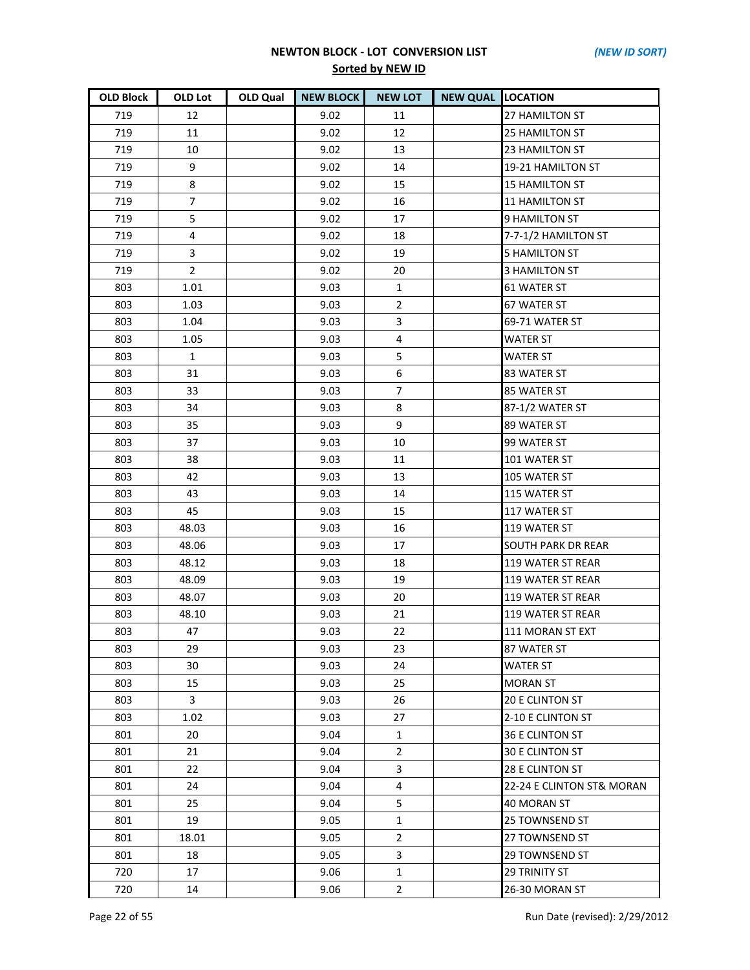| <b>OLD Block</b> | OLD Lot                 | OLD Qual | <b>NEW BLOCK</b> | <b>NEW LOT</b> | <b>NEW QUAL LOCATION</b> |                           |
|------------------|-------------------------|----------|------------------|----------------|--------------------------|---------------------------|
| 719              | 12                      |          | 9.02             | 11             |                          | 27 HAMILTON ST            |
| 719              | 11                      |          | 9.02             | 12             |                          | 25 HAMILTON ST            |
| 719              | 10                      |          | 9.02             | 13             |                          | 23 HAMILTON ST            |
| 719              | 9                       |          | 9.02             | 14             |                          | 19-21 HAMILTON ST         |
| 719              | 8                       |          | 9.02             | 15             |                          | <b>15 HAMILTON ST</b>     |
| 719              | $\overline{7}$          |          | 9.02             | 16             |                          | <b>11 HAMILTON ST</b>     |
| 719              | 5                       |          | 9.02             | 17             |                          | 9 HAMILTON ST             |
| 719              | $\overline{\mathbf{4}}$ |          | 9.02             | 18             |                          | 7-7-1/2 HAMILTON ST       |
| 719              | 3                       |          | 9.02             | 19             |                          | <b>5 HAMILTON ST</b>      |
| 719              | $\overline{2}$          |          | 9.02             | 20             |                          | <b>3 HAMILTON ST</b>      |
| 803              | 1.01                    |          | 9.03             | 1              |                          | <b>61 WATER ST</b>        |
| 803              | 1.03                    |          | 9.03             | $\overline{2}$ |                          | 67 WATER ST               |
| 803              | 1.04                    |          | 9.03             | 3              |                          | 69-71 WATER ST            |
| 803              | 1.05                    |          | 9.03             | 4              |                          | <b>WATER ST</b>           |
| 803              | $\mathbf{1}$            |          | 9.03             | 5              |                          | <b>WATER ST</b>           |
| 803              | 31                      |          | 9.03             | 6              |                          | 83 WATER ST               |
| 803              | 33                      |          | 9.03             | $\overline{7}$ |                          | 85 WATER ST               |
| 803              | 34                      |          | 9.03             | 8              |                          | 87-1/2 WATER ST           |
| 803              | 35                      |          | 9.03             | 9              |                          | 89 WATER ST               |
| 803              | 37                      |          | 9.03             | 10             |                          | 99 WATER ST               |
| 803              | 38                      |          | 9.03             | 11             |                          | 101 WATER ST              |
| 803              | 42                      |          | 9.03             | 13             |                          | 105 WATER ST              |
| 803              | 43                      |          | 9.03             | 14             |                          | 115 WATER ST              |
| 803              | 45                      |          | 9.03             | 15             |                          | 117 WATER ST              |
| 803              | 48.03                   |          | 9.03             | 16             |                          | 119 WATER ST              |
| 803              | 48.06                   |          | 9.03             | 17             |                          | <b>SOUTH PARK DR REAR</b> |
| 803              | 48.12                   |          | 9.03             | 18             |                          | 119 WATER ST REAR         |
| 803              | 48.09                   |          | 9.03             | 19             |                          | 119 WATER ST REAR         |
| 803              | 48.07                   |          | 9.03             | 20             |                          | 119 WATER ST REAR         |
| 803              | 48.10                   |          | 9.03             | 21             |                          | 119 WATER ST REAR         |
| 803              | 47                      |          | 9.03             | 22             |                          | 111 MORAN ST EXT          |
| 803              | 29                      |          | 9.03             | 23             |                          | 87 WATER ST               |
| 803              | 30                      |          | 9.03             | 24             |                          | <b>WATER ST</b>           |
| 803              | 15                      |          | 9.03             | 25             |                          | <b>MORAN ST</b>           |
| 803              | 3                       |          | 9.03             | 26             |                          | <b>20 E CLINTON ST</b>    |
| 803              | 1.02                    |          | 9.03             | 27             |                          | 2-10 E CLINTON ST         |
| 801              | 20                      |          | 9.04             | 1              |                          | 36 E CLINTON ST           |
| 801              | 21                      |          | 9.04             | $\overline{2}$ |                          | <b>30 E CLINTON ST</b>    |
| 801              | 22                      |          | 9.04             | 3              |                          | 28 E CLINTON ST           |
| 801              | 24                      |          | 9.04             | 4              |                          | 22-24 E CLINTON ST& MORAN |
| 801              | 25                      |          | 9.04             | 5              |                          | 40 MORAN ST               |
| 801              | 19                      |          | 9.05             | $\mathbf{1}$   |                          | 25 TOWNSEND ST            |
| 801              | 18.01                   |          | 9.05             | $\overline{2}$ |                          | 27 TOWNSEND ST            |
| 801              | 18                      |          | 9.05             | 3              |                          | 29 TOWNSEND ST            |
| 720              | 17                      |          | 9.06             | 1              |                          | <b>29 TRINITY ST</b>      |
| 720              | 14                      |          | 9.06             | $2^{\circ}$    |                          | 26-30 MORAN ST            |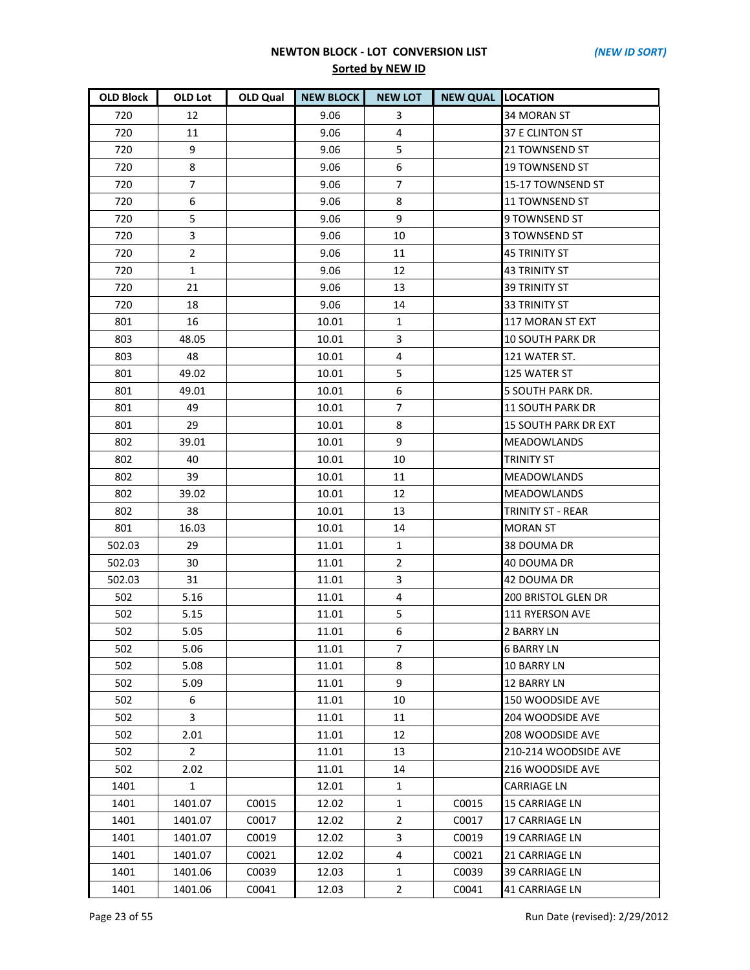| OLD Block | OLD Lot        | OLD Qual | <b>NEW BLOCK</b> | <b>NEW LOT</b> | <b>NEW QUAL LOCATION</b> |                             |
|-----------|----------------|----------|------------------|----------------|--------------------------|-----------------------------|
| 720       | 12             |          | 9.06             | 3              |                          | 34 MORAN ST                 |
| 720       | 11             |          | 9.06             | 4              |                          | 37 E CLINTON ST             |
| 720       | 9              |          | 9.06             | 5              |                          | 21 TOWNSEND ST              |
| 720       | 8              |          | 9.06             | 6              |                          | 19 TOWNSEND ST              |
| 720       | $\overline{7}$ |          | 9.06             | $\overline{7}$ |                          | 15-17 TOWNSEND ST           |
| 720       | 6              |          | 9.06             | 8              |                          | <b>11 TOWNSEND ST</b>       |
| 720       | 5              |          | 9.06             | 9              |                          | 9 TOWNSEND ST               |
| 720       | 3              |          | 9.06             | 10             |                          | 3 TOWNSEND ST               |
| 720       | $\overline{2}$ |          | 9.06             | 11             |                          | <b>45 TRINITY ST</b>        |
| 720       | $\mathbf{1}$   |          | 9.06             | 12             |                          | <b>43 TRINITY ST</b>        |
| 720       | 21             |          | 9.06             | 13             |                          | 39 TRINITY ST               |
| 720       | 18             |          | 9.06             | 14             |                          | <b>33 TRINITY ST</b>        |
| 801       | 16             |          | 10.01            | 1              |                          | 117 MORAN ST EXT            |
| 803       | 48.05          |          | 10.01            | 3              |                          | <b>10 SOUTH PARK DR</b>     |
| 803       | 48             |          | 10.01            | 4              |                          | 121 WATER ST.               |
| 801       | 49.02          |          | 10.01            | 5              |                          | 125 WATER ST                |
| 801       | 49.01          |          | 10.01            | 6              |                          | 5 SOUTH PARK DR.            |
| 801       | 49             |          | 10.01            | 7              |                          | <b>11 SOUTH PARK DR</b>     |
| 801       | 29             |          | 10.01            | 8              |                          | <b>15 SOUTH PARK DR EXT</b> |
| 802       | 39.01          |          | 10.01            | 9              |                          | <b>MEADOWLANDS</b>          |
| 802       | 40             |          | 10.01            | 10             |                          | <b>TRINITY ST</b>           |
| 802       | 39             |          | 10.01            | 11             |                          | <b>MEADOWLANDS</b>          |
| 802       | 39.02          |          | 10.01            | 12             |                          | <b>MEADOWLANDS</b>          |
| 802       | 38             |          | 10.01            | 13             |                          | <b>TRINITY ST - REAR</b>    |
| 801       | 16.03          |          | 10.01            | 14             |                          | <b>MORAN ST</b>             |
| 502.03    | 29             |          | 11.01            | 1              |                          | 38 DOUMA DR                 |
| 502.03    | 30             |          | 11.01            | $\overline{2}$ |                          | 40 DOUMA DR                 |
| 502.03    | 31             |          | 11.01            | 3              |                          | 42 DOUMA DR                 |
| 502       | 5.16           |          | 11.01            | 4              |                          | <b>200 BRISTOL GLEN DR</b>  |
| 502       | 5.15           |          | 11.01            | 5              |                          | 111 RYERSON AVE             |
| 502       | 5.05           |          | 11.01            | 6              |                          | <b>2 BARRY LN</b>           |
| 502       | 5.06           |          | 11.01            | 7              |                          | <b>6 BARRY LN</b>           |
| 502       | 5.08           |          | 11.01            | 8              |                          | 10 BARRY LN                 |
| 502       | 5.09           |          | 11.01            | 9              |                          | 12 BARRY LN                 |
| 502       | 6              |          | 11.01            | 10             |                          | 150 WOODSIDE AVE            |
| 502       | 3              |          | 11.01            | 11             |                          | 204 WOODSIDE AVE            |
| 502       | 2.01           |          | 11.01            | 12             |                          | 208 WOODSIDE AVE            |
| 502       | $\mathbf{2}$   |          | 11.01            | 13             |                          | 210-214 WOODSIDE AVE        |
| 502       | 2.02           |          | 11.01            | 14             |                          | 216 WOODSIDE AVE            |
| 1401      | 1              |          | 12.01            | $\mathbf{1}$   |                          | <b>CARRIAGE LN</b>          |
| 1401      | 1401.07        | C0015    | 12.02            | $\mathbf{1}$   | C0015                    | 15 CARRIAGE LN              |
| 1401      | 1401.07        | C0017    | 12.02            | $\overline{2}$ | C0017                    | 17 CARRIAGE LN              |
| 1401      | 1401.07        | C0019    | 12.02            | 3              | C0019                    | 19 CARRIAGE LN              |
| 1401      | 1401.07        | C0021    | 12.02            | 4              | C0021                    | 21 CARRIAGE LN              |
| 1401      | 1401.06        | C0039    | 12.03            | $\mathbf{1}$   | C0039                    | 39 CARRIAGE LN              |
| 1401      | 1401.06        | C0041    | 12.03            | $\overline{2}$ | C0041                    | 41 CARRIAGE LN              |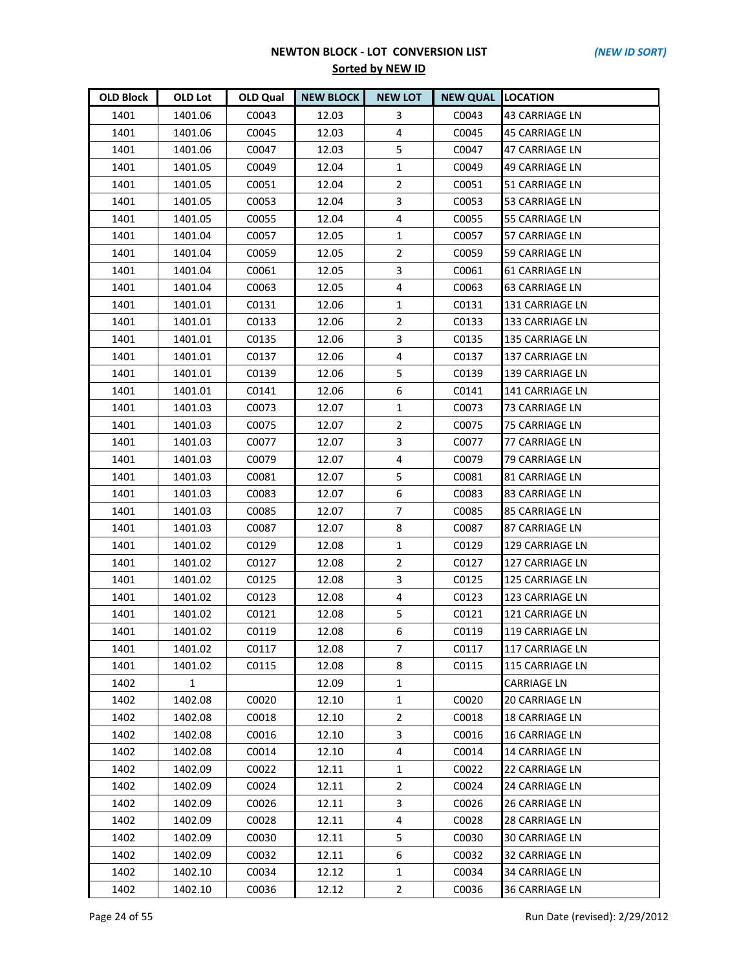| <b>OLD Block</b> | OLD Lot | OLD Qual | <b>NEW BLOCK</b> | <b>NEW LOT</b> | <b>NEW QUAL LOCATION</b> |                        |
|------------------|---------|----------|------------------|----------------|--------------------------|------------------------|
| 1401             | 1401.06 | C0043    | 12.03            | 3              | C0043                    | 43 CARRIAGE LN         |
| 1401             | 1401.06 | C0045    | 12.03            | 4              | C0045                    | <b>45 CARRIAGE LN</b>  |
| 1401             | 1401.06 | C0047    | 12.03            | 5              | C0047                    | <b>47 CARRIAGE LN</b>  |
| 1401             | 1401.05 | C0049    | 12.04            | $\mathbf{1}$   | C0049                    | 49 CARRIAGE LN         |
| 1401             | 1401.05 | C0051    | 12.04            | $\overline{2}$ | C0051                    | 51 CARRIAGE LN         |
| 1401             | 1401.05 | C0053    | 12.04            | 3              | C0053                    | 53 CARRIAGE LN         |
| 1401             | 1401.05 | C0055    | 12.04            | 4              | C0055                    | 55 CARRIAGE LN         |
| 1401             | 1401.04 | C0057    | 12.05            | $\mathbf{1}$   | C0057                    | 57 CARRIAGE LN         |
| 1401             | 1401.04 | C0059    | 12.05            | $\overline{2}$ | C0059                    | 59 CARRIAGE LN         |
| 1401             | 1401.04 | C0061    | 12.05            | 3              | C0061                    | 61 CARRIAGE LN         |
| 1401             | 1401.04 | C0063    | 12.05            | 4              | C0063                    | 63 CARRIAGE LN         |
| 1401             | 1401.01 | C0131    | 12.06            | 1              | C0131                    | 131 CARRIAGE LN        |
| 1401             | 1401.01 | C0133    | 12.06            | $\overline{2}$ | C0133                    | 133 CARRIAGE LN        |
| 1401             | 1401.01 | C0135    | 12.06            | 3              | C0135                    | 135 CARRIAGE LN        |
| 1401             | 1401.01 | C0137    | 12.06            | 4              | C0137                    | 137 CARRIAGE LN        |
| 1401             | 1401.01 | C0139    | 12.06            | 5              | C0139                    | 139 CARRIAGE LN        |
| 1401             | 1401.01 | C0141    | 12.06            | 6              | C0141                    | 141 CARRIAGE LN        |
| 1401             | 1401.03 | C0073    | 12.07            | $\mathbf{1}$   | C0073                    | 73 CARRIAGE LN         |
| 1401             | 1401.03 | C0075    | 12.07            | $\overline{2}$ | C0075                    | 75 CARRIAGE LN         |
| 1401             | 1401.03 | C0077    | 12.07            | 3              | C0077                    | 77 CARRIAGE LN         |
| 1401             | 1401.03 | C0079    | 12.07            | 4              | C0079                    | 79 CARRIAGE LN         |
| 1401             | 1401.03 | C0081    | 12.07            | 5              | C0081                    | 81 CARRIAGE LN         |
| 1401             | 1401.03 | C0083    | 12.07            | 6              | C0083                    | 83 CARRIAGE LN         |
| 1401             | 1401.03 | C0085    | 12.07            | 7              | C0085                    | <b>85 CARRIAGE LN</b>  |
| 1401             | 1401.03 | C0087    | 12.07            | 8              | C0087                    | 87 CARRIAGE LN         |
| 1401             | 1401.02 | C0129    | 12.08            | $\mathbf{1}$   | C0129                    | 129 CARRIAGE LN        |
| 1401             | 1401.02 | C0127    | 12.08            | $\overline{2}$ | C0127                    | 127 CARRIAGE LN        |
| 1401             | 1401.02 | C0125    | 12.08            | 3              | C0125                    | <b>125 CARRIAGE LN</b> |
| 1401             | 1401.02 | C0123    | 12.08            | 4              | C0123                    | 123 CARRIAGE LN        |
| 1401             | 1401.02 | C0121    | 12.08            | 5              | C0121                    | 121 CARRIAGE LN        |
| 1401             | 1401.02 | C0119    | 12.08            | 6              | C0119                    | 119 CARRIAGE LN        |
| 1401             | 1401.02 | C0117    | 12.08            | 7              | C0117                    | 117 CARRIAGE LN        |
| 1401             | 1401.02 | C0115    | 12.08            | 8              | C0115                    | 115 CARRIAGE LN        |
| 1402             | 1       |          | 12.09            | 1              |                          | <b>CARRIAGE LN</b>     |
| 1402             | 1402.08 | C0020    | 12.10            | $\mathbf{1}$   | C0020                    | <b>20 CARRIAGE LN</b>  |
| 1402             | 1402.08 | C0018    | 12.10            | $\overline{2}$ | C0018                    | <b>18 CARRIAGE LN</b>  |
| 1402             | 1402.08 | C0016    | 12.10            | 3              | C0016                    | <b>16 CARRIAGE LN</b>  |
| 1402             | 1402.08 | C0014    | 12.10            | 4              | C0014                    | 14 CARRIAGE LN         |
| 1402             | 1402.09 | C0022    | 12.11            | $\mathbf{1}$   | C0022                    | 22 CARRIAGE LN         |
| 1402             | 1402.09 | C0024    | 12.11            | $\overline{2}$ | C0024                    | 24 CARRIAGE LN         |
| 1402             | 1402.09 | C0026    | 12.11            | 3              | C0026                    | <b>26 CARRIAGE LN</b>  |
| 1402             | 1402.09 | C0028    | 12.11            | 4              | C0028                    | 28 CARRIAGE LN         |
| 1402             | 1402.09 | C0030    | 12.11            | 5              | C0030                    | 30 CARRIAGE LN         |
| 1402             | 1402.09 | C0032    | 12.11            | 6              | C0032                    | 32 CARRIAGE LN         |
| 1402             | 1402.10 | C0034    | 12.12            | $\mathbf{1}$   | C0034                    | 34 CARRIAGE LN         |
| 1402             | 1402.10 | C0036    | 12.12            | $\overline{2}$ | C0036                    | 36 CARRIAGE LN         |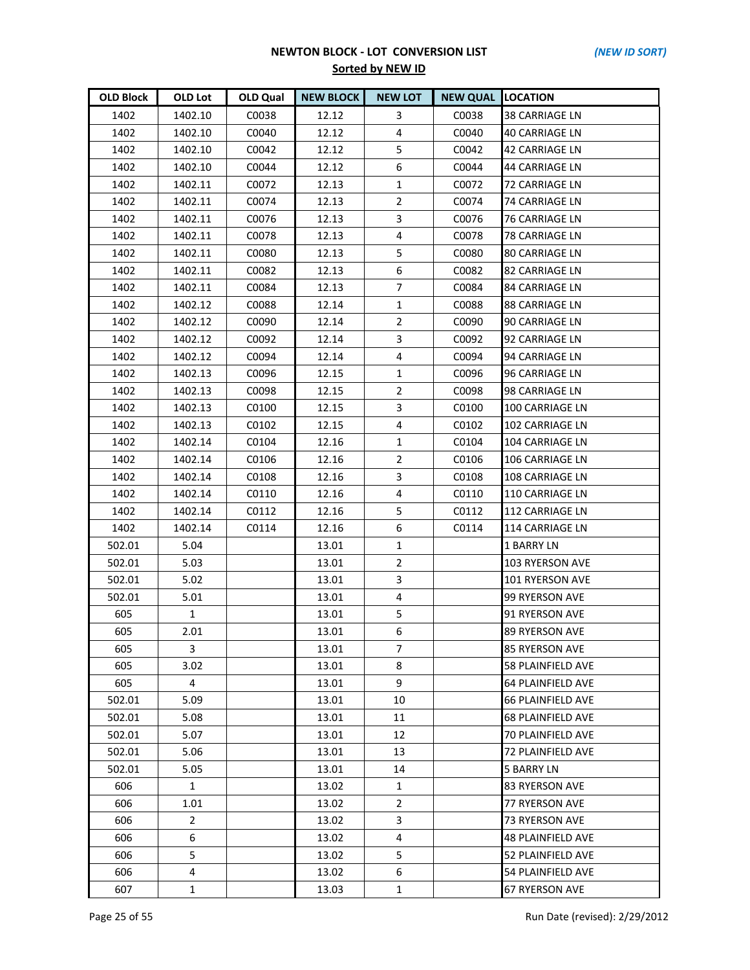| <b>OLD Block</b> | OLD Lot        | OLD Qual | <b>NEW BLOCK</b> | <b>NEW LOT</b> | <b>NEW QUAL LOCATION</b> |                          |
|------------------|----------------|----------|------------------|----------------|--------------------------|--------------------------|
| 1402             | 1402.10        | C0038    | 12.12            | 3              | C0038                    | 38 CARRIAGE LN           |
| 1402             | 1402.10        | C0040    | 12.12            | 4              | C0040                    | <b>40 CARRIAGE LN</b>    |
| 1402             | 1402.10        | C0042    | 12.12            | 5              | C0042                    | <b>42 CARRIAGE LN</b>    |
| 1402             | 1402.10        | C0044    | 12.12            | 6              | C0044                    | 44 CARRIAGE LN           |
| 1402             | 1402.11        | C0072    | 12.13            | 1              | C0072                    | 72 CARRIAGE LN           |
| 1402             | 1402.11        | C0074    | 12.13            | $\overline{2}$ | C0074                    | 74 CARRIAGE LN           |
| 1402             | 1402.11        | C0076    | 12.13            | 3              | C0076                    | 76 CARRIAGE LN           |
| 1402             | 1402.11        | C0078    | 12.13            | 4              | C0078                    | 78 CARRIAGE LN           |
| 1402             | 1402.11        | C0080    | 12.13            | 5              | C0080                    | 80 CARRIAGE LN           |
| 1402             | 1402.11        | C0082    | 12.13            | 6              | C0082                    | 82 CARRIAGE LN           |
| 1402             | 1402.11        | C0084    | 12.13            | $\overline{7}$ | C0084                    | 84 CARRIAGE LN           |
| 1402             | 1402.12        | C0088    | 12.14            | $\mathbf{1}$   | C0088                    | <b>88 CARRIAGE LN</b>    |
| 1402             | 1402.12        | C0090    | 12.14            | $\overline{2}$ | C0090                    | 90 CARRIAGE LN           |
| 1402             | 1402.12        | C0092    | 12.14            | 3              | C0092                    | 92 CARRIAGE LN           |
| 1402             | 1402.12        | C0094    | 12.14            | 4              | C0094                    | 94 CARRIAGE LN           |
| 1402             | 1402.13        | C0096    | 12.15            | $\mathbf{1}$   | C0096                    | 96 CARRIAGE LN           |
| 1402             | 1402.13        | C0098    | 12.15            | $\overline{2}$ | C0098                    | 98 CARRIAGE LN           |
| 1402             | 1402.13        | C0100    | 12.15            | 3              | C0100                    | 100 CARRIAGE LN          |
| 1402             | 1402.13        | C0102    | 12.15            | 4              | C0102                    | 102 CARRIAGE LN          |
| 1402             | 1402.14        | C0104    | 12.16            | $\mathbf{1}$   | C0104                    | 104 CARRIAGE LN          |
| 1402             | 1402.14        | C0106    | 12.16            | $\overline{2}$ | C0106                    | 106 CARRIAGE LN          |
| 1402             | 1402.14        | C0108    | 12.16            | 3              | C0108                    | 108 CARRIAGE LN          |
| 1402             | 1402.14        | C0110    | 12.16            | 4              | C0110                    | 110 CARRIAGE LN          |
| 1402             | 1402.14        | C0112    | 12.16            | 5              | C0112                    | 112 CARRIAGE LN          |
| 1402             | 1402.14        | C0114    | 12.16            | 6              | C0114                    | 114 CARRIAGE LN          |
| 502.01           | 5.04           |          | 13.01            | $\mathbf{1}$   |                          | <b>1 BARRY LN</b>        |
| 502.01           | 5.03           |          | 13.01            | $\overline{2}$ |                          | 103 RYERSON AVE          |
| 502.01           | 5.02           |          | 13.01            | 3              |                          | 101 RYERSON AVE          |
| 502.01           | 5.01           |          | 13.01            | 4              |                          | 99 RYERSON AVE           |
| 605              | $\mathbf{1}$   |          | 13.01            | 5              |                          | 91 RYERSON AVE           |
| 605              | 2.01           |          | 13.01            | 6              |                          | <b>89 RYERSON AVE</b>    |
| 605              | 3              |          | 13.01            | 7              |                          | <b>85 RYERSON AVE</b>    |
| 605              | 3.02           |          | 13.01            | 8              |                          | 58 PLAINFIELD AVE        |
| 605              | 4              |          | 13.01            | 9              |                          | 64 PLAINFIELD AVE        |
| 502.01           | 5.09           |          | 13.01            | 10             |                          | <b>66 PLAINFIELD AVE</b> |
| 502.01           | 5.08           |          | 13.01            | 11             |                          | <b>68 PLAINFIELD AVE</b> |
| 502.01           | 5.07           |          | 13.01            | 12             |                          | 70 PLAINFIELD AVE        |
| 502.01           | 5.06           |          | 13.01            | 13             |                          | <b>72 PLAINFIELD AVE</b> |
| 502.01           | 5.05           |          | 13.01            | 14             |                          | <b>5 BARRY LN</b>        |
| 606              | $\mathbf{1}$   |          | 13.02            | 1              |                          | 83 RYERSON AVE           |
| 606              | 1.01           |          | 13.02            | $\mathbf{2}$   |                          | <b>77 RYERSON AVE</b>    |
| 606              | $\overline{2}$ |          | 13.02            | 3              |                          | 73 RYERSON AVE           |
| 606              | 6              |          | 13.02            | 4              |                          | 48 PLAINFIELD AVE        |
| 606              | 5              |          | 13.02            | 5              |                          | 52 PLAINFIELD AVE        |
| 606              | 4              |          | 13.02            | 6              |                          | 54 PLAINFIELD AVE        |
| 607              | $\mathbf{1}$   |          | 13.03            | 1              |                          | 67 RYERSON AVE           |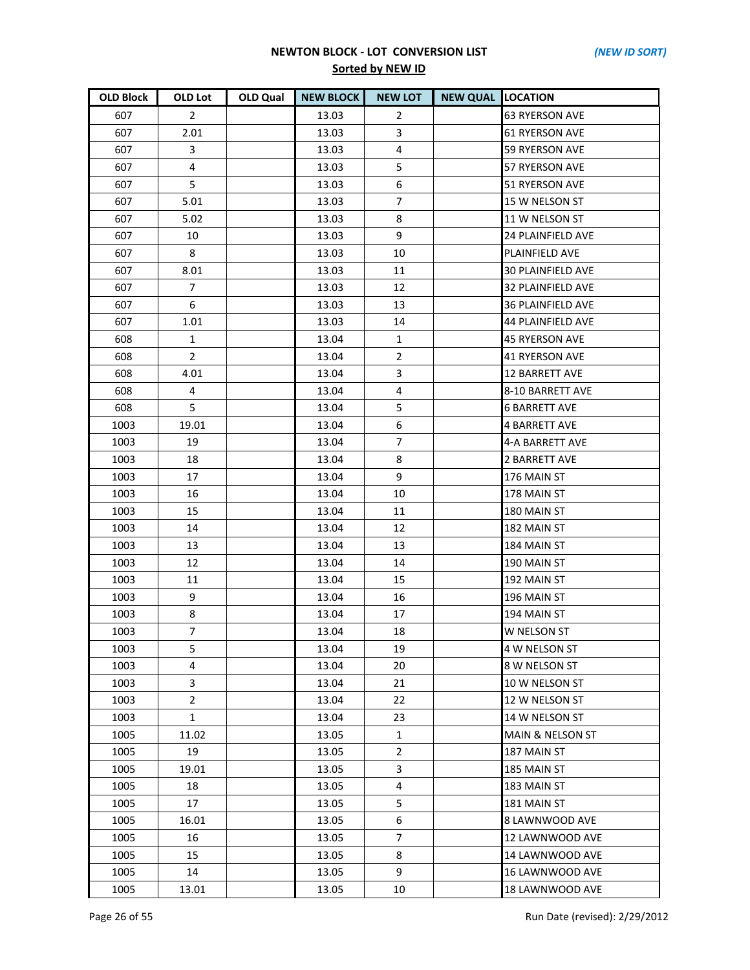| <b>OLD Block</b> | <b>OLD Lot</b> | <b>OLD Qual</b> | <b>NEW BLOCK</b> | <b>NEW LOT</b> | <b>NEW QUAL LOCATION</b> |                             |
|------------------|----------------|-----------------|------------------|----------------|--------------------------|-----------------------------|
| 607              | $\overline{2}$ |                 | 13.03            | $\overline{2}$ |                          | <b>63 RYERSON AVE</b>       |
| 607              | 2.01           |                 | 13.03            | 3              |                          | <b>61 RYERSON AVE</b>       |
| 607              | 3              |                 | 13.03            | $\overline{4}$ |                          | <b>59 RYERSON AVE</b>       |
| 607              | 4              |                 | 13.03            | 5              |                          | <b>57 RYERSON AVE</b>       |
| 607              | 5              |                 | 13.03            | 6              |                          | 51 RYERSON AVE              |
| 607              | 5.01           |                 | 13.03            | 7              |                          | 15 W NELSON ST              |
| 607              | 5.02           |                 | 13.03            | 8              |                          | 11 W NELSON ST              |
| 607              | 10             |                 | 13.03            | 9              |                          | <b>24 PLAINFIELD AVE</b>    |
| 607              | 8              |                 | 13.03            | 10             |                          | PLAINFIELD AVE              |
| 607              | 8.01           |                 | 13.03            | 11             |                          | 30 PLAINFIELD AVE           |
| 607              | $\overline{7}$ |                 | 13.03            | 12             |                          | 32 PLAINFIELD AVE           |
| 607              | 6              |                 | 13.03            | 13             |                          | <b>36 PLAINFIELD AVE</b>    |
| 607              | 1.01           |                 | 13.03            | 14             |                          | 44 PLAINFIELD AVE           |
| 608              | 1              |                 | 13.04            | $\mathbf{1}$   |                          | 45 RYERSON AVE              |
| 608              | $2^{\circ}$    |                 | 13.04            | $\overline{2}$ |                          | <b>41 RYERSON AVE</b>       |
| 608              | 4.01           |                 | 13.04            | 3              |                          | <b>12 BARRETT AVE</b>       |
| 608              | 4              |                 | 13.04            | 4              |                          | 8-10 BARRETT AVE            |
| 608              | 5              |                 | 13.04            | 5              |                          | <b>6 BARRETT AVE</b>        |
| 1003             | 19.01          |                 | 13.04            | 6              |                          | 4 BARRETT AVE               |
| 1003             | 19             |                 | 13.04            | 7              |                          | 4-A BARRETT AVE             |
| 1003             | 18             |                 | 13.04            | 8              |                          | <b>2 BARRETT AVE</b>        |
| 1003             | 17             |                 | 13.04            | 9              |                          | 176 MAIN ST                 |
| 1003             | 16             |                 | 13.04            | 10             |                          | 178 MAIN ST                 |
| 1003             | 15             |                 | 13.04            | 11             |                          | 180 MAIN ST                 |
| 1003             | 14             |                 | 13.04            | 12             |                          | 182 MAIN ST                 |
| 1003             | 13             |                 | 13.04            | 13             |                          | 184 MAIN ST                 |
| 1003             | 12             |                 | 13.04            | 14             |                          | 190 MAIN ST                 |
| 1003             | 11             |                 | 13.04            | 15             |                          | 192 MAIN ST                 |
| 1003             | 9              |                 | 13.04            | 16             |                          | 196 MAIN ST                 |
| 1003             | 8              |                 | 13.04            | 17             |                          | 194 MAIN ST                 |
| 1003             | $\overline{7}$ |                 | 13.04            | 18             |                          | <b>W NELSON ST</b>          |
| 1003             | 5              |                 | 13.04            | 19             |                          | 4 W NELSON ST               |
| 1003             | 4              |                 | 13.04            | 20             |                          | 8 W NELSON ST               |
| 1003             | 3              |                 | 13.04            | 21             |                          | 10 W NELSON ST              |
| 1003             | $\overline{2}$ |                 | 13.04            | 22             |                          | 12 W NELSON ST              |
| 1003             | $\mathbf{1}$   |                 | 13.04            | 23             |                          | 14 W NELSON ST              |
| 1005             | 11.02          |                 | 13.05            | $\mathbf{1}$   |                          | <b>MAIN &amp; NELSON ST</b> |
| 1005             | 19             |                 | 13.05            | $\overline{2}$ |                          | 187 MAIN ST                 |
| 1005             | 19.01          |                 | 13.05            | 3              |                          | 185 MAIN ST                 |
| 1005             | 18             |                 | 13.05            | 4              |                          | 183 MAIN ST                 |
| 1005             | 17             |                 | 13.05            | 5              |                          | 181 MAIN ST                 |
| 1005             | 16.01          |                 | 13.05            | 6              |                          | 8 LAWNWOOD AVE              |
| 1005             | 16             |                 | 13.05            | $\overline{7}$ |                          | 12 LAWNWOOD AVE             |
| 1005             | 15             |                 | 13.05            | 8              |                          | 14 LAWNWOOD AVE             |
| 1005             | 14             |                 | 13.05            | 9              |                          | 16 LAWNWOOD AVE             |
| 1005             | 13.01          |                 | 13.05            | 10             |                          | 18 LAWNWOOD AVE             |

Page 26 of 55 Run Date (revised): 2/29/2012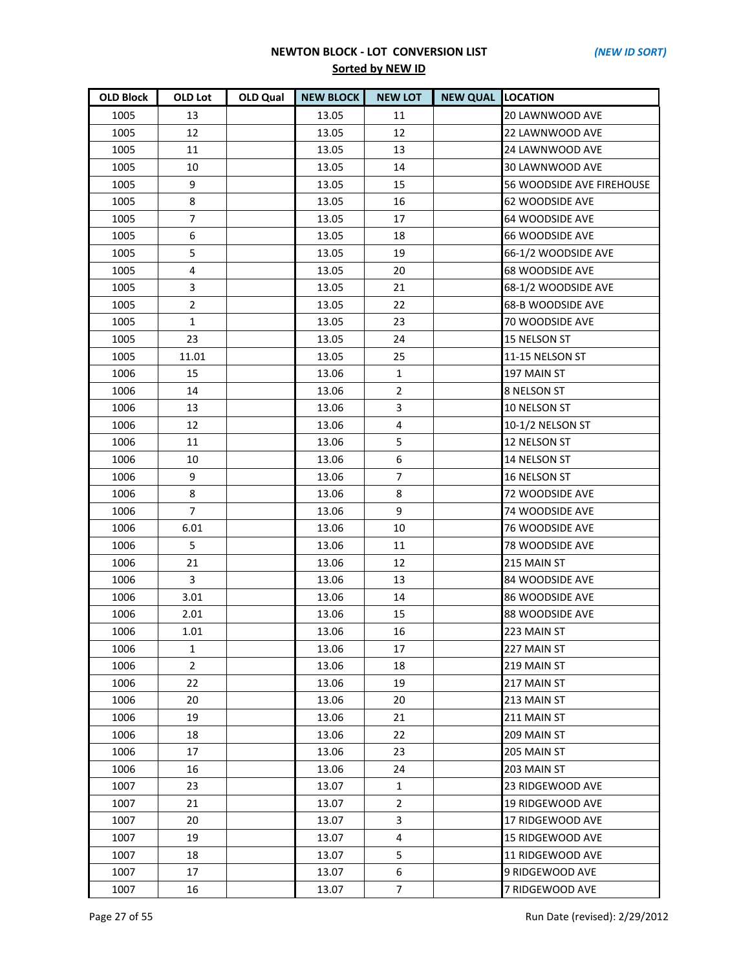| <b>OLD Block</b> | <b>OLD Lot</b> | <b>OLD Qual</b> | <b>NEW BLOCK</b> | <b>NEW LOT</b> | <b>NEW QUAL LOCATION</b> |                           |
|------------------|----------------|-----------------|------------------|----------------|--------------------------|---------------------------|
| 1005             | 13             |                 | 13.05            | 11             |                          | 20 LAWNWOOD AVE           |
| 1005             | 12             |                 | 13.05            | 12             |                          | 22 LAWNWOOD AVE           |
| 1005             | 11             |                 | 13.05            | 13             |                          | 24 LAWNWOOD AVE           |
| 1005             | 10             |                 | 13.05            | 14             |                          | 30 LAWNWOOD AVE           |
| 1005             | 9              |                 | 13.05            | 15             |                          | 56 WOODSIDE AVE FIREHOUSE |
| 1005             | 8              |                 | 13.05            | 16             |                          | 62 WOODSIDE AVE           |
| 1005             | $\overline{7}$ |                 | 13.05            | 17             |                          | 64 WOODSIDE AVE           |
| 1005             | 6              |                 | 13.05            | 18             |                          | <b>66 WOODSIDE AVE</b>    |
| 1005             | 5              |                 | 13.05            | 19             |                          | 66-1/2 WOODSIDE AVE       |
| 1005             | 4              |                 | 13.05            | 20             |                          | <b>68 WOODSIDE AVE</b>    |
| 1005             | 3              |                 | 13.05            | 21             |                          | 68-1/2 WOODSIDE AVE       |
| 1005             | $\overline{2}$ |                 | 13.05            | 22             |                          | 68-B WOODSIDE AVE         |
| 1005             | $\mathbf{1}$   |                 | 13.05            | 23             |                          | 70 WOODSIDE AVE           |
| 1005             | 23             |                 | 13.05            | 24             |                          | 15 NELSON ST              |
| 1005             | 11.01          |                 | 13.05            | 25             |                          | 11-15 NELSON ST           |
| 1006             | 15             |                 | 13.06            | $\mathbf{1}$   |                          | 197 MAIN ST               |
| 1006             | 14             |                 | 13.06            | $\overline{2}$ |                          | 8 NELSON ST               |
| 1006             | 13             |                 | 13.06            | 3              |                          | 10 NELSON ST              |
| 1006             | 12             |                 | 13.06            | 4              |                          | 10-1/2 NELSON ST          |
| 1006             | 11             |                 | 13.06            | 5              |                          | 12 NELSON ST              |
| 1006             | 10             |                 | 13.06            | 6              |                          | 14 NELSON ST              |
| 1006             | 9              |                 | 13.06            | $\overline{7}$ |                          | 16 NELSON ST              |
| 1006             | 8              |                 | 13.06            | 8              |                          | 72 WOODSIDE AVE           |
| 1006             | $\overline{7}$ |                 | 13.06            | 9              |                          | <b>74 WOODSIDE AVE</b>    |
| 1006             | 6.01           |                 | 13.06            | 10             |                          | <b>76 WOODSIDE AVE</b>    |
| 1006             | 5              |                 | 13.06            | 11             |                          | 78 WOODSIDE AVE           |
| 1006             | 21             |                 | 13.06            | 12             |                          | 215 MAIN ST               |
| 1006             | 3              |                 | 13.06            | 13             |                          | 84 WOODSIDE AVE           |
| 1006             | 3.01           |                 | 13.06            | 14             |                          | 86 WOODSIDE AVE           |
| 1006             | 2.01           |                 | 13.06            | 15             |                          | 88 WOODSIDE AVE           |
| 1006             | 1.01           |                 | 13.06            | 16             |                          | 223 MAIN ST               |
| 1006             | 1              |                 | 13.06            | 17             |                          | 227 MAIN ST               |
| 1006             | $\overline{2}$ |                 | 13.06            | 18             |                          | 219 MAIN ST               |
| 1006             | 22             |                 | 13.06            | 19             |                          | 217 MAIN ST               |
| 1006             | 20             |                 | 13.06            | 20             |                          | 213 MAIN ST               |
| 1006             | 19             |                 | 13.06            | 21             |                          | 211 MAIN ST               |
| 1006             | 18             |                 | 13.06            | 22             |                          | 209 MAIN ST               |
| 1006             | 17             |                 | 13.06            | 23             |                          | 205 MAIN ST               |
| 1006             | 16             |                 | 13.06            | 24             |                          | 203 MAIN ST               |
| 1007             | 23             |                 | 13.07            | 1              |                          | 23 RIDGEWOOD AVE          |
| 1007             | 21             |                 | 13.07            | $\overline{2}$ |                          | 19 RIDGEWOOD AVE          |
| 1007             | 20             |                 | 13.07            | 3              |                          | 17 RIDGEWOOD AVE          |
| 1007             | 19             |                 | 13.07            | 4              |                          | 15 RIDGEWOOD AVE          |
| 1007             | 18             |                 | 13.07            | 5              |                          | 11 RIDGEWOOD AVE          |
| 1007             | 17             |                 | 13.07            | 6              |                          | 9 RIDGEWOOD AVE           |
| 1007             | 16             |                 | 13.07            | $\overline{7}$ |                          | 7 RIDGEWOOD AVE           |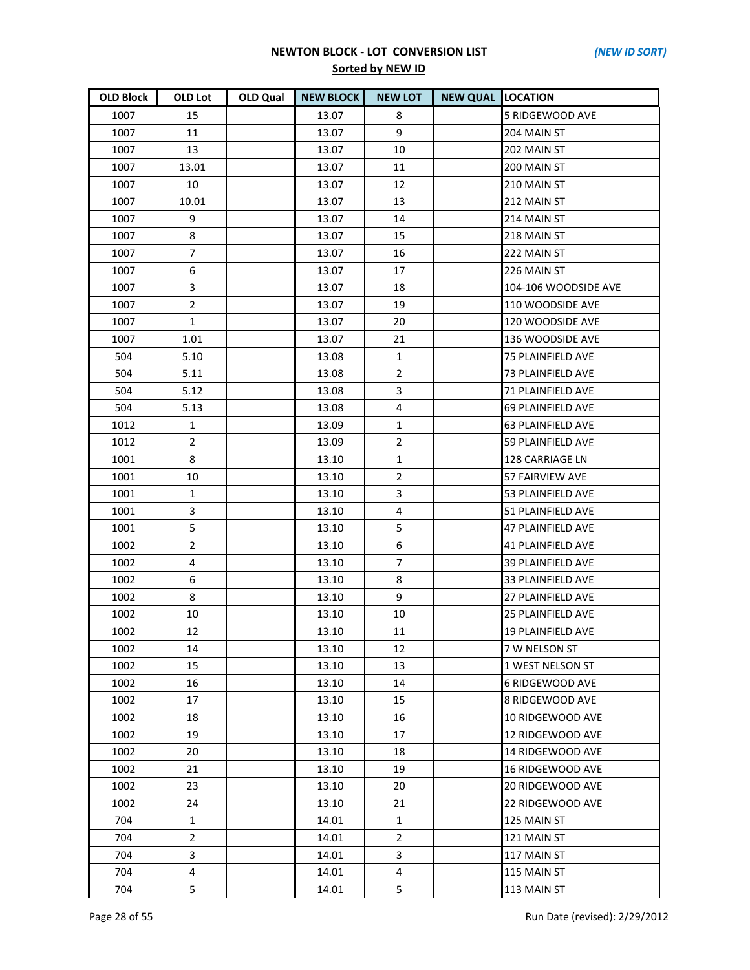| <b>OLD Block</b> | OLD Lot        | OLD Qual | <b>NEW BLOCK</b> | <b>NEW LOT</b> | <b>NEW QUAL LOCATION</b> |                          |
|------------------|----------------|----------|------------------|----------------|--------------------------|--------------------------|
| 1007             | 15             |          | 13.07            | 8              |                          | 5 RIDGEWOOD AVE          |
| 1007             | 11             |          | 13.07            | 9              |                          | 204 MAIN ST              |
| 1007             | 13             |          | 13.07            | 10             |                          | 202 MAIN ST              |
| 1007             | 13.01          |          | 13.07            | 11             |                          | 200 MAIN ST              |
| 1007             | 10             |          | 13.07            | 12             |                          | 210 MAIN ST              |
| 1007             | 10.01          |          | 13.07            | 13             |                          | 212 MAIN ST              |
| 1007             | 9              |          | 13.07            | 14             |                          | 214 MAIN ST              |
| 1007             | 8              |          | 13.07            | 15             |                          | 218 MAIN ST              |
| 1007             | 7              |          | 13.07            | 16             |                          | 222 MAIN ST              |
| 1007             | 6              |          | 13.07            | 17             |                          | 226 MAIN ST              |
| 1007             | 3              |          | 13.07            | 18             |                          | 104-106 WOODSIDE AVE     |
| 1007             | $\overline{2}$ |          | 13.07            | 19             |                          | 110 WOODSIDE AVE         |
| 1007             | $\mathbf{1}$   |          | 13.07            | 20             |                          | 120 WOODSIDE AVE         |
| 1007             | 1.01           |          | 13.07            | 21             |                          | 136 WOODSIDE AVE         |
| 504              | 5.10           |          | 13.08            | $\mathbf{1}$   |                          | <b>75 PLAINFIELD AVE</b> |
| 504              | 5.11           |          | 13.08            | $2^{\circ}$    |                          | 73 PLAINFIELD AVE        |
| 504              | 5.12           |          | 13.08            | 3              |                          | 71 PLAINFIELD AVE        |
| 504              | 5.13           |          | 13.08            | 4              |                          | 69 PLAINFIELD AVE        |
| 1012             | $\mathbf{1}$   |          | 13.09            | $\mathbf{1}$   |                          | 63 PLAINFIELD AVE        |
| 1012             | $\overline{2}$ |          | 13.09            | $\overline{2}$ |                          | <b>59 PLAINFIELD AVE</b> |
| 1001             | 8              |          | 13.10            | $\mathbf{1}$   |                          | 128 CARRIAGE LN          |
| 1001             | 10             |          | 13.10            | $\overline{2}$ |                          | 57 FAIRVIEW AVE          |
| 1001             | 1              |          | 13.10            | 3              |                          | 53 PLAINFIELD AVE        |
| 1001             | 3              |          | 13.10            | 4              |                          | 51 PLAINFIELD AVE        |
| 1001             | 5              |          | 13.10            | 5              |                          | 47 PLAINFIELD AVE        |
| 1002             | $\overline{2}$ |          | 13.10            | 6              |                          | 41 PLAINFIELD AVE        |
| 1002             | 4              |          | 13.10            | $\overline{7}$ |                          | 39 PLAINFIELD AVE        |
| 1002             | 6              |          | 13.10            | 8              |                          | 33 PLAINFIELD AVE        |
| 1002             | 8              |          | 13.10            | 9              |                          | 27 PLAINFIELD AVE        |
| 1002             | 10             |          | 13.10            | 10             |                          | <b>25 PLAINFIELD AVE</b> |
| 1002             | 12             |          | 13.10            | 11             |                          | <b>19 PLAINFIELD AVE</b> |
| 1002             | 14             |          | 13.10            | 12             |                          | 7 W NELSON ST            |
| 1002             | 15             |          | 13.10            | 13             |                          | 1 WEST NELSON ST         |
| 1002             | 16             |          | 13.10            | 14             |                          | <b>6 RIDGEWOOD AVE</b>   |
| 1002             | 17             |          | 13.10            | 15             |                          | 8 RIDGEWOOD AVE          |
| 1002             | 18             |          | 13.10            | 16             |                          | 10 RIDGEWOOD AVE         |
| 1002             | 19             |          | 13.10            | 17             |                          | 12 RIDGEWOOD AVE         |
| 1002             | 20             |          | 13.10            | 18             |                          | 14 RIDGEWOOD AVE         |
| 1002             | 21             |          | 13.10            | 19             |                          | 16 RIDGEWOOD AVE         |
| 1002             | 23             |          | 13.10            | 20             |                          | 20 RIDGEWOOD AVE         |
| 1002             | 24             |          | 13.10            | 21             |                          | 22 RIDGEWOOD AVE         |
| 704              | $\mathbf{1}$   |          | 14.01            | $\mathbf{1}$   |                          | 125 MAIN ST              |
| 704              | $\overline{2}$ |          | 14.01            | $\overline{2}$ |                          | 121 MAIN ST              |
| 704              | 3              |          | 14.01            | 3              |                          | 117 MAIN ST              |
| 704              | 4              |          | 14.01            | 4              |                          | 115 MAIN ST              |
| 704              | 5              |          | 14.01            | 5              |                          | 113 MAIN ST              |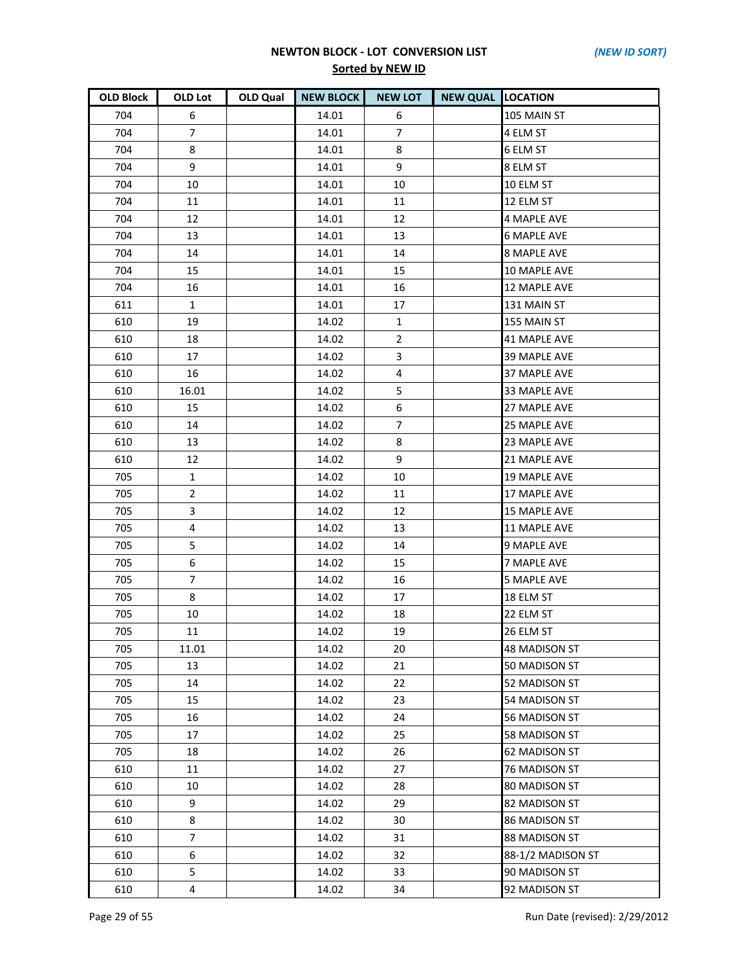| <b>OLD Block</b> | OLD Lot        | OLD Qual | <b>NEW BLOCK</b> | <b>NEW LOT</b> | <b>NEW QUAL LOCATION</b> |                      |
|------------------|----------------|----------|------------------|----------------|--------------------------|----------------------|
| 704              | 6              |          | 14.01            | 6              |                          | 105 MAIN ST          |
| 704              | 7              |          | 14.01            | $\overline{7}$ |                          | 4 ELM ST             |
| 704              | 8              |          | 14.01            | 8              |                          | 6 ELM ST             |
| 704              | 9              |          | 14.01            | 9              |                          | 8 ELM ST             |
| 704              | 10             |          | 14.01            | 10             |                          | 10 ELM ST            |
| 704              | 11             |          | 14.01            | 11             |                          | 12 ELM ST            |
| 704              | 12             |          | 14.01            | 12             |                          | <b>4 MAPLE AVE</b>   |
| 704              | 13             |          | 14.01            | 13             |                          | <b>6 MAPLE AVE</b>   |
| 704              | 14             |          | 14.01            | 14             |                          | <b>8 MAPLE AVE</b>   |
| 704              | 15             |          | 14.01            | 15             |                          | 10 MAPLE AVE         |
| 704              | 16             |          | 14.01            | 16             |                          | 12 MAPLE AVE         |
| 611              | $\mathbf{1}$   |          | 14.01            | 17             |                          | 131 MAIN ST          |
| 610              | 19             |          | 14.02            | 1              |                          | 155 MAIN ST          |
| 610              | 18             |          | 14.02            | $\overline{2}$ |                          | 41 MAPLE AVE         |
| 610              | 17             |          | 14.02            | 3              |                          | <b>39 MAPLE AVE</b>  |
| 610              | 16             |          | 14.02            | 4              |                          | <b>37 MAPLE AVE</b>  |
| 610              | 16.01          |          | 14.02            | 5              |                          | 33 MAPLE AVE         |
| 610              | 15             |          | 14.02            | 6              |                          | 27 MAPLE AVE         |
| 610              | 14             |          | 14.02            | $\overline{7}$ |                          | <b>25 MAPLE AVE</b>  |
| 610              | 13             |          | 14.02            | 8              |                          | 23 MAPLE AVE         |
| 610              | 12             |          | 14.02            | 9              |                          | 21 MAPLE AVE         |
| 705              | $\mathbf 1$    |          | 14.02            | 10             |                          | <b>19 MAPLE AVE</b>  |
| 705              | $\overline{2}$ |          | 14.02            | 11             |                          | 17 MAPLE AVE         |
| 705              | 3              |          | 14.02            | 12             |                          | <b>15 MAPLE AVE</b>  |
| 705              | 4              |          | 14.02            | 13             |                          | <b>11 MAPLE AVE</b>  |
| 705              | 5              |          | 14.02            | 14             |                          | 9 MAPLE AVE          |
| 705              | 6              |          | 14.02            | 15             |                          | 7 MAPLE AVE          |
| 705              | $\overline{7}$ |          | 14.02            | 16             |                          | <b>5 MAPLE AVE</b>   |
| 705              | 8              |          | 14.02            | 17             |                          | 18 ELM ST            |
| 705              | 10             |          | 14.02            | 18             |                          | 22 ELM ST            |
| 705              | 11             |          | 14.02            | 19             |                          | 26 ELM ST            |
| 705              | 11.01          |          | 14.02            | 20             |                          | <b>48 MADISON ST</b> |
| 705              | 13             |          | 14.02            | 21             |                          | 50 MADISON ST        |
| 705              | 14             |          | 14.02            | 22             |                          | 52 MADISON ST        |
| 705              | 15             |          | 14.02            | 23             |                          | 54 MADISON ST        |
| 705              | 16             |          | 14.02            | 24             |                          | 56 MADISON ST        |
| 705              | 17             |          | 14.02            | 25             |                          | <b>58 MADISON ST</b> |
| 705              | 18             |          | 14.02            | 26             |                          | 62 MADISON ST        |
| 610              | 11             |          | 14.02            | 27             |                          | 76 MADISON ST        |
| 610              | 10             |          | 14.02            | 28             |                          | 80 MADISON ST        |
| 610              | 9              |          | 14.02            | 29             |                          | 82 MADISON ST        |
| 610              | 8              |          | 14.02            | 30             |                          | <b>86 MADISON ST</b> |
| 610              | $\overline{7}$ |          | 14.02            | 31             |                          | <b>88 MADISON ST</b> |
| 610              | 6              |          | 14.02            | 32             |                          | 88-1/2 MADISON ST    |
| 610              | 5              |          | 14.02            | 33             |                          | 90 MADISON ST        |
| 610              | $\overline{4}$ |          | 14.02            | 34             |                          | 92 MADISON ST        |

Page 29 of 55 Run Date (revised): 2/29/2012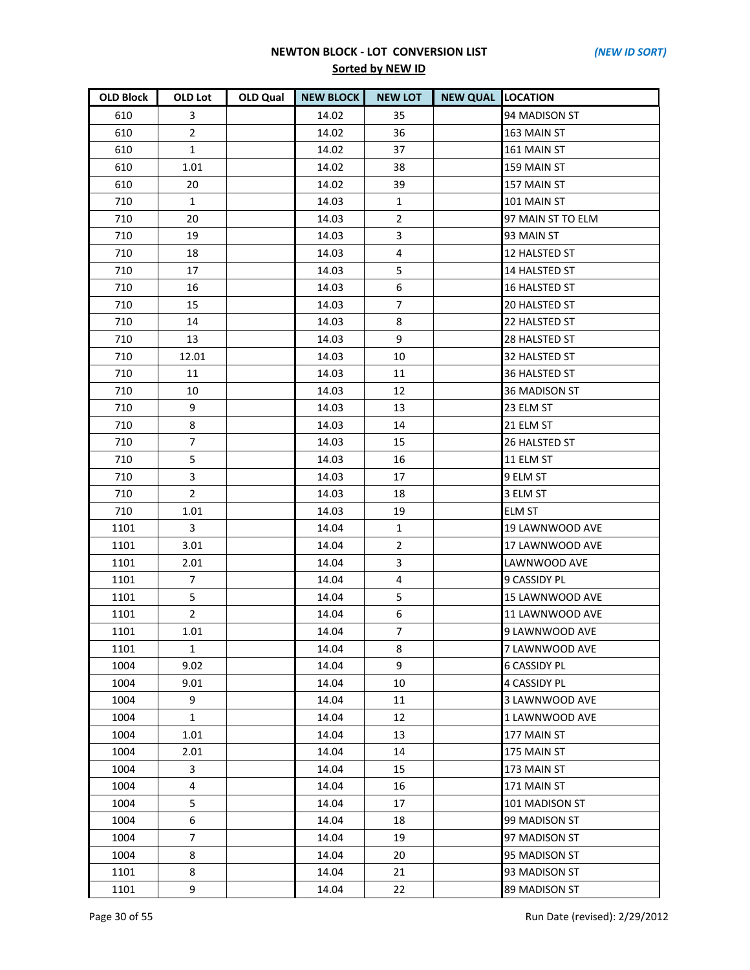| <b>OLD Block</b> | OLD Lot        | OLD Qual | <b>NEW BLOCK</b> | <b>NEW LOT</b>   | <b>NEW QUAL LOCATION</b> |                     |
|------------------|----------------|----------|------------------|------------------|--------------------------|---------------------|
| 610              | 3              |          | 14.02            | 35               |                          | 94 MADISON ST       |
| 610              | $\overline{2}$ |          | 14.02            | 36               |                          | 163 MAIN ST         |
| 610              | $\mathbf{1}$   |          | 14.02            | 37               |                          | 161 MAIN ST         |
| 610              | 1.01           |          | 14.02            | 38               |                          | 159 MAIN ST         |
| 610              | 20             |          | 14.02            | 39               |                          | 157 MAIN ST         |
| 710              | $\mathbf{1}$   |          | 14.03            | $\mathbf{1}$     |                          | 101 MAIN ST         |
| 710              | 20             |          | 14.03            | $\overline{2}$   |                          | 97 MAIN ST TO ELM   |
| 710              | 19             |          | 14.03            | 3                |                          | 93 MAIN ST          |
| 710              | 18             |          | 14.03            | 4                |                          | 12 HALSTED ST       |
| 710              | 17             |          | 14.03            | 5                |                          | 14 HALSTED ST       |
| 710              | 16             |          | 14.03            | $\boldsymbol{6}$ |                          | 16 HALSTED ST       |
| 710              | 15             |          | 14.03            | $\overline{7}$   |                          | 20 HALSTED ST       |
| 710              | 14             |          | 14.03            | 8                |                          | 22 HALSTED ST       |
| 710              | 13             |          | 14.03            | 9                |                          | 28 HALSTED ST       |
| 710              | 12.01          |          | 14.03            | 10               |                          | 32 HALSTED ST       |
| 710              | 11             |          | 14.03            | 11               |                          | 36 HALSTED ST       |
| 710              | 10             |          | 14.03            | 12               |                          | 36 MADISON ST       |
| 710              | 9              |          | 14.03            | 13               |                          | 23 ELM ST           |
| 710              | 8              |          | 14.03            | 14               |                          | 21 ELM ST           |
| 710              | $\overline{7}$ |          | 14.03            | 15               |                          | 26 HALSTED ST       |
| 710              | 5              |          | 14.03            | 16               |                          | 11 ELM ST           |
| 710              | 3              |          | 14.03            | 17               |                          | 9 ELM ST            |
| 710              | $\overline{2}$ |          | 14.03            | 18               |                          | 3 ELM ST            |
| 710              | 1.01           |          | 14.03            | 19               |                          | <b>ELM ST</b>       |
| 1101             | 3              |          | 14.04            | $\mathbf{1}$     |                          | 19 LAWNWOOD AVE     |
| 1101             | 3.01           |          | 14.04            | $\overline{2}$   |                          | 17 LAWNWOOD AVE     |
| 1101             | 2.01           |          | 14.04            | 3                |                          | LAWNWOOD AVE        |
| 1101             | $\overline{7}$ |          | 14.04            | 4                |                          | 9 CASSIDY PL        |
| 1101             | 5              |          | 14.04            | 5                |                          | 15 LAWNWOOD AVE     |
| 1101             | $\overline{2}$ |          | 14.04            | 6                |                          | 11 LAWNWOOD AVE     |
| 1101             | 1.01           |          | 14.04            | $\overline{7}$   |                          | 9 LAWNWOOD AVE      |
| 1101             | 1              |          | 14.04            | 8                |                          | 7 LAWNWOOD AVE      |
| 1004             | 9.02           |          | 14.04            | 9                |                          | <b>6 CASSIDY PL</b> |
| 1004             | 9.01           |          | 14.04            | 10               |                          | 4 CASSIDY PL        |
| 1004             | 9              |          | 14.04            | 11               |                          | 3 LAWNWOOD AVE      |
| 1004             | $\mathbf{1}$   |          | 14.04            | 12               |                          | 1 LAWNWOOD AVE      |
| 1004             | 1.01           |          | 14.04            | 13               |                          | 177 MAIN ST         |
| 1004             | 2.01           |          | 14.04            | 14               |                          | 175 MAIN ST         |
| 1004             | 3              |          | 14.04            | 15               |                          | 173 MAIN ST         |
| 1004             | $\overline{4}$ |          | 14.04            | 16               |                          | 171 MAIN ST         |
| 1004             | 5              |          | 14.04            | 17               |                          | 101 MADISON ST      |
| 1004             | 6              |          | 14.04            | 18               |                          | 99 MADISON ST       |
| 1004             | 7              |          | 14.04            | 19               |                          | 97 MADISON ST       |
| 1004             | 8              |          | 14.04            | 20               |                          | 95 MADISON ST       |
| 1101             | 8              |          | 14.04            | 21               |                          | 93 MADISON ST       |
| 1101             | 9              |          | 14.04            | 22               |                          | 89 MADISON ST       |

Page 30 of 55 Run Date (revised): 2/29/2012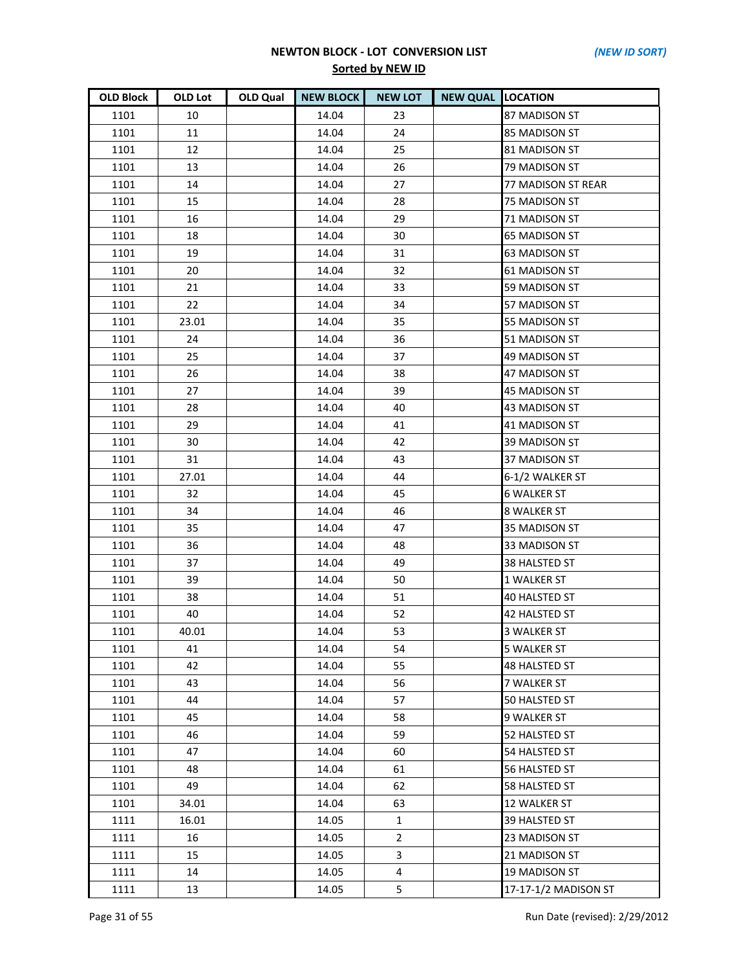| <b>OLD Block</b> | OLD Lot | OLD Qual | <b>NEW BLOCK</b> | <b>NEW LOT</b> | <b>NEW QUAL LOCATION</b> |                      |
|------------------|---------|----------|------------------|----------------|--------------------------|----------------------|
| 1101             | 10      |          | 14.04            | 23             |                          | 87 MADISON ST        |
| 1101             | 11      |          | 14.04            | 24             |                          | 85 MADISON ST        |
| 1101             | 12      |          | 14.04            | 25             |                          | 81 MADISON ST        |
| 1101             | 13      |          | 14.04            | 26             |                          | 79 MADISON ST        |
| 1101             | 14      |          | 14.04            | 27             |                          | 77 MADISON ST REAR   |
| 1101             | 15      |          | 14.04            | 28             |                          | 75 MADISON ST        |
| 1101             | 16      |          | 14.04            | 29             |                          | 71 MADISON ST        |
| 1101             | 18      |          | 14.04            | 30             |                          | <b>65 MADISON ST</b> |
| 1101             | 19      |          | 14.04            | 31             |                          | <b>63 MADISON ST</b> |
| 1101             | 20      |          | 14.04            | 32             |                          | 61 MADISON ST        |
| 1101             | 21      |          | 14.04            | 33             |                          | 59 MADISON ST        |
| 1101             | 22      |          | 14.04            | 34             |                          | 57 MADISON ST        |
| 1101             | 23.01   |          | 14.04            | 35             |                          | 55 MADISON ST        |
| 1101             | 24      |          | 14.04            | 36             |                          | 51 MADISON ST        |
| 1101             | 25      |          | 14.04            | 37             |                          | 49 MADISON ST        |
| 1101             | 26      |          | 14.04            | 38             |                          | 47 MADISON ST        |
| 1101             | 27      |          | 14.04            | 39             |                          | 45 MADISON ST        |
| 1101             | 28      |          | 14.04            | 40             |                          | 43 MADISON ST        |
| 1101             | 29      |          | 14.04            | 41             |                          | <b>41 MADISON ST</b> |
| 1101             | 30      |          | 14.04            | 42             |                          | 39 MADISON ST        |
| 1101             | 31      |          | 14.04            | 43             |                          | 37 MADISON ST        |
| 1101             | 27.01   |          | 14.04            | 44             |                          | 6-1/2 WALKER ST      |
| 1101             | 32      |          | 14.04            | 45             |                          | <b>6 WALKER ST</b>   |
| 1101             | 34      |          | 14.04            | 46             |                          | 8 WALKER ST          |
| 1101             | 35      |          | 14.04            | 47             |                          | 35 MADISON ST        |
| 1101             | 36      |          | 14.04            | 48             |                          | 33 MADISON ST        |
| 1101             | 37      |          | 14.04            | 49             |                          | 38 HALSTED ST        |
| 1101             | 39      |          | 14.04            | 50             |                          | <b>1 WALKER ST</b>   |
| 1101             | 38      |          | 14.04            | 51             |                          | <b>40 HALSTED ST</b> |
| 1101             | 40      |          | 14.04            | 52             |                          | 42 HALSTED ST        |
| 1101             | 40.01   |          | 14.04            | 53             |                          | <b>3 WALKER ST</b>   |
| 1101             | 41      |          | 14.04            | 54             |                          | 5 WALKER ST          |
| 1101             | 42      |          | 14.04            | 55             |                          | <b>48 HALSTED ST</b> |
| 1101             | 43      |          | 14.04            | 56             |                          | 7 WALKER ST          |
| 1101             | 44      |          | 14.04            | 57             |                          | 50 HALSTED ST        |
| 1101             | 45      |          | 14.04            | 58             |                          | 9 WALKER ST          |
| 1101             | 46      |          | 14.04            | 59             |                          | <b>52 HALSTED ST</b> |
| 1101             | 47      |          | 14.04            | 60             |                          | 54 HALSTED ST        |
| 1101             | 48      |          | 14.04            | 61             |                          | 56 HALSTED ST        |
| 1101             | 49      |          | 14.04            | 62             |                          | 58 HALSTED ST        |
| 1101             | 34.01   |          | 14.04            | 63             |                          | <b>12 WALKER ST</b>  |
| 1111             | 16.01   |          | 14.05            | $\mathbf{1}$   |                          | 39 HALSTED ST        |
| 1111             | 16      |          | 14.05            | $\overline{2}$ |                          | 23 MADISON ST        |
| 1111             | 15      |          | 14.05            | 3              |                          | 21 MADISON ST        |
| 1111             | 14      |          | 14.05            | 4              |                          | <b>19 MADISON ST</b> |
| 1111             | 13      |          | 14.05            | 5              |                          | 17-17-1/2 MADISON ST |

Page 31 of 55 Run Date (revised): 2/29/2012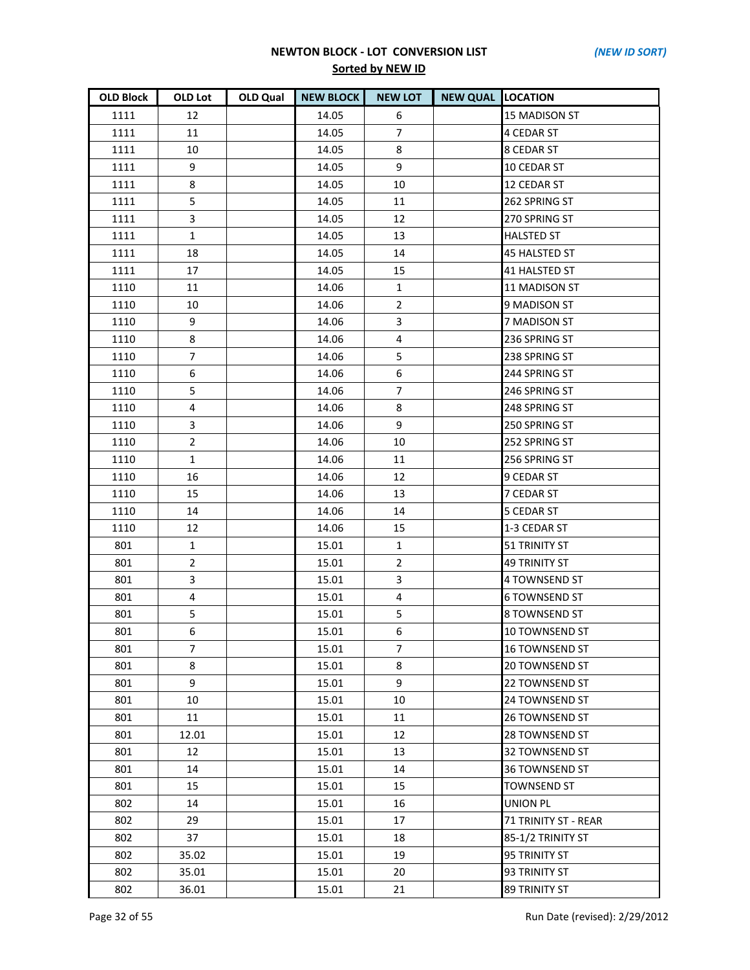| <b>OLD Block</b> | OLD Lot        | OLD Qual | <b>NEW BLOCK</b> | <b>NEW LOT</b> | <b>NEW QUAL LOCATION</b> |                       |
|------------------|----------------|----------|------------------|----------------|--------------------------|-----------------------|
| 1111             | 12             |          | 14.05            | 6              |                          | <b>15 MADISON ST</b>  |
| 1111             | 11             |          | 14.05            | $\overline{7}$ |                          | 4 CEDAR ST            |
| 1111             | 10             |          | 14.05            | 8              |                          | <b>8 CEDAR ST</b>     |
| 1111             | 9              |          | 14.05            | 9              |                          | 10 CEDAR ST           |
| 1111             | 8              |          | 14.05            | 10             |                          | 12 CEDAR ST           |
| 1111             | 5              |          | 14.05            | 11             |                          | 262 SPRING ST         |
| 1111             | 3              |          | 14.05            | 12             |                          | 270 SPRING ST         |
| 1111             | $\mathbf{1}$   |          | 14.05            | 13             |                          | <b>HALSTED ST</b>     |
| 1111             | 18             |          | 14.05            | 14             |                          | <b>45 HALSTED ST</b>  |
| 1111             | 17             |          | 14.05            | 15             |                          | 41 HALSTED ST         |
| 1110             | 11             |          | 14.06            | 1              |                          | 11 MADISON ST         |
| 1110             | 10             |          | 14.06            | $\overline{2}$ |                          | 9 MADISON ST          |
| 1110             | 9              |          | 14.06            | 3              |                          | 7 MADISON ST          |
| 1110             | 8              |          | 14.06            | 4              |                          | 236 SPRING ST         |
| 1110             | $\overline{7}$ |          | 14.06            | 5              |                          | 238 SPRING ST         |
| 1110             | 6              |          | 14.06            | 6              |                          | 244 SPRING ST         |
| 1110             | 5              |          | 14.06            | $\overline{7}$ |                          | 246 SPRING ST         |
| 1110             | 4              |          | 14.06            | 8              |                          | 248 SPRING ST         |
| 1110             | 3              |          | 14.06            | 9              |                          | 250 SPRING ST         |
| 1110             | $\overline{2}$ |          | 14.06            | 10             |                          | 252 SPRING ST         |
| 1110             | $\mathbf{1}$   |          | 14.06            | 11             |                          | 256 SPRING ST         |
| 1110             | 16             |          | 14.06            | 12             |                          | 9 CEDAR ST            |
| 1110             | 15             |          | 14.06            | 13             |                          | 7 CEDAR ST            |
| 1110             | 14             |          | 14.06            | 14             |                          | <b>5 CEDAR ST</b>     |
| 1110             | 12             |          | 14.06            | 15             |                          | 1-3 CEDAR ST          |
| 801              | 1              |          | 15.01            | 1              |                          | 51 TRINITY ST         |
| 801              | $\overline{2}$ |          | 15.01            | $\overline{2}$ |                          | <b>49 TRINITY ST</b>  |
| 801              | 3              |          | 15.01            | 3              |                          | 4 TOWNSEND ST         |
| 801              | 4              |          | 15.01            | 4              |                          | <b>6 TOWNSEND ST</b>  |
| 801              | 5              |          | 15.01            | 5              |                          | 8 TOWNSEND ST         |
| 801              | 6              |          | 15.01            | 6              |                          | 10 TOWNSEND ST        |
| 801              | 7              |          | 15.01            | 7              |                          | 16 TOWNSEND ST        |
| 801              | 8              |          | 15.01            | 8              |                          | 20 TOWNSEND ST        |
| 801              | 9              |          | 15.01            | 9              |                          | 22 TOWNSEND ST        |
| 801              | 10             |          | 15.01            | 10             |                          | 24 TOWNSEND ST        |
| 801              | 11             |          | 15.01            | 11             |                          | <b>26 TOWNSEND ST</b> |
| 801              | 12.01          |          | 15.01            | 12             |                          | 28 TOWNSEND ST        |
| 801              | 12             |          | 15.01            | 13             |                          | 32 TOWNSEND ST        |
| 801              | 14             |          | 15.01            | 14             |                          | 36 TOWNSEND ST        |
| 801              | 15             |          | 15.01            | 15             |                          | <b>TOWNSEND ST</b>    |
| 802              | 14             |          | 15.01            | 16             |                          | <b>UNION PL</b>       |
| 802              | 29             |          | 15.01            | 17             |                          | 71 TRINITY ST - REAR  |
| 802              | 37             |          | 15.01            | 18             |                          | 85-1/2 TRINITY ST     |
| 802              | 35.02          |          | 15.01            | 19             |                          | 95 TRINITY ST         |
| 802              | 35.01          |          | 15.01            | 20             |                          | 93 TRINITY ST         |
| 802              | 36.01          |          | 15.01            | 21             |                          | 89 TRINITY ST         |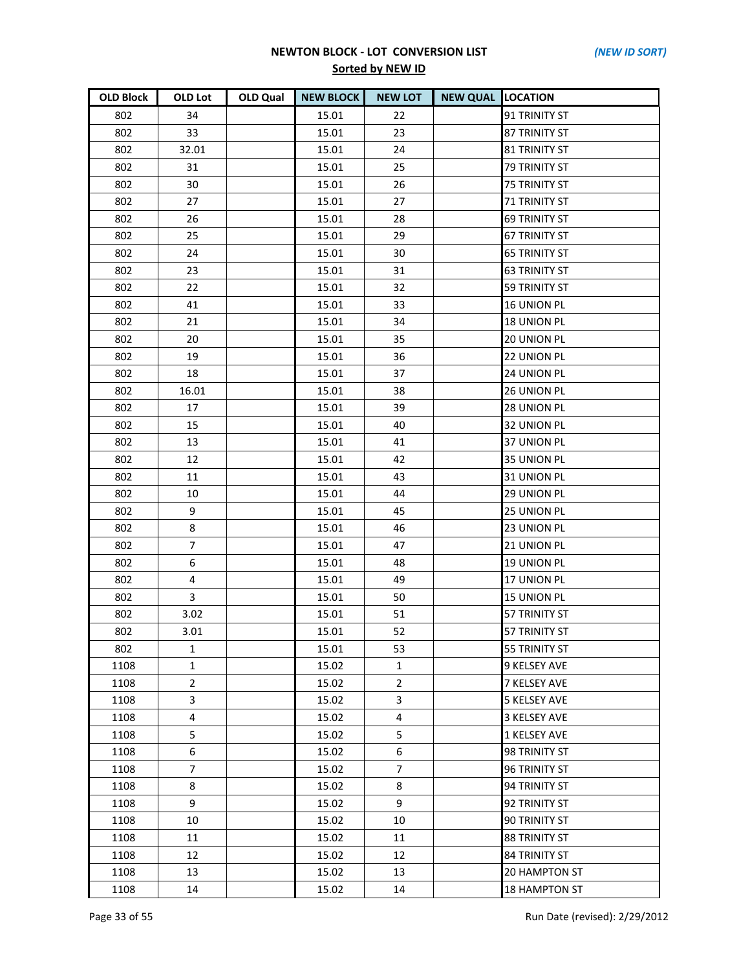| <b>OLD Block</b> | OLD Lot        | OLD Qual | <b>NEW BLOCK</b> | <b>NEW LOT</b> | <b>NEW QUAL LOCATION</b> |                      |
|------------------|----------------|----------|------------------|----------------|--------------------------|----------------------|
| 802              | 34             |          | 15.01            | 22             |                          | 91 TRINITY ST        |
| 802              | 33             |          | 15.01            | 23             |                          | 87 TRINITY ST        |
| 802              | 32.01          |          | 15.01            | 24             |                          | <b>81 TRINITY ST</b> |
| 802              | 31             |          | 15.01            | 25             |                          | 79 TRINITY ST        |
| 802              | 30             |          | 15.01            | 26             |                          | <b>75 TRINITY ST</b> |
| 802              | 27             |          | 15.01            | 27             |                          | <b>71 TRINITY ST</b> |
| 802              | 26             |          | 15.01            | 28             |                          | <b>69 TRINITY ST</b> |
| 802              | 25             |          | 15.01            | 29             |                          | <b>67 TRINITY ST</b> |
| 802              | 24             |          | 15.01            | 30             |                          | <b>65 TRINITY ST</b> |
| 802              | 23             |          | 15.01            | 31             |                          | <b>63 TRINITY ST</b> |
| 802              | 22             |          | 15.01            | 32             |                          | <b>59 TRINITY ST</b> |
| 802              | 41             |          | 15.01            | 33             |                          | 16 UNION PL          |
| 802              | 21             |          | 15.01            | 34             |                          | <b>18 UNION PL</b>   |
| 802              | 20             |          | 15.01            | 35             |                          | <b>20 UNION PL</b>   |
| 802              | 19             |          | 15.01            | 36             |                          | 22 UNION PL          |
| 802              | 18             |          | 15.01            | 37             |                          | <b>24 UNION PL</b>   |
| 802              | 16.01          |          | 15.01            | 38             |                          | 26 UNION PL          |
| 802              | 17             |          | 15.01            | 39             |                          | 28 UNION PL          |
| 802              | 15             |          | 15.01            | 40             |                          | 32 UNION PL          |
| 802              | 13             |          | 15.01            | 41             |                          | <b>37 UNION PL</b>   |
| 802              | 12             |          | 15.01            | 42             |                          | 35 UNION PL          |
| 802              | 11             |          | 15.01            | 43             |                          | 31 UNION PL          |
| 802              | 10             |          | 15.01            | 44             |                          | <b>29 UNION PL</b>   |
| 802              | 9              |          | 15.01            | 45             |                          | 25 UNION PL          |
| 802              | 8              |          | 15.01            | 46             |                          | 23 UNION PL          |
| 802              | $\overline{7}$ |          | 15.01            | 47             |                          | 21 UNION PL          |
| 802              | 6              |          | 15.01            | 48             |                          | 19 UNION PL          |
| 802              | 4              |          | 15.01            | 49             |                          | 17 UNION PL          |
| 802              | 3              |          | 15.01            | 50             |                          | 15 UNION PL          |
| 802              | 3.02           |          | 15.01            | 51             |                          | 57 TRINITY ST        |
| 802              | 3.01           |          | 15.01            | 52             |                          | 57 TRINITY ST        |
| 802              | 1              |          | 15.01            | 53             |                          | 55 TRINITY ST        |
| 1108             | $\mathbf{1}$   |          | 15.02            | 1              |                          | 9 KELSEY AVE         |
| 1108             | $\overline{2}$ |          | 15.02            | $\overline{2}$ |                          | 7 KELSEY AVE         |
| 1108             | 3              |          | 15.02            | 3              |                          | <b>5 KELSEY AVE</b>  |
| 1108             | $\overline{4}$ |          | 15.02            | 4              |                          | <b>3 KELSEY AVE</b>  |
| 1108             | 5              |          | 15.02            | 5              |                          | 1 KELSEY AVE         |
| 1108             | 6              |          | 15.02            | 6              |                          | 98 TRINITY ST        |
| 1108             | $\overline{7}$ |          | 15.02            | $\overline{7}$ |                          | <b>96 TRINITY ST</b> |
| 1108             | 8              |          | 15.02            | 8              |                          | 94 TRINITY ST        |
| 1108             | 9              |          | 15.02            | 9              |                          | 92 TRINITY ST        |
| 1108             | 10             |          | 15.02            | 10             |                          | 90 TRINITY ST        |
| 1108             | 11             |          | 15.02            | 11             |                          | <b>88 TRINITY ST</b> |
| 1108             | 12             |          | 15.02            | 12             |                          | <b>84 TRINITY ST</b> |
| 1108             | 13             |          | 15.02            | 13             |                          | 20 HAMPTON ST        |
| 1108             | 14             |          | 15.02            | 14             |                          | 18 HAMPTON ST        |

Page 33 of 55 Run Date (revised): 2/29/2012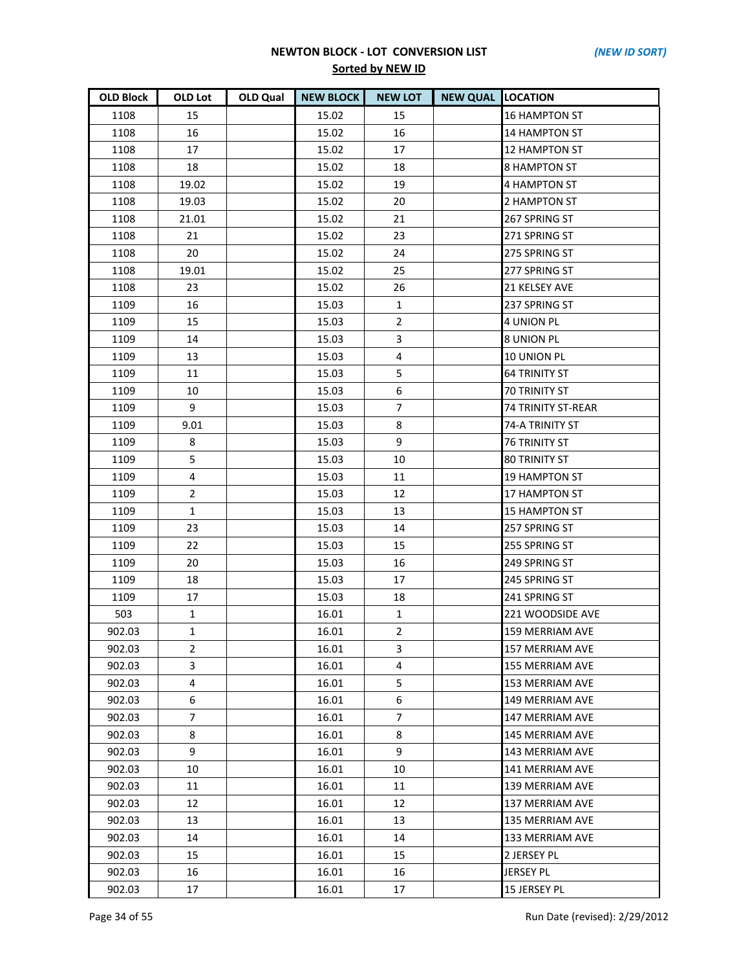| <b>OLD Block</b> | <b>OLD Lot</b> | <b>OLD Qual</b> | <b>NEW BLOCK</b> | <b>NEW LOT</b> | <b>NEW QUAL LOCATION</b> |                           |
|------------------|----------------|-----------------|------------------|----------------|--------------------------|---------------------------|
| 1108             | 15             |                 | 15.02            | 15             |                          | <b>16 HAMPTON ST</b>      |
| 1108             | 16             |                 | 15.02            | 16             |                          | <b>14 HAMPTON ST</b>      |
| 1108             | 17             |                 | 15.02            | 17             |                          | <b>12 HAMPTON ST</b>      |
| 1108             | 18             |                 | 15.02            | 18             |                          | 8 HAMPTON ST              |
| 1108             | 19.02          |                 | 15.02            | 19             |                          | <b>4 HAMPTON ST</b>       |
| 1108             | 19.03          |                 | 15.02            | 20             |                          | 2 HAMPTON ST              |
| 1108             | 21.01          |                 | 15.02            | 21             |                          | 267 SPRING ST             |
| 1108             | 21             |                 | 15.02            | 23             |                          | 271 SPRING ST             |
| 1108             | 20             |                 | 15.02            | 24             |                          | 275 SPRING ST             |
| 1108             | 19.01          |                 | 15.02            | 25             |                          | 277 SPRING ST             |
| 1108             | 23             |                 | 15.02            | 26             |                          | 21 KELSEY AVE             |
| 1109             | 16             |                 | 15.03            | $\mathbf{1}$   |                          | 237 SPRING ST             |
| 1109             | 15             |                 | 15.03            | $\overline{2}$ |                          | <b>4 UNION PL</b>         |
| 1109             | 14             |                 | 15.03            | 3              |                          | <b>8 UNION PL</b>         |
| 1109             | 13             |                 | 15.03            | $\overline{4}$ |                          | 10 UNION PL               |
| 1109             | 11             |                 | 15.03            | 5              |                          | <b>64 TRINITY ST</b>      |
| 1109             | 10             |                 | 15.03            | 6              |                          | <b>70 TRINITY ST</b>      |
| 1109             | 9              |                 | 15.03            | $\overline{7}$ |                          | <b>74 TRINITY ST-REAR</b> |
| 1109             | 9.01           |                 | 15.03            | 8              |                          | 74-A TRINITY ST           |
| 1109             | 8              |                 | 15.03            | 9              |                          | <b>76 TRINITY ST</b>      |
| 1109             | 5              |                 | 15.03            | 10             |                          | <b>80 TRINITY ST</b>      |
| 1109             | 4              |                 | 15.03            | 11             |                          | <b>19 HAMPTON ST</b>      |
| 1109             | $\overline{2}$ |                 | 15.03            | 12             |                          | <b>17 HAMPTON ST</b>      |
| 1109             | $\mathbf{1}$   |                 | 15.03            | 13             |                          | <b>15 HAMPTON ST</b>      |
| 1109             | 23             |                 | 15.03            | 14             |                          | 257 SPRING ST             |
| 1109             | 22             |                 | 15.03            | 15             |                          | 255 SPRING ST             |
| 1109             | 20             |                 | 15.03            | 16             |                          | 249 SPRING ST             |
| 1109             | 18             |                 | 15.03            | 17             |                          | 245 SPRING ST             |
| 1109             | 17             |                 | 15.03            | 18             |                          | 241 SPRING ST             |
| 503              | $\mathbf{1}$   |                 | 16.01            | $\mathbf{1}$   |                          | 221 WOODSIDE AVE          |
| 902.03           | $\mathbf{1}$   |                 | 16.01            | $\overline{2}$ |                          | 159 MERRIAM AVE           |
| 902.03           | $\overline{2}$ |                 | 16.01            | 3              |                          | 157 MERRIAM AVE           |
| 902.03           | 3              |                 | 16.01            | 4              |                          | 155 MERRIAM AVE           |
| 902.03           | 4              |                 | 16.01            | 5              |                          | 153 MERRIAM AVE           |
| 902.03           | 6              |                 | 16.01            | 6              |                          | 149 MERRIAM AVE           |
| 902.03           | $\overline{7}$ |                 | 16.01            | 7              |                          | 147 MERRIAM AVE           |
| 902.03           | 8              |                 | 16.01            | 8              |                          | <b>145 MERRIAM AVE</b>    |
| 902.03           | 9              |                 | 16.01            | 9              |                          | 143 MERRIAM AVE           |
| 902.03           | 10             |                 | 16.01            | 10             |                          | 141 MERRIAM AVE           |
| 902.03           | 11             |                 | 16.01            | 11             |                          | <b>139 MERRIAM AVE</b>    |
| 902.03           | 12             |                 | 16.01            | 12             |                          | 137 MERRIAM AVE           |
| 902.03           | 13             |                 | 16.01            | 13             |                          | 135 MERRIAM AVE           |
| 902.03           | 14             |                 | 16.01            | 14             |                          | 133 MERRIAM AVE           |
| 902.03           | 15             |                 | 16.01            | 15             |                          | 2 JERSEY PL               |
| 902.03           | 16             |                 | 16.01            | 16             |                          | <b>JERSEY PL</b>          |
| 902.03           | 17             |                 | 16.01            | 17             |                          | 15 JERSEY PL              |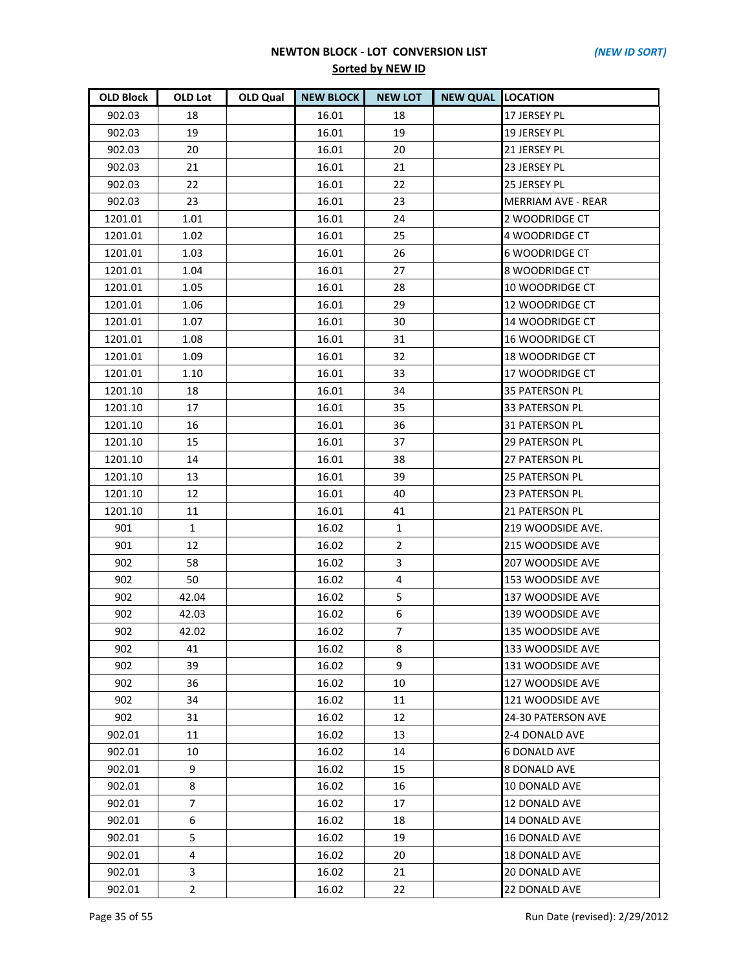| <b>OLD Block</b> | OLD Lot        | OLD Qual | <b>NEW BLOCK</b> | <b>NEW LOT</b> | <b>NEW QUAL LOCATION</b> |                           |
|------------------|----------------|----------|------------------|----------------|--------------------------|---------------------------|
| 902.03           | 18             |          | 16.01            | 18             |                          | 17 JERSEY PL              |
| 902.03           | 19             |          | 16.01            | 19             |                          | 19 JERSEY PL              |
| 902.03           | 20             |          | 16.01            | 20             |                          | 21 JERSEY PL              |
| 902.03           | 21             |          | 16.01            | 21             |                          | 23 JERSEY PL              |
| 902.03           | 22             |          | 16.01            | 22             |                          | 25 JERSEY PL              |
| 902.03           | 23             |          | 16.01            | 23             |                          | <b>MERRIAM AVE - REAR</b> |
| 1201.01          | 1.01           |          | 16.01            | 24             |                          | 2 WOODRIDGE CT            |
| 1201.01          | 1.02           |          | 16.01            | 25             |                          | 4 WOODRIDGE CT            |
| 1201.01          | 1.03           |          | 16.01            | 26             |                          | <b>6 WOODRIDGE CT</b>     |
| 1201.01          | 1.04           |          | 16.01            | 27             |                          | 8 WOODRIDGE CT            |
| 1201.01          | 1.05           |          | 16.01            | 28             |                          | <b>10 WOODRIDGE CT</b>    |
| 1201.01          | 1.06           |          | 16.01            | 29             |                          | 12 WOODRIDGE CT           |
| 1201.01          | 1.07           |          | 16.01            | 30             |                          | 14 WOODRIDGE CT           |
| 1201.01          | 1.08           |          | 16.01            | 31             |                          | <b>16 WOODRIDGE CT</b>    |
| 1201.01          | 1.09           |          | 16.01            | 32             |                          | <b>18 WOODRIDGE CT</b>    |
| 1201.01          | 1.10           |          | 16.01            | 33             |                          | 17 WOODRIDGE CT           |
| 1201.10          | 18             |          | 16.01            | 34             |                          | <b>35 PATERSON PL</b>     |
| 1201.10          | 17             |          | 16.01            | 35             |                          | 33 PATERSON PL            |
| 1201.10          | 16             |          | 16.01            | 36             |                          | 31 PATERSON PL            |
| 1201.10          | 15             |          | 16.01            | 37             |                          | <b>29 PATERSON PL</b>     |
| 1201.10          | 14             |          | 16.01            | 38             |                          | 27 PATERSON PL            |
| 1201.10          | 13             |          | 16.01            | 39             |                          | <b>25 PATERSON PL</b>     |
| 1201.10          | 12             |          | 16.01            | 40             |                          | 23 PATERSON PL            |
| 1201.10          | 11             |          | 16.01            | 41             |                          | 21 PATERSON PL            |
| 901              | $\mathbf{1}$   |          | 16.02            | $\mathbf{1}$   |                          | 219 WOODSIDE AVE.         |
| 901              | 12             |          | 16.02            | $\overline{2}$ |                          | 215 WOODSIDE AVE          |
| 902              | 58             |          | 16.02            | 3              |                          | 207 WOODSIDE AVE          |
| 902              | 50             |          | 16.02            | $\overline{4}$ |                          | 153 WOODSIDE AVE          |
| 902              | 42.04          |          | 16.02            | 5              |                          | 137 WOODSIDE AVE          |
| 902              | 42.03          |          | 16.02            | 6              |                          | 139 WOODSIDE AVE          |
| 902              | 42.02          |          | 16.02            | $\overline{7}$ |                          | 135 WOODSIDE AVE          |
| 902              | 41             |          | 16.02            | 8              |                          | 133 WOODSIDE AVE          |
| 902              | 39             |          | 16.02            | 9              |                          | 131 WOODSIDE AVE          |
| 902              | 36             |          | 16.02            | 10             |                          | 127 WOODSIDE AVE          |
| 902              | 34             |          | 16.02            | 11             |                          | 121 WOODSIDE AVE          |
| 902              | 31             |          | 16.02            | 12             |                          | 24-30 PATERSON AVE        |
| 902.01           | 11             |          | 16.02            | 13             |                          | 2-4 DONALD AVE            |
| 902.01           | 10             |          | 16.02            | 14             |                          | <b>6 DONALD AVE</b>       |
| 902.01           | 9              |          | 16.02            | 15             |                          | 8 DONALD AVE              |
| 902.01           | 8              |          | 16.02            | 16             |                          | 10 DONALD AVE             |
| 902.01           | 7              |          | 16.02            | 17             |                          | 12 DONALD AVE             |
| 902.01           | 6              |          | 16.02            | 18             |                          | 14 DONALD AVE             |
| 902.01           | 5              |          | 16.02            | 19             |                          | <b>16 DONALD AVE</b>      |
| 902.01           | 4              |          | 16.02            | 20             |                          | 18 DONALD AVE             |
| 902.01           | 3              |          | 16.02            | 21             |                          | 20 DONALD AVE             |
| 902.01           | $\overline{c}$ |          | 16.02            | 22             |                          | 22 DONALD AVE             |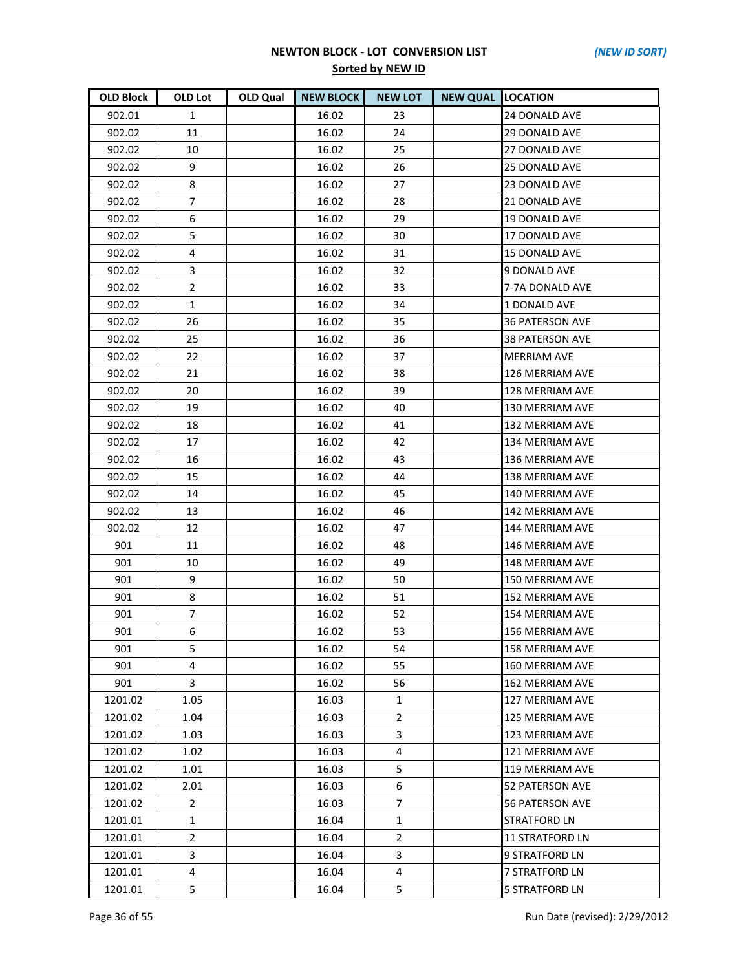| <b>OLD Block</b> | OLD Lot        | OLD Qual | <b>NEW BLOCK</b> | <b>NEW LOT</b> | <b>NEW QUAL LOCATION</b> |                        |
|------------------|----------------|----------|------------------|----------------|--------------------------|------------------------|
| 902.01           | $\mathbf{1}$   |          | 16.02            | 23             |                          | 24 DONALD AVE          |
| 902.02           | 11             |          | 16.02            | 24             |                          | <b>29 DONALD AVE</b>   |
| 902.02           | 10             |          | 16.02            | 25             |                          | 27 DONALD AVE          |
| 902.02           | 9              |          | 16.02            | 26             |                          | <b>25 DONALD AVE</b>   |
| 902.02           | 8              |          | 16.02            | 27             |                          | 23 DONALD AVE          |
| 902.02           | $\overline{7}$ |          | 16.02            | 28             |                          | 21 DONALD AVE          |
| 902.02           | 6              |          | 16.02            | 29             |                          | 19 DONALD AVE          |
| 902.02           | 5              |          | 16.02            | 30             |                          | 17 DONALD AVE          |
| 902.02           | 4              |          | 16.02            | 31             |                          | <b>15 DONALD AVE</b>   |
| 902.02           | 3              |          | 16.02            | 32             |                          | 9 DONALD AVE           |
| 902.02           | $\overline{2}$ |          | 16.02            | 33             |                          | 7-7A DONALD AVE        |
| 902.02           | $\mathbf{1}$   |          | 16.02            | 34             |                          | 1 DONALD AVE           |
| 902.02           | 26             |          | 16.02            | 35             |                          | 36 PATERSON AVE        |
| 902.02           | 25             |          | 16.02            | 36             |                          | 38 PATERSON AVE        |
| 902.02           | 22             |          | 16.02            | 37             |                          | <b>MERRIAM AVE</b>     |
| 902.02           | 21             |          | 16.02            | 38             |                          | 126 MERRIAM AVE        |
| 902.02           | 20             |          | 16.02            | 39             |                          | 128 MERRIAM AVE        |
| 902.02           | 19             |          | 16.02            | 40             |                          | 130 MERRIAM AVE        |
| 902.02           | 18             |          | 16.02            | 41             |                          | 132 MERRIAM AVE        |
| 902.02           | 17             |          | 16.02            | 42             |                          | 134 MERRIAM AVE        |
| 902.02           | 16             |          | 16.02            | 43             |                          | 136 MERRIAM AVE        |
| 902.02           | 15             |          | 16.02            | 44             |                          | 138 MERRIAM AVE        |
| 902.02           | 14             |          | 16.02            | 45             |                          | 140 MERRIAM AVE        |
| 902.02           | 13             |          | 16.02            | 46             |                          | 142 MERRIAM AVE        |
| 902.02           | 12             |          | 16.02            | 47             |                          | 144 MERRIAM AVE        |
| 901              | 11             |          | 16.02            | 48             |                          | 146 MERRIAM AVE        |
| 901              | 10             |          | 16.02            | 49             |                          | <b>148 MERRIAM AVE</b> |
| 901              | 9              |          | 16.02            | 50             |                          | 150 MERRIAM AVE        |
| 901              | 8              |          | 16.02            | 51             |                          | 152 MERRIAM AVE        |
| 901              | $\overline{7}$ |          | 16.02            | 52             |                          | 154 MERRIAM AVE        |
| 901              | 6              |          | 16.02            | 53             |                          | 156 MERRIAM AVE        |
| 901              | 5.             |          | 16.02            | 54             |                          | 158 MERRIAM AVE        |
| 901              | 4              |          | 16.02            | 55             |                          | 160 MERRIAM AVE        |
| 901              | 3              |          | 16.02            | 56             |                          | 162 MERRIAM AVE        |
| 1201.02          | 1.05           |          | 16.03            | $\mathbf{1}$   |                          | 127 MERRIAM AVE        |
| 1201.02          | 1.04           |          | 16.03            | 2              |                          | 125 MERRIAM AVE        |
| 1201.02          | 1.03           |          | 16.03            | 3              |                          | 123 MERRIAM AVE        |
| 1201.02          | 1.02           |          | 16.03            | 4              |                          | 121 MERRIAM AVE        |
| 1201.02          | 1.01           |          | 16.03            | 5              |                          | 119 MERRIAM AVE        |
| 1201.02          | 2.01           |          | 16.03            | 6              |                          | 52 PATERSON AVE        |
| 1201.02          | $\mathbf{2}$   |          | 16.03            | $\overline{7}$ |                          | <b>56 PATERSON AVE</b> |
| 1201.01          | $\mathbf{1}$   |          | 16.04            | 1              |                          | <b>STRATFORD LN</b>    |
| 1201.01          | $\overline{2}$ |          | 16.04            | $\overline{2}$ |                          | <b>11 STRATFORD LN</b> |
| 1201.01          | 3              |          | 16.04            | 3              |                          | 9 STRATFORD LN         |
| 1201.01          | 4              |          | 16.04            | 4              |                          | 7 STRATFORD LN         |
| 1201.01          | 5              |          | 16.04            | 5              |                          | 5 STRATFORD LN         |

Page 36 of 55 Run Date (revised): 2/29/2012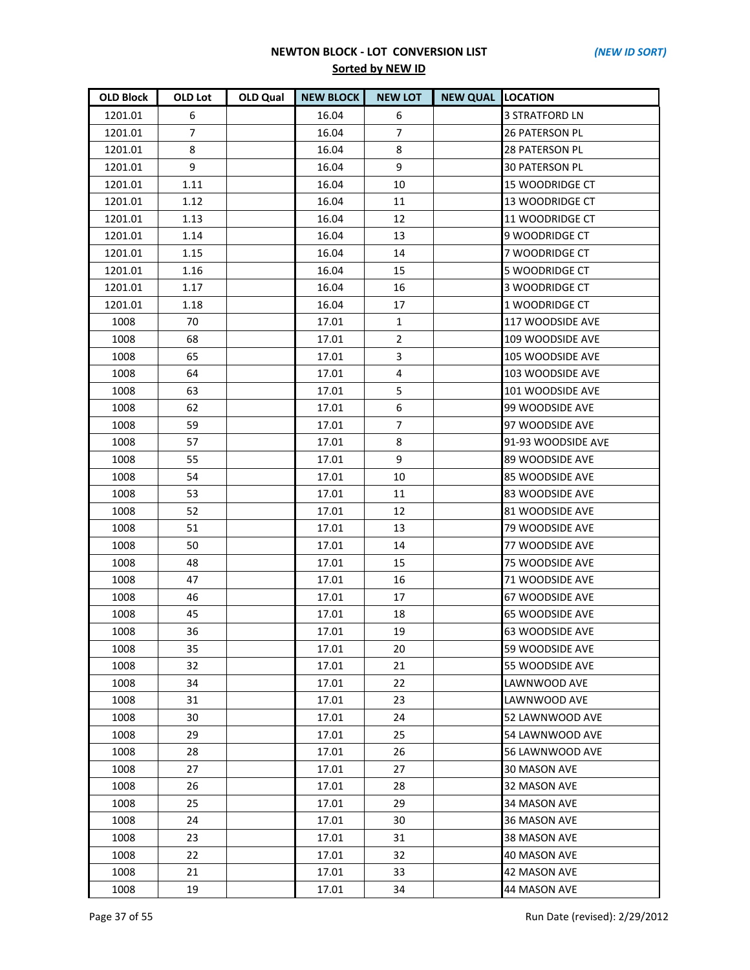| <b>OLD Block</b> | <b>OLD Lot</b> | OLD Qual | <b>NEW BLOCK</b> | <b>NEW LOT</b> | <b>NEW QUAL LOCATION</b> |                        |
|------------------|----------------|----------|------------------|----------------|--------------------------|------------------------|
| 1201.01          | 6              |          | 16.04            | 6              |                          | <b>3 STRATFORD LN</b>  |
| 1201.01          | $\overline{7}$ |          | 16.04            | $\overline{7}$ |                          | <b>26 PATERSON PL</b>  |
| 1201.01          | 8              |          | 16.04            | 8              |                          | <b>28 PATERSON PL</b>  |
| 1201.01          | 9              |          | 16.04            | 9              |                          | <b>30 PATERSON PL</b>  |
| 1201.01          | 1.11           |          | 16.04            | 10             |                          | 15 WOODRIDGE CT        |
| 1201.01          | 1.12           |          | 16.04            | 11             |                          | 13 WOODRIDGE CT        |
| 1201.01          | 1.13           |          | 16.04            | 12             |                          | 11 WOODRIDGE CT        |
| 1201.01          | 1.14           |          | 16.04            | 13             |                          | 9 WOODRIDGE CT         |
| 1201.01          | 1.15           |          | 16.04            | 14             |                          | 7 WOODRIDGE CT         |
| 1201.01          | 1.16           |          | 16.04            | 15             |                          | 5 WOODRIDGE CT         |
| 1201.01          | 1.17           |          | 16.04            | 16             |                          | 3 WOODRIDGE CT         |
| 1201.01          | 1.18           |          | 16.04            | 17             |                          | 1 WOODRIDGE CT         |
| 1008             | 70             |          | 17.01            | $\mathbf{1}$   |                          | 117 WOODSIDE AVE       |
| 1008             | 68             |          | 17.01            | $\overline{2}$ |                          | 109 WOODSIDE AVE       |
| 1008             | 65             |          | 17.01            | 3              |                          | 105 WOODSIDE AVE       |
| 1008             | 64             |          | 17.01            | $\overline{4}$ |                          | 103 WOODSIDE AVE       |
| 1008             | 63             |          | 17.01            | 5              |                          | 101 WOODSIDE AVE       |
| 1008             | 62             |          | 17.01            | 6              |                          | 99 WOODSIDE AVE        |
| 1008             | 59             |          | 17.01            | $\overline{7}$ |                          | 97 WOODSIDE AVE        |
| 1008             | 57             |          | 17.01            | 8              |                          | 91-93 WOODSIDE AVE     |
| 1008             | 55             |          | 17.01            | 9              |                          | 89 WOODSIDE AVE        |
| 1008             | 54             |          | 17.01            | 10             |                          | 85 WOODSIDE AVE        |
| 1008             | 53             |          | 17.01            | 11             |                          | 83 WOODSIDE AVE        |
| 1008             | 52             |          | 17.01            | 12             |                          | 81 WOODSIDE AVE        |
| 1008             | 51             |          | 17.01            | 13             |                          | <b>79 WOODSIDE AVE</b> |
| 1008             | 50             |          | 17.01            | 14             |                          | 77 WOODSIDE AVE        |
| 1008             | 48             |          | 17.01            | 15             |                          | <b>75 WOODSIDE AVE</b> |
| 1008             | 47             |          | 17.01            | 16             |                          | 71 WOODSIDE AVE        |
| 1008             | 46             |          | 17.01            | 17             |                          | 67 WOODSIDE AVE        |
| 1008             | 45             |          | 17.01            | 18             |                          | <b>65 WOODSIDE AVE</b> |
| 1008             | 36             |          | 17.01            | 19             |                          | <b>63 WOODSIDE AVE</b> |
| 1008             | 35             |          | 17.01            | 20             |                          | 59 WOODSIDE AVE        |
| 1008             | 32             |          | 17.01            | 21             |                          | 55 WOODSIDE AVE        |
| 1008             | 34             |          | 17.01            | 22             |                          | LAWNWOOD AVE           |
| 1008             | 31             |          | 17.01            | 23             |                          | LAWNWOOD AVE           |
| 1008             | 30             |          | 17.01            | 24             |                          | 52 LAWNWOOD AVE        |
| 1008             | 29             |          | 17.01            | 25             |                          | 54 LAWNWOOD AVE        |
| 1008             | 28             |          | 17.01            | 26             |                          | 56 LAWNWOOD AVE        |
| 1008             | 27             |          | 17.01            | 27             |                          | 30 MASON AVE           |
| 1008             | 26             |          | 17.01            | 28             |                          | 32 MASON AVE           |
| 1008             | 25             |          | 17.01            | 29             |                          | 34 MASON AVE           |
| 1008             | 24             |          | 17.01            | 30             |                          | <b>36 MASON AVE</b>    |
| 1008             | 23             |          | 17.01            | 31             |                          | 38 MASON AVE           |
| 1008             | 22             |          | 17.01            | 32             |                          | <b>40 MASON AVE</b>    |
| 1008             | 21             |          | 17.01            | 33             |                          | <b>42 MASON AVE</b>    |
| 1008             | 19             |          | 17.01            | 34             |                          | 44 MASON AVE           |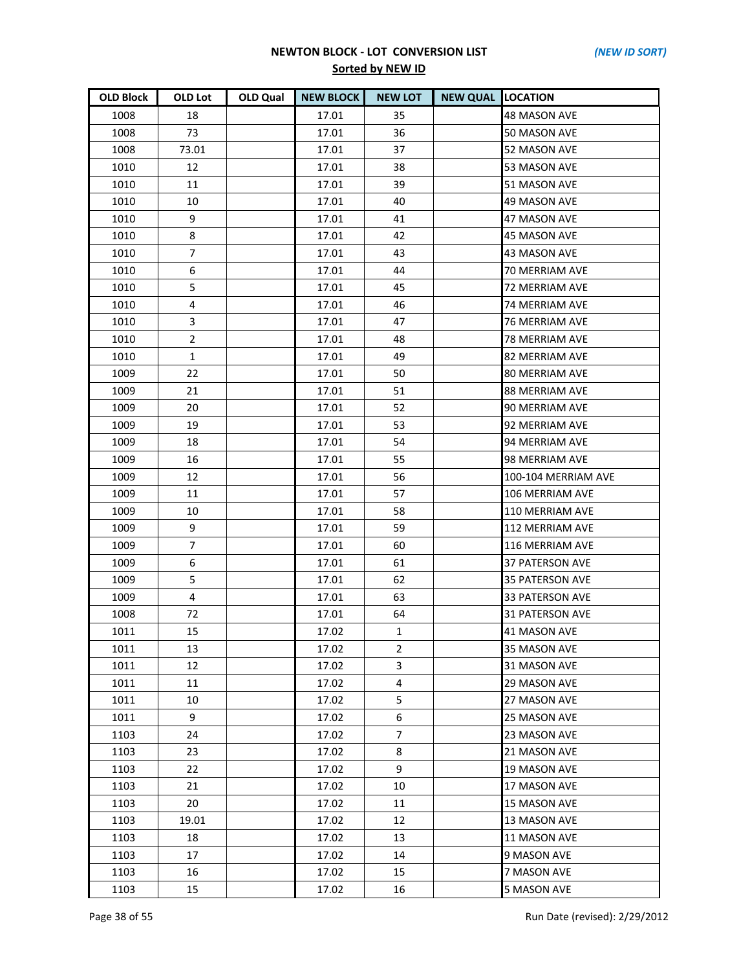| <b>OLD Block</b> | OLD Lot        | OLD Qual | <b>NEW BLOCK</b> | <b>NEW LOT</b> | <b>NEW QUAL LOCATION</b> |                        |
|------------------|----------------|----------|------------------|----------------|--------------------------|------------------------|
| 1008             | 18             |          | 17.01            | 35             |                          | <b>48 MASON AVE</b>    |
| 1008             | 73             |          | 17.01            | 36             |                          | 50 MASON AVE           |
| 1008             | 73.01          |          | 17.01            | 37             |                          | 52 MASON AVE           |
| 1010             | 12             |          | 17.01            | 38             |                          | 53 MASON AVE           |
| 1010             | 11             |          | 17.01            | 39             |                          | 51 MASON AVE           |
| 1010             | 10             |          | 17.01            | 40             |                          | <b>49 MASON AVE</b>    |
| 1010             | 9              |          | 17.01            | 41             |                          | 47 MASON AVE           |
| 1010             | 8              |          | 17.01            | 42             |                          | 45 MASON AVE           |
| 1010             | 7              |          | 17.01            | 43             |                          | 43 MASON AVE           |
| 1010             | 6              |          | 17.01            | 44             |                          | 70 MERRIAM AVE         |
| 1010             | 5              |          | 17.01            | 45             |                          | 72 MERRIAM AVE         |
| 1010             | 4              |          | 17.01            | 46             |                          | <b>74 MERRIAM AVE</b>  |
| 1010             | 3              |          | 17.01            | 47             |                          | 76 MERRIAM AVE         |
| 1010             | $\overline{2}$ |          | 17.01            | 48             |                          | 78 MERRIAM AVE         |
| 1010             | $\mathbf{1}$   |          | 17.01            | 49             |                          | <b>82 MERRIAM AVE</b>  |
| 1009             | 22             |          | 17.01            | 50             |                          | 80 MERRIAM AVE         |
| 1009             | 21             |          | 17.01            | 51             |                          | 88 MERRIAM AVE         |
| 1009             | 20             |          | 17.01            | 52             |                          | 90 MERRIAM AVE         |
| 1009             | 19             |          | 17.01            | 53             |                          | 92 MERRIAM AVE         |
| 1009             | 18             |          | 17.01            | 54             |                          | 94 MERRIAM AVE         |
| 1009             | 16             |          | 17.01            | 55             |                          | 98 MERRIAM AVE         |
| 1009             | 12             |          | 17.01            | 56             |                          | 100-104 MERRIAM AVE    |
| 1009             | 11             |          | 17.01            | 57             |                          | 106 MERRIAM AVE        |
| 1009             | 10             |          | 17.01            | 58             |                          | 110 MERRIAM AVE        |
| 1009             | 9              |          | 17.01            | 59             |                          | 112 MERRIAM AVE        |
| 1009             | $\overline{7}$ |          | 17.01            | 60             |                          | 116 MERRIAM AVE        |
| 1009             | 6              |          | 17.01            | 61             |                          | <b>37 PATERSON AVE</b> |
| 1009             | 5              |          | 17.01            | 62             |                          | <b>35 PATERSON AVE</b> |
| 1009             | 4              |          | 17.01            | 63             |                          | 33 PATERSON AVE        |
| 1008             | 72             |          | 17.01            | 64             |                          | 31 PATERSON AVE        |
| 1011             | 15             |          | 17.02            | $\mathbf{1}$   |                          | <b>41 MASON AVE</b>    |
| 1011             | 13             |          | 17.02            | $\overline{2}$ |                          | 35 MASON AVE           |
| 1011             | 12             |          | 17.02            | 3              |                          | 31 MASON AVE           |
| 1011             | 11             |          | 17.02            | 4              |                          | <b>29 MASON AVE</b>    |
| 1011             | 10             |          | 17.02            | 5              |                          | 27 MASON AVE           |
| 1011             | 9              |          | 17.02            | 6              |                          | 25 MASON AVE           |
| 1103             | 24             |          | 17.02            | $\overline{7}$ |                          | 23 MASON AVE           |
| 1103             | 23             |          | 17.02            | 8              |                          | 21 MASON AVE           |
| 1103             | 22             |          | 17.02            | 9              |                          | 19 MASON AVE           |
| 1103             | 21             |          | 17.02            | 10             |                          | 17 MASON AVE           |
| 1103             | 20             |          | 17.02            | 11             |                          | <b>15 MASON AVE</b>    |
| 1103             | 19.01          |          | 17.02            | 12             |                          | 13 MASON AVE           |
| 1103             | 18             |          | 17.02            | 13             |                          | 11 MASON AVE           |
| 1103             | 17             |          | 17.02            | 14             |                          | 9 MASON AVE            |
| 1103             | 16             |          | 17.02            | 15             |                          | 7 MASON AVE            |
| 1103             | 15             |          | 17.02            | 16             |                          | 5 MASON AVE            |

Page 38 of 55 Run Date (revised): 2/29/2012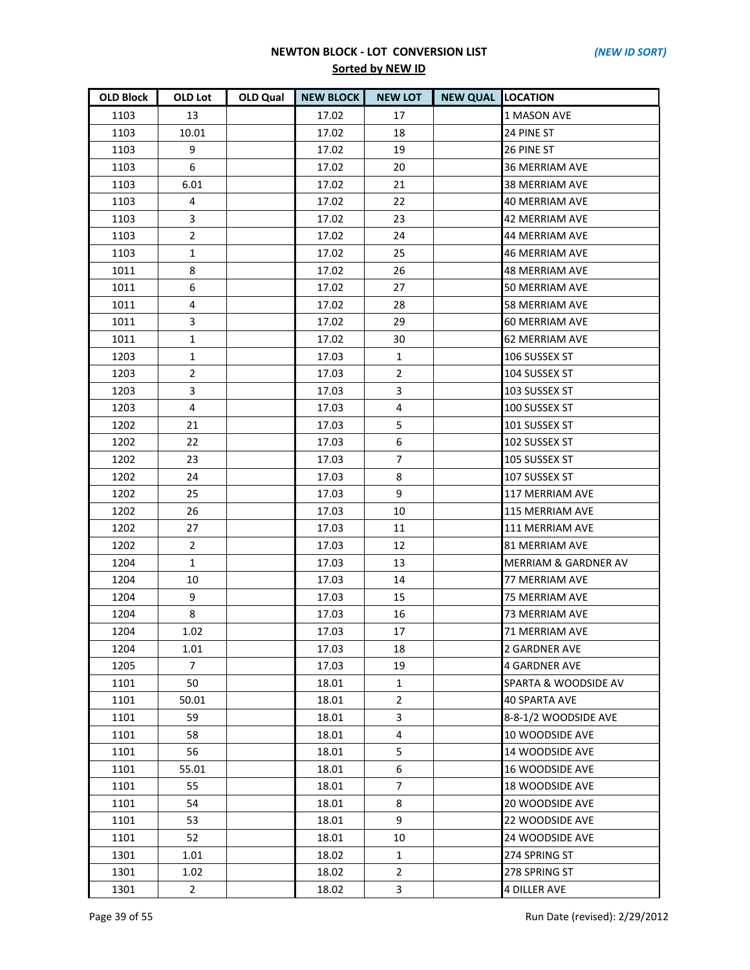| <b>OLD Block</b> | OLD Lot        | <b>OLD Qual</b> | <b>NEW BLOCK</b> | <b>NEW LOT</b> | <b>NEW QUAL LOCATION</b> |                                 |
|------------------|----------------|-----------------|------------------|----------------|--------------------------|---------------------------------|
| 1103             | 13             |                 | 17.02            | 17             |                          | 1 MASON AVE                     |
| 1103             | 10.01          |                 | 17.02            | 18             |                          | 24 PINE ST                      |
| 1103             | 9              |                 | 17.02            | 19             |                          | 26 PINE ST                      |
| 1103             | 6              |                 | 17.02            | 20             |                          | <b>36 MERRIAM AVE</b>           |
| 1103             | 6.01           |                 | 17.02            | 21             |                          | 38 MERRIAM AVE                  |
| 1103             | 4              |                 | 17.02            | 22             |                          | <b>40 MERRIAM AVE</b>           |
| 1103             | 3              |                 | 17.02            | 23             |                          | 42 MERRIAM AVE                  |
| 1103             | $\overline{2}$ |                 | 17.02            | 24             |                          | 44 MERRIAM AVE                  |
| 1103             | $\mathbf{1}$   |                 | 17.02            | 25             |                          | <b>46 MERRIAM AVE</b>           |
| 1011             | 8              |                 | 17.02            | 26             |                          | 48 MERRIAM AVE                  |
| 1011             | 6              |                 | 17.02            | 27             |                          | 50 MERRIAM AVE                  |
| 1011             | $\overline{4}$ |                 | 17.02            | 28             |                          | <b>58 MERRIAM AVE</b>           |
| 1011             | 3              |                 | 17.02            | 29             |                          | 60 MERRIAM AVE                  |
| 1011             | $\mathbf{1}$   |                 | 17.02            | 30             |                          | <b>62 MERRIAM AVE</b>           |
| 1203             | $\mathbf{1}$   |                 | 17.03            | 1              |                          | 106 SUSSEX ST                   |
| 1203             | $\overline{2}$ |                 | 17.03            | $\overline{2}$ |                          | 104 SUSSEX ST                   |
| 1203             | 3              |                 | 17.03            | 3              |                          | 103 SUSSEX ST                   |
| 1203             | $\overline{4}$ |                 | 17.03            | 4              |                          | 100 SUSSEX ST                   |
| 1202             | 21             |                 | 17.03            | 5              |                          | 101 SUSSEX ST                   |
| 1202             | 22             |                 | 17.03            | 6              |                          | 102 SUSSEX ST                   |
| 1202             | 23             |                 | 17.03            | $\overline{7}$ |                          | 105 SUSSEX ST                   |
| 1202             | 24             |                 | 17.03            | 8              |                          | 107 SUSSEX ST                   |
| 1202             | 25             |                 | 17.03            | 9              |                          | 117 MERRIAM AVE                 |
| 1202             | 26             |                 | 17.03            | 10             |                          | 115 MERRIAM AVE                 |
| 1202             | 27             |                 | 17.03            | 11             |                          | 111 MERRIAM AVE                 |
| 1202             | $\overline{2}$ |                 | 17.03            | 12             |                          | 81 MERRIAM AVE                  |
| 1204             | $\mathbf{1}$   |                 | 17.03            | 13             |                          | <b>MERRIAM &amp; GARDNER AV</b> |
| 1204             | 10             |                 | 17.03            | 14             |                          | <b>77 MERRIAM AVE</b>           |
| 1204             | 9              |                 | 17.03            | 15             |                          | 75 MERRIAM AVE                  |
| 1204             | 8              |                 | 17.03            | 16             |                          | <b>73 MERRIAM AVE</b>           |
| 1204             | 1.02           |                 | 17.03            | 17             |                          | <b>71 MERRIAM AVE</b>           |
| 1204             | 1.01           |                 | 17.03            | 18             |                          | 2 GARDNER AVE                   |
| 1205             | $\overline{7}$ |                 | 17.03            | 19             |                          | <b>4 GARDNER AVE</b>            |
| 1101             | 50             |                 | 18.01            | 1              |                          | SPARTA & WOODSIDE AV            |
| 1101             | 50.01          |                 | 18.01            | $\overline{2}$ |                          | <b>40 SPARTA AVE</b>            |
| 1101             | 59             |                 | 18.01            | 3              |                          | 8-8-1/2 WOODSIDE AVE            |
| 1101             | 58             |                 | 18.01            | 4              |                          | 10 WOODSIDE AVE                 |
| 1101             | 56             |                 | 18.01            | 5              |                          | 14 WOODSIDE AVE                 |
| 1101             | 55.01          |                 | 18.01            | 6              |                          | 16 WOODSIDE AVE                 |
| 1101             | 55             |                 | 18.01            | $\overline{7}$ |                          | 18 WOODSIDE AVE                 |
| 1101             | 54             |                 | 18.01            | 8              |                          | <b>20 WOODSIDE AVE</b>          |
| 1101             | 53             |                 | 18.01            | 9              |                          | 22 WOODSIDE AVE                 |
| 1101             | 52             |                 | 18.01            | 10             |                          | 24 WOODSIDE AVE                 |
| 1301             | 1.01           |                 | 18.02            | $\mathbf{1}$   |                          | 274 SPRING ST                   |
| 1301             | 1.02           |                 | 18.02            | $\overline{2}$ |                          | 278 SPRING ST                   |
| 1301             | $\mathbf{2}$   |                 | 18.02            | 3              |                          | <b>4 DILLER AVE</b>             |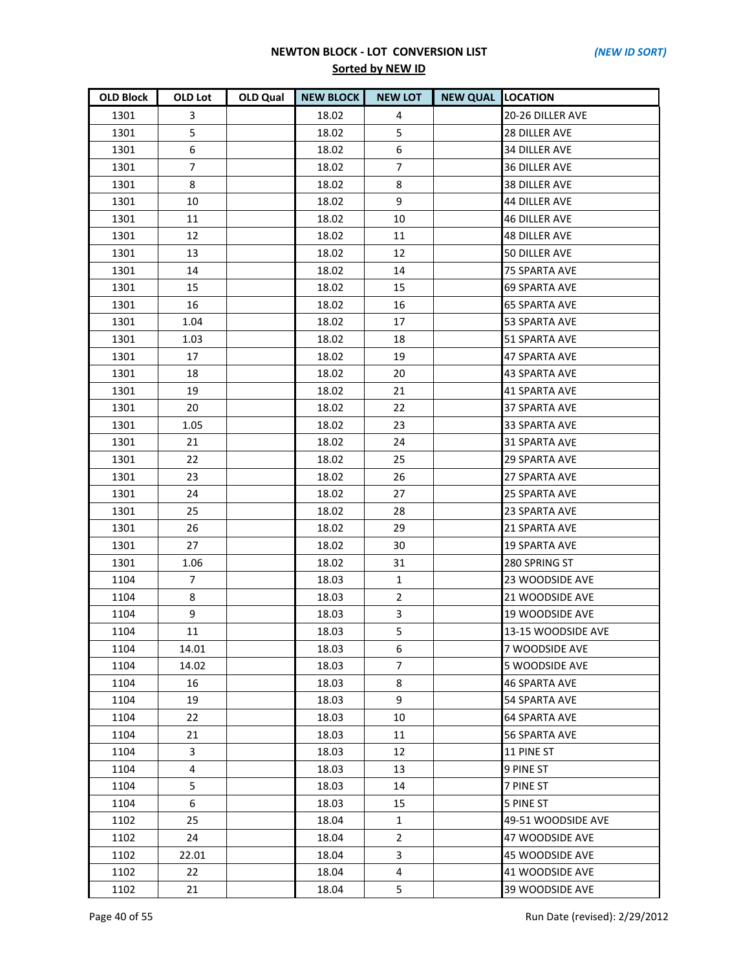| <b>OLD Block</b> | OLD Lot        | OLD Qual | <b>NEW BLOCK</b> | <b>NEW LOT</b> | <b>NEW QUAL LOCATION</b> |                       |
|------------------|----------------|----------|------------------|----------------|--------------------------|-----------------------|
| 1301             | 3              |          | 18.02            | 4              |                          | 20-26 DILLER AVE      |
| 1301             | 5              |          | 18.02            | 5              |                          | <b>28 DILLER AVE</b>  |
| 1301             | 6              |          | 18.02            | 6              |                          | <b>34 DILLER AVE</b>  |
| 1301             | $\overline{7}$ |          | 18.02            | 7              |                          | <b>36 DILLER AVE</b>  |
| 1301             | 8              |          | 18.02            | 8              |                          | 38 DILLER AVE         |
| 1301             | 10             |          | 18.02            | 9              |                          | <b>44 DILLER AVE</b>  |
| 1301             | 11             |          | 18.02            | 10             |                          | <b>46 DILLER AVE</b>  |
| 1301             | 12             |          | 18.02            | 11             |                          | <b>48 DILLER AVE</b>  |
| 1301             | 13             |          | 18.02            | 12             |                          | 50 DILLER AVE         |
| 1301             | 14             |          | 18.02            | 14             |                          | 75 SPARTA AVE         |
| 1301             | 15             |          | 18.02            | 15             |                          | <b>69 SPARTA AVE</b>  |
| 1301             | 16             |          | 18.02            | 16             |                          | <b>65 SPARTA AVE</b>  |
| 1301             | 1.04           |          | 18.02            | 17             |                          | 53 SPARTA AVE         |
| 1301             | 1.03           |          | 18.02            | 18             |                          | 51 SPARTA AVE         |
| 1301             | 17             |          | 18.02            | 19             |                          | <b>47 SPARTA AVE</b>  |
| 1301             | 18             |          | 18.02            | 20             |                          | <b>43 SPARTA AVE</b>  |
| 1301             | 19             |          | 18.02            | 21             |                          | 41 SPARTA AVE         |
| 1301             | 20             |          | 18.02            | 22             |                          | <b>37 SPARTA AVE</b>  |
| 1301             | 1.05           |          | 18.02            | 23             |                          | 33 SPARTA AVE         |
| 1301             | 21             |          | 18.02            | 24             |                          | 31 SPARTA AVE         |
| 1301             | 22             |          | 18.02            | 25             |                          | <b>29 SPARTA AVE</b>  |
| 1301             | 23             |          | 18.02            | 26             |                          | 27 SPARTA AVE         |
| 1301             | 24             |          | 18.02            | 27             |                          | <b>25 SPARTA AVE</b>  |
| 1301             | 25             |          | 18.02            | 28             |                          | 23 SPARTA AVE         |
| 1301             | 26             |          | 18.02            | 29             |                          | 21 SPARTA AVE         |
| 1301             | 27             |          | 18.02            | 30             |                          | <b>19 SPARTA AVE</b>  |
| 1301             | 1.06           |          | 18.02            | 31             |                          | 280 SPRING ST         |
| 1104             | $\overline{7}$ |          | 18.03            | $\mathbf{1}$   |                          | 23 WOODSIDE AVE       |
| 1104             | 8              |          | 18.03            | $\overline{2}$ |                          | 21 WOODSIDE AVE       |
| 1104             | 9              |          | 18.03            | 3              |                          | 19 WOODSIDE AVE       |
| 1104             | 11             |          | 18.03            | 5              |                          | 13-15 WOODSIDE AVE    |
| 1104             | 14.01          |          | 18.03            | 6              |                          | 7 WOODSIDE AVE        |
| 1104             | 14.02          |          | 18.03            | 7              |                          | <b>5 WOODSIDE AVE</b> |
| 1104             | 16             |          | 18.03            | 8              |                          | <b>46 SPARTA AVE</b>  |
| 1104             | 19             |          | 18.03            | 9              |                          | 54 SPARTA AVE         |
| 1104             | 22             |          | 18.03            | 10             |                          | <b>64 SPARTA AVE</b>  |
| 1104             | 21             |          | 18.03            | 11             |                          | <b>56 SPARTA AVE</b>  |
| 1104             | 3              |          | 18.03            | 12             |                          | 11 PINE ST            |
| 1104             | 4              |          | 18.03            | 13             |                          | 9 PINE ST             |
| 1104             | 5              |          | 18.03            | 14             |                          | 7 PINE ST             |
| 1104             | 6              |          | 18.03            | 15             |                          | <b>5 PINE ST</b>      |
| 1102             | 25             |          | 18.04            | $\mathbf{1}$   |                          | 49-51 WOODSIDE AVE    |
| 1102             | 24             |          | 18.04            | $\overline{2}$ |                          | 47 WOODSIDE AVE       |
| 1102             | 22.01          |          | 18.04            | 3              |                          | 45 WOODSIDE AVE       |
| 1102             | 22             |          | 18.04            | 4              |                          | 41 WOODSIDE AVE       |
| 1102             | 21             |          | 18.04            | 5              |                          | 39 WOODSIDE AVE       |

Page 40 of 55 Run Date (revised): 2/29/2012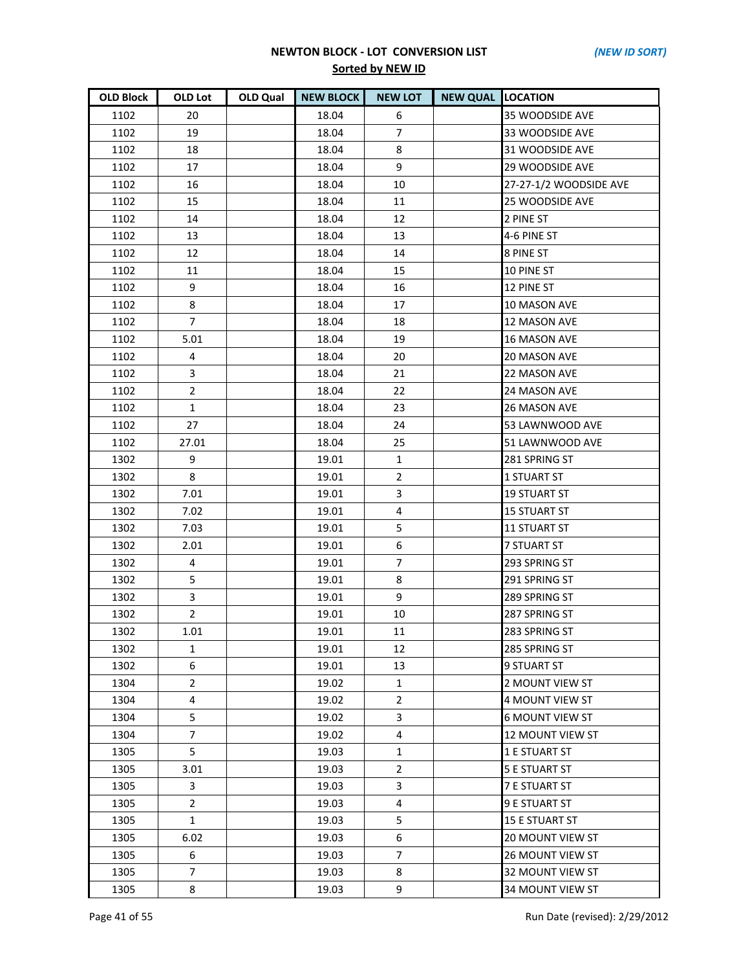| <b>OLD Block</b> | OLD Lot        | <b>OLD Qual</b> | <b>NEW BLOCK</b> | <b>NEW LOT</b> | <b>NEW QUAL LOCATION</b> |                         |
|------------------|----------------|-----------------|------------------|----------------|--------------------------|-------------------------|
| 1102             | 20             |                 | 18.04            | 6              |                          | 35 WOODSIDE AVE         |
| 1102             | 19             |                 | 18.04            | $\overline{7}$ |                          | 33 WOODSIDE AVE         |
| 1102             | 18             |                 | 18.04            | 8              |                          | 31 WOODSIDE AVE         |
| 1102             | 17             |                 | 18.04            | 9              |                          | 29 WOODSIDE AVE         |
| 1102             | 16             |                 | 18.04            | 10             |                          | 27-27-1/2 WOODSIDE AVE  |
| 1102             | 15             |                 | 18.04            | 11             |                          | 25 WOODSIDE AVE         |
| 1102             | 14             |                 | 18.04            | 12             |                          | 2 PINE ST               |
| 1102             | 13             |                 | 18.04            | 13             |                          | 4-6 PINE ST             |
| 1102             | 12             |                 | 18.04            | 14             |                          | 8 PINE ST               |
| 1102             | 11             |                 | 18.04            | 15             |                          | 10 PINE ST              |
| 1102             | 9              |                 | 18.04            | 16             |                          | 12 PINE ST              |
| 1102             | 8              |                 | 18.04            | 17             |                          | 10 MASON AVE            |
| 1102             | $\overline{7}$ |                 | 18.04            | 18             |                          | 12 MASON AVE            |
| 1102             | 5.01           |                 | 18.04            | 19             |                          | <b>16 MASON AVE</b>     |
| 1102             | $\overline{4}$ |                 | 18.04            | 20             |                          | 20 MASON AVE            |
| 1102             | 3              |                 | 18.04            | 21             |                          | <b>22 MASON AVE</b>     |
| 1102             | $\overline{2}$ |                 | 18.04            | 22             |                          | 24 MASON AVE            |
| 1102             | $\mathbf{1}$   |                 | 18.04            | 23             |                          | <b>26 MASON AVE</b>     |
| 1102             | 27             |                 | 18.04            | 24             |                          | 53 LAWNWOOD AVE         |
| 1102             | 27.01          |                 | 18.04            | 25             |                          | 51 LAWNWOOD AVE         |
| 1302             | 9              |                 | 19.01            | $\mathbf{1}$   |                          | 281 SPRING ST           |
| 1302             | 8              |                 | 19.01            | $\overline{2}$ |                          | <b>1 STUART ST</b>      |
| 1302             | 7.01           |                 | 19.01            | 3              |                          | <b>19 STUART ST</b>     |
| 1302             | 7.02           |                 | 19.01            | 4              |                          | <b>15 STUART ST</b>     |
| 1302             | 7.03           |                 | 19.01            | 5              |                          | <b>11 STUART ST</b>     |
| 1302             | 2.01           |                 | 19.01            | 6              |                          | <b>7 STUART ST</b>      |
| 1302             | $\overline{4}$ |                 | 19.01            | $\overline{7}$ |                          | 293 SPRING ST           |
| 1302             | 5              |                 | 19.01            | 8              |                          | 291 SPRING ST           |
| 1302             | $\overline{3}$ |                 | 19.01            | 9              |                          | 289 SPRING ST           |
| 1302             | $\overline{2}$ |                 | 19.01            | 10             |                          | 287 SPRING ST           |
| 1302             | 1.01           |                 | 19.01            | 11             |                          | 283 SPRING ST           |
| 1302             | 1              |                 | 19.01            | 12             |                          | 285 SPRING ST           |
| 1302             | 6              |                 | 19.01            | 13             |                          | <b>9 STUART ST</b>      |
| 1304             | $\overline{2}$ |                 | 19.02            | $\mathbf{1}$   |                          | 2 MOUNT VIEW ST         |
| 1304             | 4              |                 | 19.02            | $\overline{2}$ |                          | 4 MOUNT VIEW ST         |
| 1304             | 5              |                 | 19.02            | 3              |                          | <b>6 MOUNT VIEW ST</b>  |
| 1304             | $\overline{7}$ |                 | 19.02            | 4              |                          | 12 MOUNT VIEW ST        |
| 1305             | 5              |                 | 19.03            | 1              |                          | 1 E STUART ST           |
| 1305             | 3.01           |                 | 19.03            | 2              |                          | <b>5 E STUART ST</b>    |
| 1305             | 3              |                 | 19.03            | 3              |                          | 7 E STUART ST           |
| 1305             | $2^{\circ}$    |                 | 19.03            | 4              |                          | 9 E STUART ST           |
| 1305             | $\mathbf{1}$   |                 | 19.03            | 5              |                          | <b>15 E STUART ST</b>   |
| 1305             | 6.02           |                 | 19.03            | 6              |                          | <b>20 MOUNT VIEW ST</b> |
| 1305             | 6              |                 | 19.03            | 7              |                          | <b>26 MOUNT VIEW ST</b> |
| 1305             | $\overline{7}$ |                 | 19.03            | 8              |                          | 32 MOUNT VIEW ST        |
| 1305             | 8              |                 | 19.03            | 9              |                          | <b>34 MOUNT VIEW ST</b> |

Page 41 of 55 Run Date (revised): 2/29/2012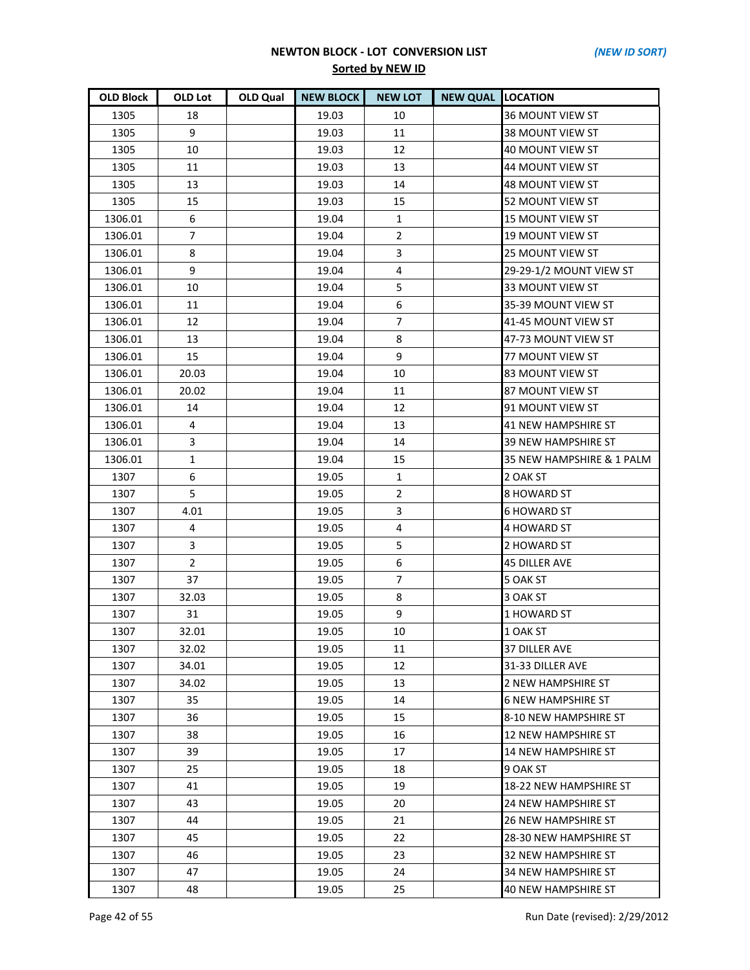| <b>OLD Block</b> | OLD Lot        | <b>OLD Qual</b> | <b>NEW BLOCK</b> | <b>NEW LOT</b> | <b>NEW QUAL LOCATION</b> |                            |
|------------------|----------------|-----------------|------------------|----------------|--------------------------|----------------------------|
| 1305             | 18             |                 | 19.03            | 10             |                          | <b>36 MOUNT VIEW ST</b>    |
| 1305             | 9              |                 | 19.03            | 11             |                          | <b>38 MOUNT VIEW ST</b>    |
| 1305             | 10             |                 | 19.03            | 12             |                          | 40 MOUNT VIEW ST           |
| 1305             | 11             |                 | 19.03            | 13             |                          | 44 MOUNT VIEW ST           |
| 1305             | 13             |                 | 19.03            | 14             |                          | 48 MOUNT VIEW ST           |
| 1305             | 15             |                 | 19.03            | 15             |                          | <b>52 MOUNT VIEW ST</b>    |
| 1306.01          | 6              |                 | 19.04            | $\mathbf{1}$   |                          | 15 MOUNT VIEW ST           |
| 1306.01          | $\overline{7}$ |                 | 19.04            | $\overline{2}$ |                          | <b>19 MOUNT VIEW ST</b>    |
| 1306.01          | 8              |                 | 19.04            | 3              |                          | <b>25 MOUNT VIEW ST</b>    |
| 1306.01          | 9              |                 | 19.04            | 4              |                          | 29-29-1/2 MOUNT VIEW ST    |
| 1306.01          | 10             |                 | 19.04            | 5              |                          | 33 MOUNT VIEW ST           |
| 1306.01          | 11             |                 | 19.04            | 6              |                          | 35-39 MOUNT VIEW ST        |
| 1306.01          | 12             |                 | 19.04            | $\overline{7}$ |                          | 41-45 MOUNT VIEW ST        |
| 1306.01          | 13             |                 | 19.04            | 8              |                          | 47-73 MOUNT VIEW ST        |
| 1306.01          | 15             |                 | 19.04            | 9              |                          | 77 MOUNT VIEW ST           |
| 1306.01          | 20.03          |                 | 19.04            | 10             |                          | 83 MOUNT VIEW ST           |
| 1306.01          | 20.02          |                 | 19.04            | 11             |                          | 87 MOUNT VIEW ST           |
| 1306.01          | 14             |                 | 19.04            | 12             |                          | 91 MOUNT VIEW ST           |
| 1306.01          | 4              |                 | 19.04            | 13             |                          | 41 NEW HAMPSHIRE ST        |
| 1306.01          | 3              |                 | 19.04            | 14             |                          | <b>39 NEW HAMPSHIRE ST</b> |
| 1306.01          | $\mathbf{1}$   |                 | 19.04            | 15             |                          | 35 NEW HAMPSHIRE & 1 PALM  |
| 1307             | 6              |                 | 19.05            | $\mathbf{1}$   |                          | 2 OAK ST                   |
| 1307             | 5.             |                 | 19.05            | $\overline{2}$ |                          | 8 HOWARD ST                |
| 1307             | 4.01           |                 | 19.05            | 3              |                          | <b>6 HOWARD ST</b>         |
| 1307             | 4              |                 | 19.05            | 4              |                          | 4 HOWARD ST                |
| 1307             | 3              |                 | 19.05            | 5              |                          | 2 HOWARD ST                |
| 1307             | $\overline{2}$ |                 | 19.05            | 6              |                          | <b>45 DILLER AVE</b>       |
| 1307             | 37             |                 | 19.05            | $\overline{7}$ |                          | 5 OAK ST                   |
| 1307             | 32.03          |                 | 19.05            | 8              |                          | 3 OAK ST                   |
| 1307             | 31             |                 | 19.05            | 9              |                          | 1 HOWARD ST                |
| 1307             | 32.01          |                 | 19.05            | 10             |                          | 1 OAK ST                   |
| 1307             | 32.02          |                 | 19.05            | 11             |                          | <b>37 DILLER AVE</b>       |
| 1307             | 34.01          |                 | 19.05            | 12             |                          | 31-33 DILLER AVE           |
| 1307             | 34.02          |                 | 19.05            | 13             |                          | 2 NEW HAMPSHIRE ST         |
| 1307             | 35             |                 | 19.05            | 14             |                          | <b>6 NEW HAMPSHIRE ST</b>  |
| 1307             | 36             |                 | 19.05            | 15             |                          | 8-10 NEW HAMPSHIRE ST      |
| 1307             | 38             |                 | 19.05            | 16             |                          | 12 NEW HAMPSHIRE ST        |
| 1307             | 39             |                 | 19.05            | 17             |                          | 14 NEW HAMPSHIRE ST        |
| 1307             | 25             |                 | 19.05            | 18             |                          | 9 OAK ST                   |
| 1307             | 41             |                 | 19.05            | 19             |                          | 18-22 NEW HAMPSHIRE ST     |
| 1307             | 43             |                 | 19.05            | 20             |                          | 24 NEW HAMPSHIRE ST        |
| 1307             | 44             |                 | 19.05            | 21             |                          | 26 NEW HAMPSHIRE ST        |
| 1307             | 45             |                 | 19.05            | 22             |                          | 28-30 NEW HAMPSHIRE ST     |
| 1307             | 46             |                 | 19.05            | 23             |                          | 32 NEW HAMPSHIRE ST        |
| 1307             | 47             |                 | 19.05            | 24             |                          | 34 NEW HAMPSHIRE ST        |
| 1307             | 48             |                 | 19.05            | 25             |                          | <b>40 NEW HAMPSHIRE ST</b> |

Page 42 of 55 Run Date (revised): 2/29/2012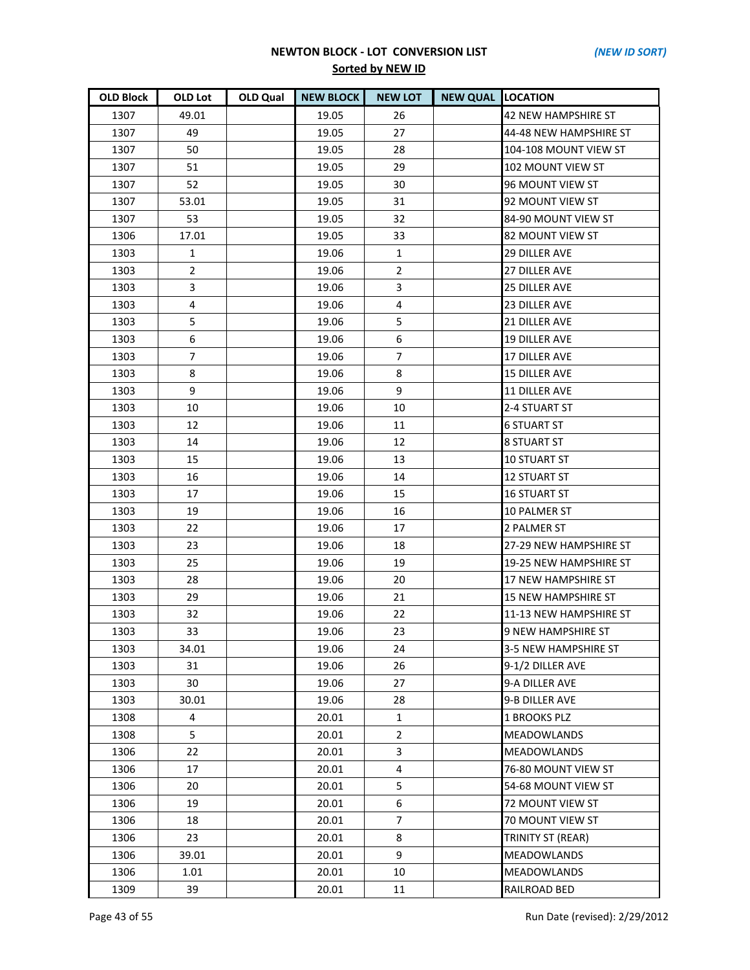| <b>OLD Block</b> | OLD Lot        | <b>OLD Qual</b> | <b>NEW BLOCK</b> | <b>NEW LOT</b> | <b>NEW QUAL LOCATION</b> |                           |
|------------------|----------------|-----------------|------------------|----------------|--------------------------|---------------------------|
| 1307             | 49.01          |                 | 19.05            | 26             |                          | 42 NEW HAMPSHIRE ST       |
| 1307             | 49             |                 | 19.05            | 27             |                          | 44-48 NEW HAMPSHIRE ST    |
| 1307             | 50             |                 | 19.05            | 28             |                          | 104-108 MOUNT VIEW ST     |
| 1307             | 51             |                 | 19.05            | 29             |                          | 102 MOUNT VIEW ST         |
| 1307             | 52             |                 | 19.05            | 30             |                          | 96 MOUNT VIEW ST          |
| 1307             | 53.01          |                 | 19.05            | 31             |                          | 92 MOUNT VIEW ST          |
| 1307             | 53             |                 | 19.05            | 32             |                          | 84-90 MOUNT VIEW ST       |
| 1306             | 17.01          |                 | 19.05            | 33             |                          | 82 MOUNT VIEW ST          |
| 1303             | $\mathbf{1}$   |                 | 19.06            | $\mathbf{1}$   |                          | <b>29 DILLER AVE</b>      |
| 1303             | $\overline{2}$ |                 | 19.06            | $\overline{2}$ |                          | 27 DILLER AVE             |
| 1303             | 3              |                 | 19.06            | 3              |                          | <b>25 DILLER AVE</b>      |
| 1303             | 4              |                 | 19.06            | 4              |                          | 23 DILLER AVE             |
| 1303             | 5              |                 | 19.06            | 5              |                          | <b>21 DILLER AVE</b>      |
| 1303             | 6              |                 | 19.06            | 6              |                          | <b>19 DILLER AVE</b>      |
| 1303             | 7              |                 | 19.06            | $\overline{7}$ |                          | <b>17 DILLER AVE</b>      |
| 1303             | 8              |                 | 19.06            | 8              |                          | <b>15 DILLER AVE</b>      |
| 1303             | 9              |                 | 19.06            | 9              |                          | <b>11 DILLER AVE</b>      |
| 1303             | 10             |                 | 19.06            | 10             |                          | 2-4 STUART ST             |
| 1303             | 12             |                 | 19.06            | 11             |                          | 6 STUART ST               |
| 1303             | 14             |                 | 19.06            | 12             |                          | <b>8 STUART ST</b>        |
| 1303             | 15             |                 | 19.06            | 13             |                          | <b>10 STUART ST</b>       |
| 1303             | 16             |                 | 19.06            | 14             |                          | <b>12 STUART ST</b>       |
| 1303             | 17             |                 | 19.06            | 15             |                          | <b>16 STUART ST</b>       |
| 1303             | 19             |                 | 19.06            | 16             |                          | 10 PALMER ST              |
| 1303             | 22             |                 | 19.06            | 17             |                          | 2 PALMER ST               |
| 1303             | 23             |                 | 19.06            | 18             |                          | 27-29 NEW HAMPSHIRE ST    |
| 1303             | 25             |                 | 19.06            | 19             |                          | 19-25 NEW HAMPSHIRE ST    |
| 1303             | 28             |                 | 19.06            | 20             |                          | 17 NEW HAMPSHIRE ST       |
| 1303             | 29             |                 | 19.06            | 21             |                          | 15 NEW HAMPSHIRE ST       |
| 1303             | 32             |                 | 19.06            | 22             |                          | 11-13 NEW HAMPSHIRE ST    |
| 1303             | 33             |                 | 19.06            | 23             |                          | <b>9 NEW HAMPSHIRE ST</b> |
| 1303             | 34.01          |                 | 19.06            | 24             |                          | 3-5 NEW HAMPSHIRE ST      |
| 1303             | 31             |                 | 19.06            | 26             |                          | 9-1/2 DILLER AVE          |
| 1303             | 30             |                 | 19.06            | 27             |                          | 9-A DILLER AVE            |
| 1303             | 30.01          |                 | 19.06            | 28             |                          | 9-B DILLER AVE            |
| 1308             | 4              |                 | 20.01            | $\mathbf{1}$   |                          | 1 BROOKS PLZ              |
| 1308             | 5              |                 | 20.01            | $\overline{2}$ |                          | <b>MEADOWLANDS</b>        |
| 1306             | 22             |                 | 20.01            | 3              |                          | <b>MEADOWLANDS</b>        |
| 1306             | 17             |                 | 20.01            | 4              |                          | 76-80 MOUNT VIEW ST       |
| 1306             | 20             |                 | 20.01            | 5              |                          | 54-68 MOUNT VIEW ST       |
| 1306             | 19             |                 | 20.01            | 6              |                          | <b>72 MOUNT VIEW ST</b>   |
| 1306             | 18             |                 | 20.01            | $\overline{7}$ |                          | <b>70 MOUNT VIEW ST</b>   |
| 1306             | 23             |                 | 20.01            | 8              |                          | TRINITY ST (REAR)         |
| 1306             | 39.01          |                 | 20.01            | 9              |                          | <b>MEADOWLANDS</b>        |
| 1306             | 1.01           |                 | 20.01            | 10             |                          | <b>MEADOWLANDS</b>        |
| 1309             | 39             |                 | 20.01            | 11             |                          | RAILROAD BED              |

Page 43 of 55 Run Date (revised): 2/29/2012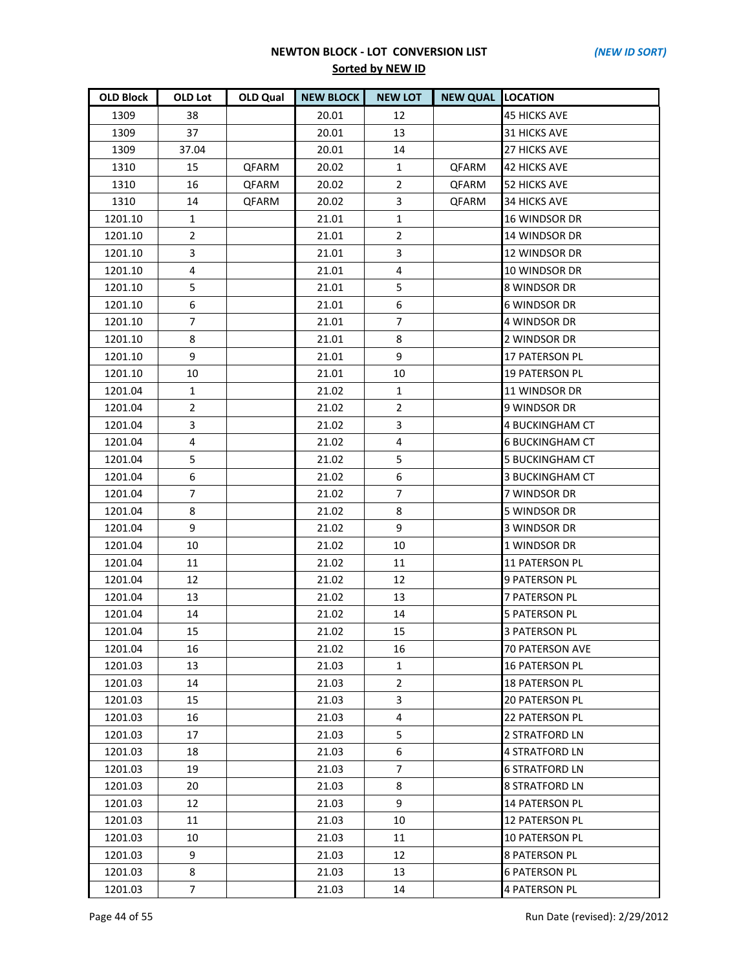| <b>OLD Block</b> | OLD Lot        | OLD Qual     | <b>NEW BLOCK</b> | <b>NEW LOT</b> | <b>NEW QUAL LOCATION</b> |                        |
|------------------|----------------|--------------|------------------|----------------|--------------------------|------------------------|
| 1309             | 38             |              | 20.01            | 12             |                          | <b>45 HICKS AVE</b>    |
| 1309             | 37             |              | 20.01            | 13             |                          | <b>31 HICKS AVE</b>    |
| 1309             | 37.04          |              | 20.01            | 14             |                          | <b>27 HICKS AVE</b>    |
| 1310             | 15             | <b>QFARM</b> | 20.02            | $\mathbf{1}$   | QFARM                    | <b>42 HICKS AVE</b>    |
| 1310             | 16             | QFARM        | 20.02            | $\overline{2}$ | QFARM                    | 52 HICKS AVE           |
| 1310             | 14             | QFARM        | 20.02            | 3              | QFARM                    | 34 HICKS AVE           |
| 1201.10          | $\mathbf{1}$   |              | 21.01            | 1              |                          | 16 WINDSOR DR          |
| 1201.10          | $\overline{2}$ |              | 21.01            | $\overline{2}$ |                          | 14 WINDSOR DR          |
| 1201.10          | 3              |              | 21.01            | 3              |                          | <b>12 WINDSOR DR</b>   |
| 1201.10          | 4              |              | 21.01            | 4              |                          | 10 WINDSOR DR          |
| 1201.10          | 5              |              | 21.01            | 5              |                          | 8 WINDSOR DR           |
| 1201.10          | 6              |              | 21.01            | 6              |                          | <b>6 WINDSOR DR</b>    |
| 1201.10          | $\overline{7}$ |              | 21.01            | $\overline{7}$ |                          | 4 WINDSOR DR           |
| 1201.10          | 8              |              | 21.01            | 8              |                          | 2 WINDSOR DR           |
| 1201.10          | 9              |              | 21.01            | 9              |                          | 17 PATERSON PL         |
| 1201.10          | 10             |              | 21.01            | 10             |                          | 19 PATERSON PL         |
| 1201.04          | 1              |              | 21.02            | 1              |                          | 11 WINDSOR DR          |
| 1201.04          | $\overline{2}$ |              | 21.02            | 2              |                          | 9 WINDSOR DR           |
| 1201.04          | 3              |              | 21.02            | 3              |                          | 4 BUCKINGHAM CT        |
| 1201.04          | 4              |              | 21.02            | 4              |                          | 6 BUCKINGHAM CT        |
| 1201.04          | 5              |              | 21.02            | 5              |                          | <b>5 BUCKINGHAM CT</b> |
| 1201.04          | 6              |              | 21.02            | 6              |                          | 3 BUCKINGHAM CT        |
| 1201.04          | 7              |              | 21.02            | $\overline{7}$ |                          | 7 WINDSOR DR           |
| 1201.04          | 8              |              | 21.02            | 8              |                          | 5 WINDSOR DR           |
| 1201.04          | 9              |              | 21.02            | 9              |                          | 3 WINDSOR DR           |
| 1201.04          | 10             |              | 21.02            | 10             |                          | 1 WINDSOR DR           |
| 1201.04          | 11             |              | 21.02            | 11             |                          | <b>11 PATERSON PL</b>  |
| 1201.04          | 12             |              | 21.02            | 12             |                          | 9 PATERSON PL          |
| 1201.04          | 13             |              | 21.02            | 13             |                          | <b>7 PATERSON PL</b>   |
| 1201.04          | 14             |              | 21.02            | 14             |                          | <b>5 PATERSON PL</b>   |
| 1201.04          | 15             |              | 21.02            | 15             |                          | <b>3 PATERSON PL</b>   |
| 1201.04          | 16             |              | 21.02            | 16             |                          | 70 PATERSON AVE        |
| 1201.03          | 13             |              | 21.03            | $\mathbf{1}$   |                          | 16 PATERSON PL         |
| 1201.03          | 14             |              | 21.03            | 2              |                          | 18 PATERSON PL         |
| 1201.03          | 15             |              | 21.03            | 3              |                          | <b>20 PATERSON PL</b>  |
| 1201.03          | 16             |              | 21.03            | 4              |                          | <b>22 PATERSON PL</b>  |
| 1201.03          | 17             |              | 21.03            | 5              |                          | 2 STRATFORD LN         |
| 1201.03          | 18             |              | 21.03            | 6              |                          | 4 STRATFORD LN         |
| 1201.03          | 19             |              | 21.03            | $\overline{7}$ |                          | <b>6 STRATFORD LN</b>  |
| 1201.03          | 20             |              | 21.03            | 8              |                          | <b>8 STRATFORD LN</b>  |
| 1201.03          | 12             |              | 21.03            | 9              |                          | 14 PATERSON PL         |
| 1201.03          | 11             |              | 21.03            | 10             |                          | 12 PATERSON PL         |
| 1201.03          | 10             |              | 21.03            | 11             |                          | <b>10 PATERSON PL</b>  |
| 1201.03          | 9              |              | 21.03            | 12             |                          | 8 PATERSON PL          |
| 1201.03          | 8              |              | 21.03            | 13             |                          | <b>6 PATERSON PL</b>   |
| 1201.03          | $\overline{7}$ |              | 21.03            | 14             |                          | <b>4 PATERSON PL</b>   |

Page 44 of 55 Run Date (revised): 2/29/2012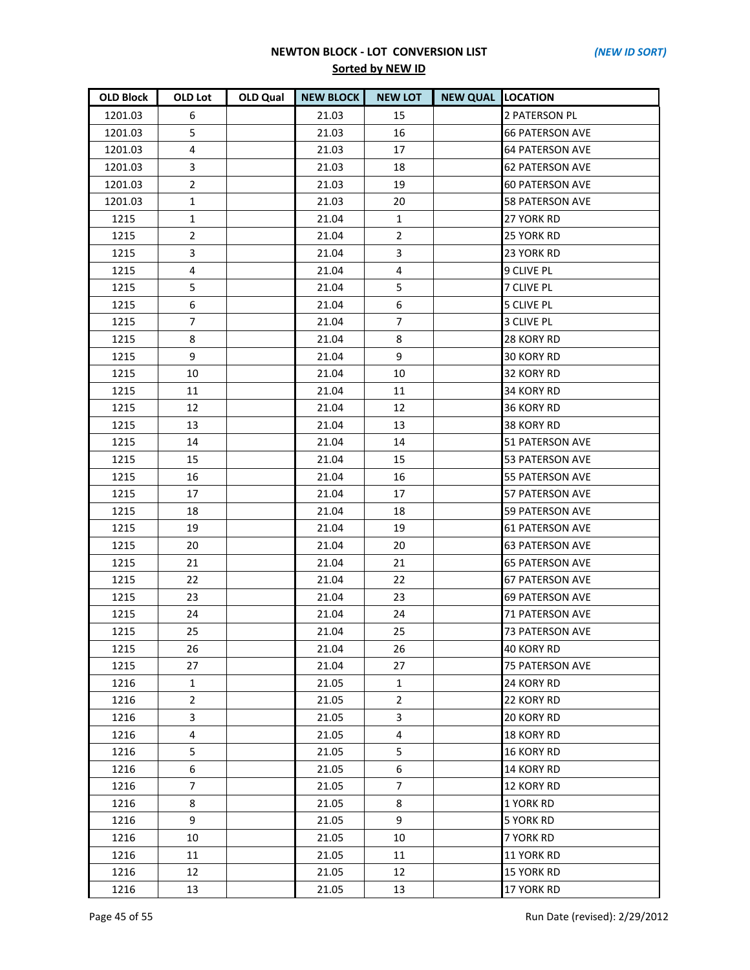| <b>OLD Block</b> | <b>OLD Lot</b> | OLD Qual | <b>NEW BLOCK</b> | <b>NEW LOT</b> | <b>NEW QUAL LOCATION</b> |                        |
|------------------|----------------|----------|------------------|----------------|--------------------------|------------------------|
| 1201.03          | 6              |          | 21.03            | 15             |                          | 2 PATERSON PL          |
| 1201.03          | 5              |          | 21.03            | 16             |                          | <b>66 PATERSON AVE</b> |
| 1201.03          | 4              |          | 21.03            | 17             |                          | <b>64 PATERSON AVE</b> |
| 1201.03          | 3              |          | 21.03            | 18             |                          | <b>62 PATERSON AVE</b> |
| 1201.03          | $\overline{2}$ |          | 21.03            | 19             |                          | <b>60 PATERSON AVE</b> |
| 1201.03          | $\mathbf{1}$   |          | 21.03            | 20             |                          | <b>58 PATERSON AVE</b> |
| 1215             | $\mathbf{1}$   |          | 21.04            | $\mathbf{1}$   |                          | 27 YORK RD             |
| 1215             | $\overline{2}$ |          | 21.04            | $\overline{2}$ |                          | 25 YORK RD             |
| 1215             | 3              |          | 21.04            | 3              |                          | 23 YORK RD             |
| 1215             | 4              |          | 21.04            | 4              |                          | 9 CLIVE PL             |
| 1215             | 5              |          | 21.04            | 5              |                          | <b>7 CLIVE PL</b>      |
| 1215             | 6              |          | 21.04            | 6              |                          | <b>5 CLIVE PL</b>      |
| 1215             | $\overline{7}$ |          | 21.04            | $\overline{7}$ |                          | 3 CLIVE PL             |
| 1215             | 8              |          | 21.04            | 8              |                          | 28 KORY RD             |
| 1215             | 9              |          | 21.04            | 9              |                          | <b>30 KORY RD</b>      |
| 1215             | 10             |          | 21.04            | 10             |                          | 32 KORY RD             |
| 1215             | 11             |          | 21.04            | 11             |                          | 34 KORY RD             |
| 1215             | 12             |          | 21.04            | 12             |                          | 36 KORY RD             |
| 1215             | 13             |          | 21.04            | 13             |                          | 38 KORY RD             |
| 1215             | 14             |          | 21.04            | 14             |                          | <b>51 PATERSON AVE</b> |
| 1215             | 15             |          | 21.04            | 15             |                          | 53 PATERSON AVE        |
| 1215             | 16             |          | 21.04            | 16             |                          | 55 PATERSON AVE        |
| 1215             | 17             |          | 21.04            | 17             |                          | 57 PATERSON AVE        |
| 1215             | 18             |          | 21.04            | 18             |                          | 59 PATERSON AVE        |
| 1215             | 19             |          | 21.04            | 19             |                          | 61 PATERSON AVE        |
| 1215             | 20             |          | 21.04            | 20             |                          | <b>63 PATERSON AVE</b> |
| 1215             | 21             |          | 21.04            | 21             |                          | <b>65 PATERSON AVE</b> |
| 1215             | 22             |          | 21.04            | 22             |                          | 67 PATERSON AVE        |
| 1215             | 23             |          | 21.04            | 23             |                          | <b>69 PATERSON AVE</b> |
| 1215             | 24             |          | 21.04            | 24             |                          | <b>71 PATERSON AVE</b> |
| 1215             | 25             |          | 21.04            | 25             |                          | <b>73 PATERSON AVE</b> |
| 1215             | 26             |          | 21.04            | 26             |                          | 40 KORY RD             |
| 1215             | 27             |          | 21.04            | 27             |                          | 75 PATERSON AVE        |
| 1216             | $\mathbf{1}$   |          | 21.05            | $\mathbf{1}$   |                          | 24 KORY RD             |
| 1216             | $\overline{2}$ |          | 21.05            | $\overline{2}$ |                          | 22 KORY RD             |
| 1216             | 3              |          | 21.05            | 3              |                          | 20 KORY RD             |
| 1216             | 4              |          | 21.05            | 4              |                          | 18 KORY RD             |
| 1216             | 5              |          | 21.05            | 5              |                          | 16 KORY RD             |
| 1216             | 6              |          | 21.05            | 6              |                          | 14 KORY RD             |
| 1216             | $\overline{7}$ |          | 21.05            | $\overline{7}$ |                          | 12 KORY RD             |
| 1216             | 8              |          | 21.05            | 8              |                          | 1 YORK RD              |
| 1216             | 9              |          | 21.05            | 9              |                          | <b>5 YORK RD</b>       |
| 1216             | 10             |          | 21.05            | 10             |                          | 7 YORK RD              |
| 1216             | 11             |          | 21.05            | 11             |                          | 11 YORK RD             |
| 1216             | 12             |          | 21.05            | 12             |                          | <b>15 YORK RD</b>      |
| 1216             | 13             |          | 21.05            | 13             |                          | 17 YORK RD             |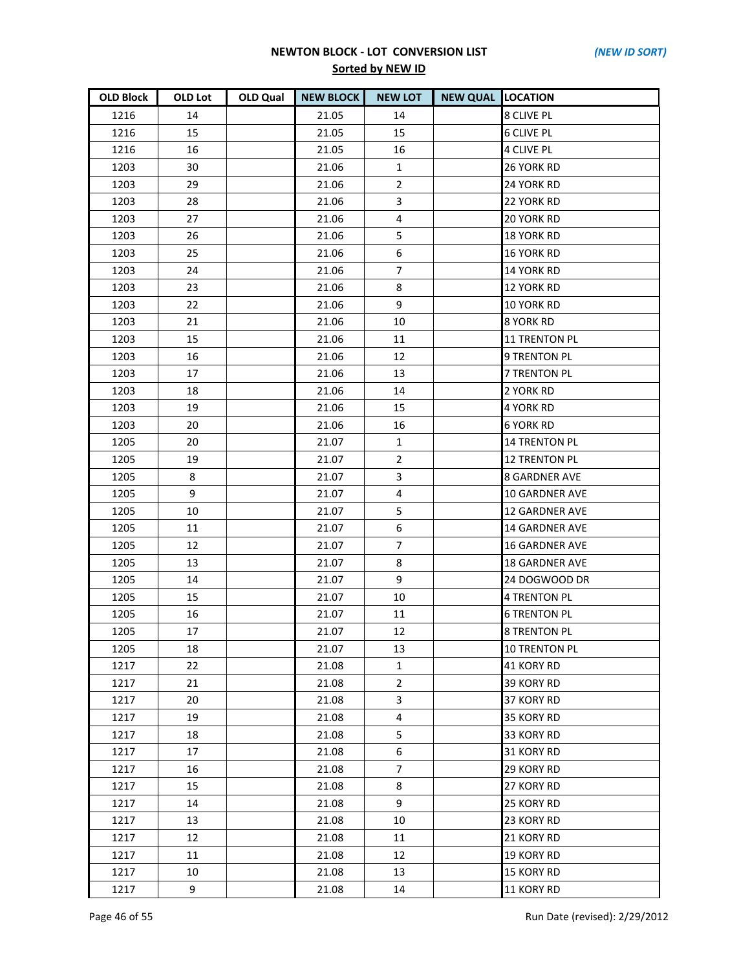| <b>OLD Block</b> | OLD Lot | OLD Qual | <b>NEW BLOCK</b> | <b>NEW LOT</b> | <b>NEW QUAL LOCATION</b> |                       |
|------------------|---------|----------|------------------|----------------|--------------------------|-----------------------|
| 1216             | 14      |          | 21.05            | 14             |                          | <b>8 CLIVE PL</b>     |
| 1216             | 15      |          | 21.05            | 15             |                          | <b>6 CLIVE PL</b>     |
| 1216             | 16      |          | 21.05            | 16             |                          | <b>4 CLIVE PL</b>     |
| 1203             | 30      |          | 21.06            | $\mathbf{1}$   |                          | 26 YORK RD            |
| 1203             | 29      |          | 21.06            | $\overline{2}$ |                          | 24 YORK RD            |
| 1203             | 28      |          | 21.06            | 3              |                          | 22 YORK RD            |
| 1203             | 27      |          | 21.06            | 4              |                          | <b>20 YORK RD</b>     |
| 1203             | 26      |          | 21.06            | 5              |                          | <b>18 YORK RD</b>     |
| 1203             | 25      |          | 21.06            | 6              |                          | <b>16 YORK RD</b>     |
| 1203             | 24      |          | 21.06            | $\overline{7}$ |                          | <b>14 YORK RD</b>     |
| 1203             | 23      |          | 21.06            | 8              |                          | <b>12 YORK RD</b>     |
| 1203             | 22      |          | 21.06            | 9              |                          | 10 YORK RD            |
| 1203             | 21      |          | 21.06            | 10             |                          | 8 YORK RD             |
| 1203             | 15      |          | 21.06            | 11             |                          | <b>11 TRENTON PL</b>  |
| 1203             | 16      |          | 21.06            | 12             |                          | 9 TRENTON PL          |
| 1203             | 17      |          | 21.06            | 13             |                          | <b>7 TRENTON PL</b>   |
| 1203             | 18      |          | 21.06            | 14             |                          | 2 YORK RD             |
| 1203             | 19      |          | 21.06            | 15             |                          | 4 YORK RD             |
| 1203             | 20      |          | 21.06            | 16             |                          | <b>6 YORK RD</b>      |
| 1205             | 20      |          | 21.07            | $\mathbf{1}$   |                          | <b>14 TRENTON PL</b>  |
| 1205             | 19      |          | 21.07            | $\overline{2}$ |                          | <b>12 TRENTON PL</b>  |
| 1205             | 8       |          | 21.07            | 3              |                          | <b>8 GARDNER AVE</b>  |
| 1205             | 9       |          | 21.07            | 4              |                          | 10 GARDNER AVE        |
| 1205             | 10      |          | 21.07            | 5              |                          | <b>12 GARDNER AVE</b> |
| 1205             | 11      |          | 21.07            | 6              |                          | <b>14 GARDNER AVE</b> |
| 1205             | 12      |          | 21.07            | $\overline{7}$ |                          | <b>16 GARDNER AVE</b> |
| 1205             | 13      |          | 21.07            | 8              |                          | <b>18 GARDNER AVE</b> |
| 1205             | 14      |          | 21.07            | 9              |                          | 24 DOGWOOD DR         |
| 1205             | 15      |          | 21.07            | 10             |                          | <b>4 TRENTON PL</b>   |
| 1205             | 16      |          | 21.07            | 11             |                          | <b>6 TRENTON PL</b>   |
| 1205             | 17      |          | 21.07            | 12             |                          | <b>8 TRENTON PL</b>   |
| 1205             | 18      |          | 21.07            | 13             |                          | <b>10 TRENTON PL</b>  |
| 1217             | 22      |          | 21.08            | $\mathbf{1}$   |                          | 41 KORY RD            |
| 1217             | 21      |          | 21.08            | $\mathbf{2}$   |                          | 39 KORY RD            |
| 1217             | 20      |          | 21.08            | 3              |                          | 37 KORY RD            |
| 1217             | 19      |          | 21.08            | 4              |                          | 35 KORY RD            |
| 1217             | 18      |          | 21.08            | 5              |                          | 33 KORY RD            |
| 1217             | 17      |          | 21.08            | 6              |                          | 31 KORY RD            |
| 1217             | 16      |          | 21.08            | $\overline{7}$ |                          | 29 KORY RD            |
| 1217             | 15      |          | 21.08            | 8              |                          | 27 KORY RD            |
| 1217             | 14      |          | 21.08            | 9              |                          | 25 KORY RD            |
| 1217             | 13      |          | 21.08            | 10             |                          | 23 KORY RD            |
| 1217             | 12      |          | 21.08            | 11             |                          | 21 KORY RD            |
| 1217             | 11      |          | 21.08            | 12             |                          | 19 KORY RD            |
| 1217             | 10      |          | 21.08            | 13             |                          | <b>15 KORY RD</b>     |
| 1217             | 9       |          | 21.08            | 14             |                          | 11 KORY RD            |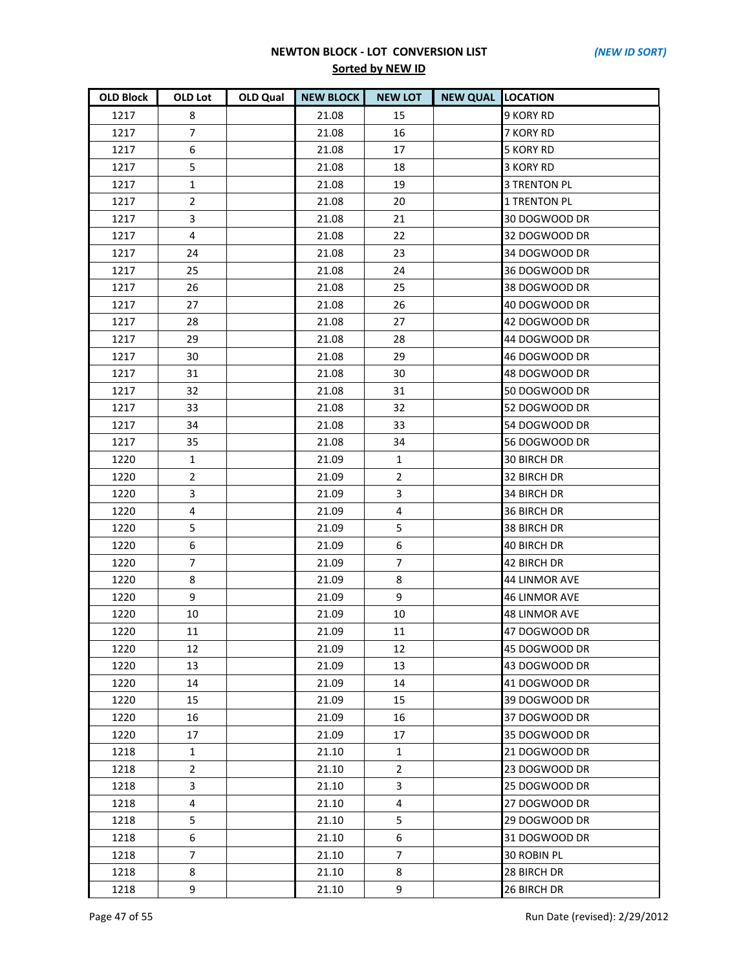| <b>OLD Block</b> | OLD Lot        | <b>OLD Qual</b> | <b>NEW BLOCK</b> | <b>NEW LOT</b> | <b>NEW QUAL LOCATION</b> |                      |
|------------------|----------------|-----------------|------------------|----------------|--------------------------|----------------------|
| 1217             | 8              |                 | 21.08            | 15             |                          | 9 KORY RD            |
| 1217             | 7              |                 | 21.08            | 16             |                          | 7 KORY RD            |
| 1217             | 6              |                 | 21.08            | 17             |                          | <b>5 KORY RD</b>     |
| 1217             | 5              |                 | 21.08            | 18             |                          | 3 KORY RD            |
| 1217             | $\mathbf{1}$   |                 | 21.08            | 19             |                          | <b>3 TRENTON PL</b>  |
| 1217             | $\overline{2}$ |                 | 21.08            | 20             |                          | <b>1 TRENTON PL</b>  |
| 1217             | 3              |                 | 21.08            | 21             |                          | 30 DOGWOOD DR        |
| 1217             | 4              |                 | 21.08            | 22             |                          | 32 DOGWOOD DR        |
| 1217             | 24             |                 | 21.08            | 23             |                          | 34 DOGWOOD DR        |
| 1217             | 25             |                 | 21.08            | 24             |                          | 36 DOGWOOD DR        |
| 1217             | 26             |                 | 21.08            | 25             |                          | 38 DOGWOOD DR        |
| 1217             | 27             |                 | 21.08            | 26             |                          | 40 DOGWOOD DR        |
| 1217             | 28             |                 | 21.08            | 27             |                          | 42 DOGWOOD DR        |
| 1217             | 29             |                 | 21.08            | 28             |                          | 44 DOGWOOD DR        |
| 1217             | 30             |                 | 21.08            | 29             |                          | 46 DOGWOOD DR        |
| 1217             | 31             |                 | 21.08            | 30             |                          | 48 DOGWOOD DR        |
| 1217             | 32             |                 | 21.08            | 31             |                          | 50 DOGWOOD DR        |
| 1217             | 33             |                 | 21.08            | 32             |                          | 52 DOGWOOD DR        |
| 1217             | 34             |                 | 21.08            | 33             |                          | 54 DOGWOOD DR        |
| 1217             | 35             |                 | 21.08            | 34             |                          | 56 DOGWOOD DR        |
| 1220             | $\mathbf{1}$   |                 | 21.09            | $\mathbf{1}$   |                          | <b>30 BIRCH DR</b>   |
| 1220             | $\overline{2}$ |                 | 21.09            | $\overline{2}$ |                          | 32 BIRCH DR          |
| 1220             | 3              |                 | 21.09            | 3              |                          | 34 BIRCH DR          |
| 1220             | 4              |                 | 21.09            | 4              |                          | 36 BIRCH DR          |
| 1220             | 5              |                 | 21.09            | 5              |                          | 38 BIRCH DR          |
| 1220             | 6              |                 | 21.09            | 6              |                          | 40 BIRCH DR          |
| 1220             | 7              |                 | 21.09            | 7              |                          | 42 BIRCH DR          |
| 1220             | 8              |                 | 21.09            | 8              |                          | 44 LINMOR AVE        |
| 1220             | 9              |                 | 21.09            | 9              |                          | <b>46 LINMOR AVE</b> |
| 1220             | 10             |                 | 21.09            | 10             |                          | <b>48 LINMOR AVE</b> |
| 1220             | 11             |                 | 21.09            | 11             |                          | 47 DOGWOOD DR        |
| 1220             | 12             |                 | 21.09            | 12             |                          | 45 DOGWOOD DR        |
| 1220             | 13             |                 | 21.09            | 13             |                          | 43 DOGWOOD DR        |
| 1220             | 14             |                 | 21.09            | 14             |                          | 41 DOGWOOD DR        |
| 1220             | 15             |                 | 21.09            | 15             |                          | 39 DOGWOOD DR        |
| 1220             | 16             |                 | 21.09            | 16             |                          | 37 DOGWOOD DR        |
| 1220             | 17             |                 | 21.09            | 17             |                          | 35 DOGWOOD DR        |
| 1218             | $\mathbf{1}$   |                 | 21.10            | 1              |                          | 21 DOGWOOD DR        |
| 1218             | $\overline{2}$ |                 | 21.10            | $\overline{2}$ |                          | 23 DOGWOOD DR        |
| 1218             | 3              |                 | 21.10            | 3              |                          | 25 DOGWOOD DR        |
| 1218             | 4              |                 | 21.10            | 4              |                          | 27 DOGWOOD DR        |
| 1218             | 5              |                 | 21.10            | 5              |                          | 29 DOGWOOD DR        |
| 1218             | 6              |                 | 21.10            | 6              |                          | 31 DOGWOOD DR        |
| 1218             | 7              |                 | 21.10            | 7              |                          | 30 ROBIN PL          |
| 1218             | 8              |                 | 21.10            | 8              |                          | 28 BIRCH DR          |
| 1218             | 9              |                 | 21.10            | 9              |                          | 26 BIRCH DR          |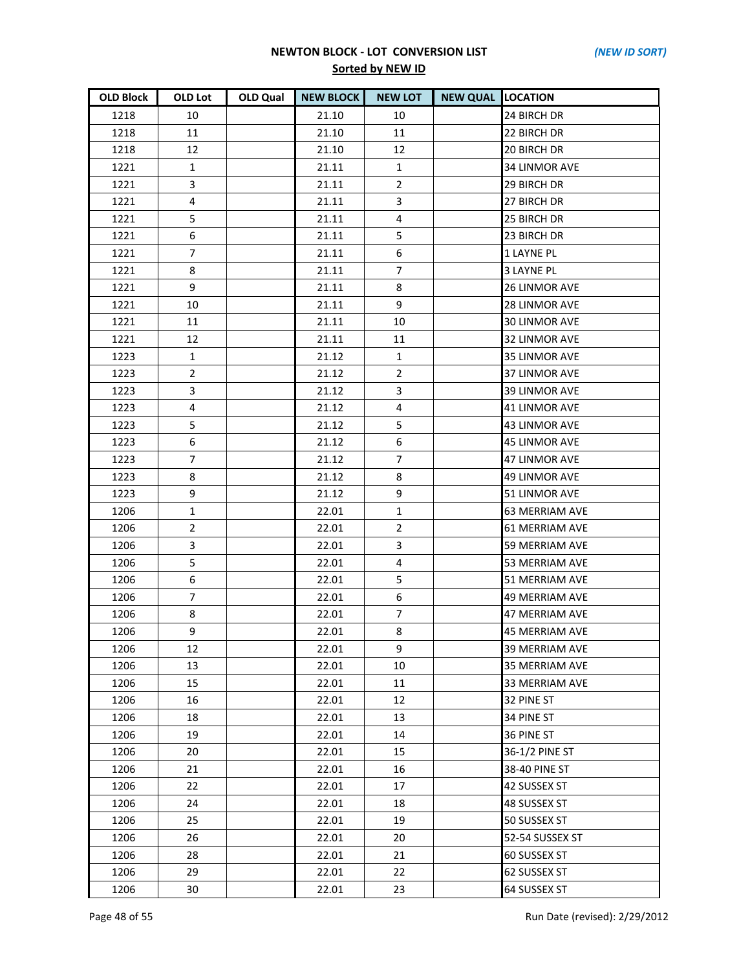| <b>OLD Block</b> | OLD Lot           | OLD Qual | <b>NEW BLOCK</b> | <b>NEW LOT</b> | <b>NEW QUAL LOCATION</b> |                       |
|------------------|-------------------|----------|------------------|----------------|--------------------------|-----------------------|
| 1218             | 10                |          | 21.10            | 10             |                          | 24 BIRCH DR           |
| 1218             | 11                |          | 21.10            | 11             |                          | 22 BIRCH DR           |
| 1218             | $12 \overline{ }$ |          | 21.10            | 12             |                          | 20 BIRCH DR           |
| 1221             | $\mathbf{1}$      |          | 21.11            | 1              |                          | 34 LINMOR AVE         |
| 1221             | 3                 |          | 21.11            | $\overline{2}$ |                          | 29 BIRCH DR           |
| 1221             | 4                 |          | 21.11            | 3              |                          | 27 BIRCH DR           |
| 1221             | 5                 |          | 21.11            | 4              |                          | 25 BIRCH DR           |
| 1221             | 6                 |          | 21.11            | 5              |                          | 23 BIRCH DR           |
| 1221             | $\overline{7}$    |          | 21.11            | 6              |                          | <b>1 LAYNE PL</b>     |
| 1221             | 8                 |          | 21.11            | $\overline{7}$ |                          | <b>3 LAYNE PL</b>     |
| 1221             | 9                 |          | 21.11            | 8              |                          | <b>26 LINMOR AVE</b>  |
| 1221             | 10                |          | 21.11            | 9              |                          | 28 LINMOR AVE         |
| 1221             | 11                |          | 21.11            | 10             |                          | 30 LINMOR AVE         |
| 1221             | 12                |          | 21.11            | 11             |                          | 32 LINMOR AVE         |
| 1223             | $\mathbf{1}$      |          | 21.12            | $\mathbf{1}$   |                          | 35 LINMOR AVE         |
| 1223             | $\overline{2}$    |          | 21.12            | $\overline{2}$ |                          | 37 LINMOR AVE         |
| 1223             | 3                 |          | 21.12            | 3              |                          | 39 LINMOR AVE         |
| 1223             | 4                 |          | 21.12            | 4              |                          | <b>41 LINMOR AVE</b>  |
| 1223             | 5                 |          | 21.12            | 5              |                          | 43 LINMOR AVE         |
| 1223             | 6                 |          | 21.12            | 6              |                          | 45 LINMOR AVE         |
| 1223             | $\overline{7}$    |          | 21.12            | $\overline{7}$ |                          | <b>47 LINMOR AVE</b>  |
| 1223             | 8                 |          | 21.12            | 8              |                          | 49 LINMOR AVE         |
| 1223             | 9                 |          | 21.12            | 9              |                          | 51 LINMOR AVE         |
| 1206             | $\mathbf{1}$      |          | 22.01            | 1              |                          | <b>63 MERRIAM AVE</b> |
| 1206             | $\overline{2}$    |          | 22.01            | $\overline{2}$ |                          | 61 MERRIAM AVE        |
| 1206             | 3                 |          | 22.01            | 3              |                          | 59 MERRIAM AVE        |
| 1206             | 5                 |          | 22.01            | $\overline{4}$ |                          | 53 MERRIAM AVE        |
| 1206             | 6                 |          | 22.01            | 5              |                          | 51 MERRIAM AVE        |
| 1206             | $\overline{7}$    |          | 22.01            | 6              |                          | 49 MERRIAM AVE        |
| 1206             | 8                 |          | 22.01            | 7              |                          | 47 MERRIAM AVE        |
| 1206             | 9                 |          | 22.01            | 8              |                          | <b>45 MERRIAM AVE</b> |
| 1206             | 12                |          | 22.01            | 9              |                          | 39 MERRIAM AVE        |
| 1206             | 13                |          | 22.01            | 10             |                          | 35 MERRIAM AVE        |
| 1206             | 15                |          | 22.01            | 11             |                          | 33 MERRIAM AVE        |
| 1206             | 16                |          | 22.01            | 12             |                          | 32 PINE ST            |
| 1206             | 18                |          | 22.01            | 13             |                          | 34 PINE ST            |
| 1206             | 19                |          | 22.01            | 14             |                          | 36 PINE ST            |
| 1206             | 20                |          | 22.01            | 15             |                          | 36-1/2 PINE ST        |
| 1206             | 21                |          | 22.01            | 16             |                          | 38-40 PINE ST         |
| 1206             | 22                |          | 22.01            | 17             |                          | 42 SUSSEX ST          |
| 1206             | 24                |          | 22.01            | 18             |                          | 48 SUSSEX ST          |
| 1206             | 25                |          | 22.01            | 19             |                          | 50 SUSSEX ST          |
| 1206             | 26                |          | 22.01            | 20             |                          | 52-54 SUSSEX ST       |
| 1206             | 28                |          | 22.01            | 21             |                          | 60 SUSSEX ST          |
| 1206             | 29                |          | 22.01            | 22             |                          | 62 SUSSEX ST          |
| 1206             | 30                |          | 22.01            | 23             |                          | 64 SUSSEX ST          |

Page 48 of 55 Run Date (revised): 2/29/2012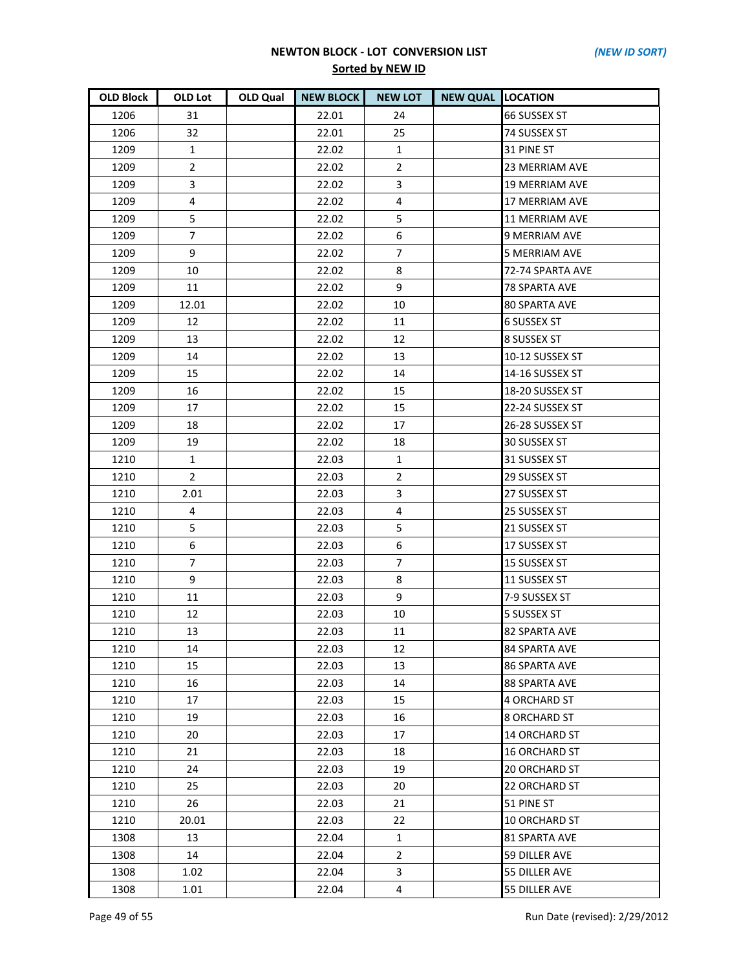| <b>OLD Block</b> | OLD Lot        | <b>OLD Qual</b> | <b>NEW BLOCK</b> | <b>NEW LOT</b> | <b>NEW QUAL LOCATION</b> |                       |
|------------------|----------------|-----------------|------------------|----------------|--------------------------|-----------------------|
| 1206             | 31             |                 | 22.01            | 24             |                          | <b>66 SUSSEX ST</b>   |
| 1206             | 32             |                 | 22.01            | 25             |                          | 74 SUSSEX ST          |
| 1209             | $\mathbf{1}$   |                 | 22.02            | $\mathbf{1}$   |                          | 31 PINE ST            |
| 1209             | $\overline{2}$ |                 | 22.02            | $\overline{2}$ |                          | <b>23 MERRIAM AVE</b> |
| 1209             | 3              |                 | 22.02            | 3              |                          | <b>19 MERRIAM AVE</b> |
| 1209             | 4              |                 | 22.02            | 4              |                          | 17 MERRIAM AVE        |
| 1209             | 5              |                 | 22.02            | 5              |                          | <b>11 MERRIAM AVE</b> |
| 1209             | $\overline{7}$ |                 | 22.02            | 6              |                          | <b>9 MERRIAM AVE</b>  |
| 1209             | 9              |                 | 22.02            | $\overline{7}$ |                          | <b>5 MERRIAM AVE</b>  |
| 1209             | 10             |                 | 22.02            | 8              |                          | 72-74 SPARTA AVE      |
| 1209             | 11             |                 | 22.02            | 9              |                          | 78 SPARTA AVE         |
| 1209             | 12.01          |                 | 22.02            | 10             |                          | <b>80 SPARTA AVE</b>  |
| 1209             | 12             |                 | 22.02            | 11             |                          | <b>6 SUSSEX ST</b>    |
| 1209             | 13             |                 | 22.02            | 12             |                          | 8 SUSSEX ST           |
| 1209             | 14             |                 | 22.02            | 13             |                          | 10-12 SUSSEX ST       |
| 1209             | 15             |                 | 22.02            | 14             |                          | 14-16 SUSSEX ST       |
| 1209             | 16             |                 | 22.02            | 15             |                          | 18-20 SUSSEX ST       |
| 1209             | 17             |                 | 22.02            | 15             |                          | 22-24 SUSSEX ST       |
| 1209             | 18             |                 | 22.02            | 17             |                          | 26-28 SUSSEX ST       |
| 1209             | 19             |                 | 22.02            | 18             |                          | 30 SUSSEX ST          |
| 1210             | $\mathbf{1}$   |                 | 22.03            | $\mathbf{1}$   |                          | 31 SUSSEX ST          |
| 1210             | $\overline{2}$ |                 | 22.03            | $\overline{2}$ |                          | 29 SUSSEX ST          |
| 1210             | 2.01           |                 | 22.03            | 3              |                          | 27 SUSSEX ST          |
| 1210             | 4              |                 | 22.03            | 4              |                          | 25 SUSSEX ST          |
| 1210             | 5              |                 | 22.03            | 5              |                          | 21 SUSSEX ST          |
| 1210             | 6              |                 | 22.03            | 6              |                          | 17 SUSSEX ST          |
| 1210             | 7              |                 | 22.03            | $\overline{7}$ |                          | 15 SUSSEX ST          |
| 1210             | 9              |                 | 22.03            | 8              |                          | 11 SUSSEX ST          |
| 1210             | 11             |                 | 22.03            | 9              |                          | 7-9 SUSSEX ST         |
| 1210             | 12             |                 | 22.03            | 10             |                          | 5 SUSSEX ST           |
| 1210             | 13             |                 | 22.03            | 11             |                          | <b>82 SPARTA AVE</b>  |
| 1210             | 14             |                 | 22.03            | 12             |                          | 84 SPARTA AVE         |
| 1210             | 15             |                 | 22.03            | 13             |                          | <b>86 SPARTA AVE</b>  |
| 1210             | 16             |                 | 22.03            | 14             |                          | 88 SPARTA AVE         |
| 1210             | 17             |                 | 22.03            | 15             |                          | <b>4 ORCHARD ST</b>   |
| 1210             | 19             |                 | 22.03            | 16             |                          | <b>8 ORCHARD ST</b>   |
| 1210             | 20             |                 | 22.03            | 17             |                          | <b>14 ORCHARD ST</b>  |
| 1210             | 21             |                 | 22.03            | 18             |                          | <b>16 ORCHARD ST</b>  |
| 1210             | 24             |                 | 22.03            | 19             |                          | <b>20 ORCHARD ST</b>  |
| 1210             | 25             |                 | 22.03            | 20             |                          | 22 ORCHARD ST         |
| 1210             | 26             |                 | 22.03            | 21             |                          | 51 PINE ST            |
| 1210             | 20.01          |                 | 22.03            | 22             |                          | <b>10 ORCHARD ST</b>  |
| 1308             | 13             |                 | 22.04            | $\mathbf{1}$   |                          | <b>81 SPARTA AVE</b>  |
| 1308             | 14             |                 | 22.04            | $\overline{2}$ |                          | 59 DILLER AVE         |
| 1308             | 1.02           |                 | 22.04            | 3              |                          | 55 DILLER AVE         |
| 1308             | 1.01           |                 | 22.04            | 4              |                          | 55 DILLER AVE         |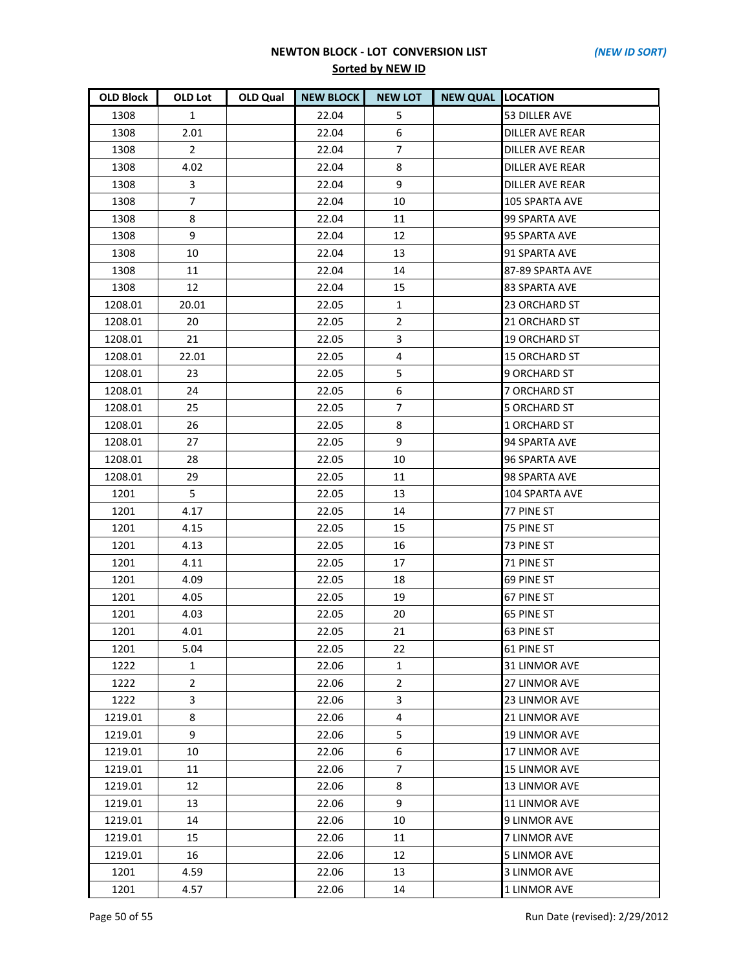| <b>OLD Block</b> | <b>OLD Lot</b> | <b>OLD Qual</b> | <b>NEW BLOCK</b> | <b>NEW LOT</b> | <b>NEW QUAL LOCATION</b> |                        |
|------------------|----------------|-----------------|------------------|----------------|--------------------------|------------------------|
| 1308             | $\mathbf{1}$   |                 | 22.04            | 5              |                          | 53 DILLER AVE          |
| 1308             | 2.01           |                 | 22.04            | 6              |                          | <b>DILLER AVE REAR</b> |
| 1308             | $\overline{2}$ |                 | 22.04            | $\overline{7}$ |                          | <b>DILLER AVE REAR</b> |
| 1308             | 4.02           |                 | 22.04            | 8              |                          | DILLER AVE REAR        |
| 1308             | 3              |                 | 22.04            | 9              |                          | <b>DILLER AVE REAR</b> |
| 1308             | $\overline{7}$ |                 | 22.04            | 10             |                          | 105 SPARTA AVE         |
| 1308             | 8              |                 | 22.04            | 11             |                          | 99 SPARTA AVE          |
| 1308             | 9              |                 | 22.04            | 12             |                          | 95 SPARTA AVE          |
| 1308             | 10             |                 | 22.04            | 13             |                          | 91 SPARTA AVE          |
| 1308             | 11             |                 | 22.04            | 14             |                          | 87-89 SPARTA AVE       |
| 1308             | 12             |                 | 22.04            | 15             |                          | 83 SPARTA AVE          |
| 1208.01          | 20.01          |                 | 22.05            | 1              |                          | 23 ORCHARD ST          |
| 1208.01          | 20             |                 | 22.05            | $\overline{2}$ |                          | 21 ORCHARD ST          |
| 1208.01          | 21             |                 | 22.05            | 3              |                          | <b>19 ORCHARD ST</b>   |
| 1208.01          | 22.01          |                 | 22.05            | 4              |                          | <b>15 ORCHARD ST</b>   |
| 1208.01          | 23             |                 | 22.05            | 5              |                          | 9 ORCHARD ST           |
| 1208.01          | 24             |                 | 22.05            | 6              |                          | 7 ORCHARD ST           |
| 1208.01          | 25             |                 | 22.05            | $\overline{7}$ |                          | <b>5 ORCHARD ST</b>    |
| 1208.01          | 26             |                 | 22.05            | 8              |                          | 1 ORCHARD ST           |
| 1208.01          | 27             |                 | 22.05            | 9              |                          | 94 SPARTA AVE          |
| 1208.01          | 28             |                 | 22.05            | 10             |                          | <b>96 SPARTA AVE</b>   |
| 1208.01          | 29             |                 | 22.05            | 11             |                          | 98 SPARTA AVE          |
| 1201             | 5              |                 | 22.05            | 13             |                          | 104 SPARTA AVE         |
| 1201             | 4.17           |                 | 22.05            | 14             |                          | 77 PINE ST             |
| 1201             | 4.15           |                 | 22.05            | 15             |                          | 75 PINE ST             |
| 1201             | 4.13           |                 | 22.05            | 16             |                          | 73 PINE ST             |
| 1201             | 4.11           |                 | 22.05            | 17             |                          | 71 PINE ST             |
| 1201             | 4.09           |                 | 22.05            | 18             |                          | 69 PINE ST             |
| 1201             | 4.05           |                 | 22.05            | 19             |                          | 67 PINE ST             |
| 1201             | 4.03           |                 | 22.05            | 20             |                          | 65 PINE ST             |
| 1201             | 4.01           |                 | 22.05            | 21             |                          | 63 PINE ST             |
| 1201             | 5.04           |                 | 22.05            | 22             |                          | 61 PINE ST             |
| 1222             | 1              |                 | 22.06            | 1              |                          | 31 LINMOR AVE          |
| 1222             | $\overline{2}$ |                 | 22.06            | $\overline{2}$ |                          | 27 LINMOR AVE          |
| 1222             | 3              |                 | 22.06            | 3              |                          | 23 LINMOR AVE          |
| 1219.01          | 8              |                 | 22.06            | 4              |                          | 21 LINMOR AVE          |
| 1219.01          | 9              |                 | 22.06            | 5              |                          | <b>19 LINMOR AVE</b>   |
| 1219.01          | 10             |                 | 22.06            | 6              |                          | 17 LINMOR AVE          |
| 1219.01          | 11             |                 | 22.06            | $\overline{7}$ |                          | <b>15 LINMOR AVE</b>   |
| 1219.01          | 12             |                 | 22.06            | 8              |                          | 13 LINMOR AVE          |
| 1219.01          | 13             |                 | 22.06            | 9              |                          | 11 LINMOR AVE          |
| 1219.01          | 14             |                 | 22.06            | 10             |                          | <b>9 LINMOR AVE</b>    |
| 1219.01          | 15             |                 | 22.06            | 11             |                          | 7 LINMOR AVE           |
| 1219.01          | 16             |                 | 22.06            | 12             |                          | <b>5 LINMOR AVE</b>    |
| 1201             | 4.59           |                 | 22.06            | 13             |                          | <b>3 LINMOR AVE</b>    |
| 1201             | 4.57           |                 | 22.06            | 14             |                          | 1 LINMOR AVE           |

Page 50 of 55 Run Date (revised): 2/29/2012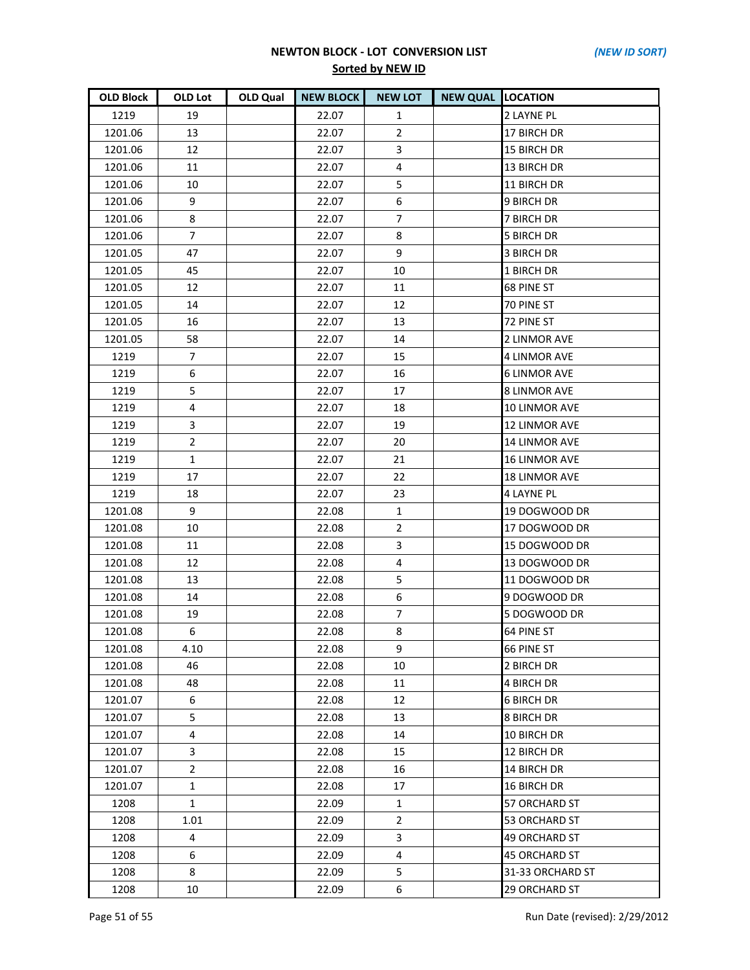| <b>OLD Block</b> | OLD Lot        | OLD Qual | <b>NEW BLOCK</b> | <b>NEW LOT</b> | <b>NEW QUAL LOCATION</b> |                      |
|------------------|----------------|----------|------------------|----------------|--------------------------|----------------------|
| 1219             | 19             |          | 22.07            | 1              |                          | 2 LAYNE PL           |
| 1201.06          | 13             |          | 22.07            | $\overline{2}$ |                          | 17 BIRCH DR          |
| 1201.06          | 12             |          | 22.07            | 3              |                          | 15 BIRCH DR          |
| 1201.06          | 11             |          | 22.07            | 4              |                          | 13 BIRCH DR          |
| 1201.06          | 10             |          | 22.07            | 5              |                          | 11 BIRCH DR          |
| 1201.06          | 9              |          | 22.07            | 6              |                          | 9 BIRCH DR           |
| 1201.06          | 8              |          | 22.07            | 7              |                          | 7 BIRCH DR           |
| 1201.06          | $\overline{7}$ |          | 22.07            | 8              |                          | <b>5 BIRCH DR</b>    |
| 1201.05          | 47             |          | 22.07            | 9              |                          | <b>3 BIRCH DR</b>    |
| 1201.05          | 45             |          | 22.07            | 10             |                          | 1 BIRCH DR           |
| 1201.05          | 12             |          | 22.07            | 11             |                          | 68 PINE ST           |
| 1201.05          | 14             |          | 22.07            | 12             |                          | 70 PINE ST           |
| 1201.05          | 16             |          | 22.07            | 13             |                          | 72 PINE ST           |
| 1201.05          | 58             |          | 22.07            | 14             |                          | 2 LINMOR AVE         |
| 1219             | $\overline{7}$ |          | 22.07            | 15             |                          | <b>4 LINMOR AVE</b>  |
| 1219             | 6              |          | 22.07            | 16             |                          | <b>6 LINMOR AVE</b>  |
| 1219             | 5              |          | 22.07            | 17             |                          | <b>8 LINMOR AVE</b>  |
| 1219             | 4              |          | 22.07            | 18             |                          | 10 LINMOR AVE        |
| 1219             | 3              |          | 22.07            | 19             |                          | <b>12 LINMOR AVE</b> |
| 1219             | $\overline{2}$ |          | 22.07            | 20             |                          | 14 LINMOR AVE        |
| 1219             | $\mathbf{1}$   |          | 22.07            | 21             |                          | <b>16 LINMOR AVE</b> |
| 1219             | 17             |          | 22.07            | 22             |                          | <b>18 LINMOR AVE</b> |
| 1219             | 18             |          | 22.07            | 23             |                          | <b>4 LAYNE PL</b>    |
| 1201.08          | 9              |          | 22.08            | 1              |                          | 19 DOGWOOD DR        |
| 1201.08          | 10             |          | 22.08            | $\overline{2}$ |                          | 17 DOGWOOD DR        |
| 1201.08          | 11             |          | 22.08            | 3              |                          | 15 DOGWOOD DR        |
| 1201.08          | 12             |          | 22.08            | 4              |                          | 13 DOGWOOD DR        |
| 1201.08          | 13             |          | 22.08            | 5              |                          | 11 DOGWOOD DR        |
| 1201.08          | 14             |          | 22.08            | 6              |                          | 9 DOGWOOD DR         |
| 1201.08          | 19             |          | 22.08            | $\overline{7}$ |                          | 5 DOGWOOD DR         |
| 1201.08          | 6              |          | 22.08            | 8              |                          | 64 PINE ST           |
| 1201.08          | 4.10           |          | 22.08            | 9              |                          | 66 PINE ST           |
| 1201.08          | 46             |          | 22.08            | 10             |                          | 2 BIRCH DR           |
| 1201.08          | 48             |          | 22.08            | 11             |                          | <b>4 BIRCH DR</b>    |
| 1201.07          | 6              |          | 22.08            | 12             |                          | <b>6 BIRCH DR</b>    |
| 1201.07          | 5              |          | 22.08            | 13             |                          | <b>8 BIRCH DR</b>    |
| 1201.07          | 4              |          | 22.08            | 14             |                          | 10 BIRCH DR          |
| 1201.07          | 3              |          | 22.08            | 15             |                          | 12 BIRCH DR          |
| 1201.07          | $\overline{2}$ |          | 22.08            | 16             |                          | 14 BIRCH DR          |
| 1201.07          | $\mathbf{1}$   |          | 22.08            | 17             |                          | 16 BIRCH DR          |
| 1208             | $\mathbf{1}$   |          | 22.09            | $\mathbf{1}$   |                          | 57 ORCHARD ST        |
| 1208             | 1.01           |          | 22.09            | $\overline{2}$ |                          | <b>53 ORCHARD ST</b> |
| 1208             | 4              |          | 22.09            | 3              |                          | <b>49 ORCHARD ST</b> |
| 1208             | 6              |          | 22.09            | 4              |                          | <b>45 ORCHARD ST</b> |
| 1208             | 8              |          | 22.09            | 5.             |                          | 31-33 ORCHARD ST     |
| 1208             | 10             |          | 22.09            | 6              |                          | 29 ORCHARD ST        |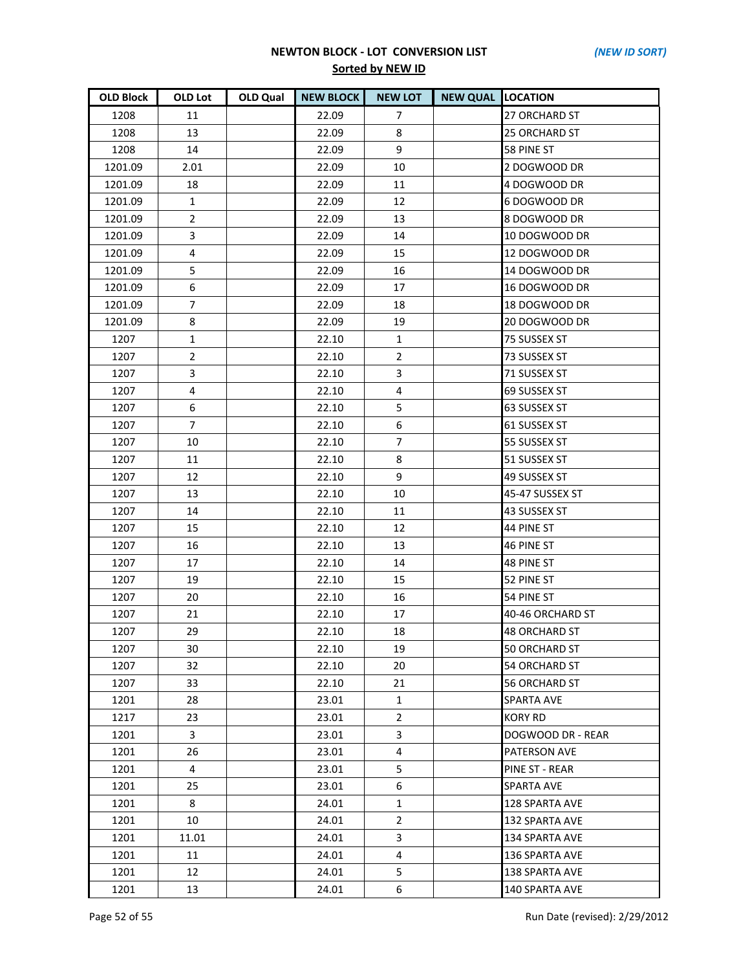| <b>OLD Block</b> | OLD Lot        | <b>OLD Qual</b> | <b>NEW BLOCK</b> | <b>NEW LOT</b> | <b>NEW QUAL LOCATION</b> |                      |
|------------------|----------------|-----------------|------------------|----------------|--------------------------|----------------------|
| 1208             | 11             |                 | 22.09            | $\overline{7}$ |                          | 27 ORCHARD ST        |
| 1208             | 13             |                 | 22.09            | 8              |                          | <b>25 ORCHARD ST</b> |
| 1208             | 14             |                 | 22.09            | 9              |                          | 58 PINE ST           |
| 1201.09          | 2.01           |                 | 22.09            | 10             |                          | 2 DOGWOOD DR         |
| 1201.09          | 18             |                 | 22.09            | 11             |                          | 4 DOGWOOD DR         |
| 1201.09          | $\mathbf{1}$   |                 | 22.09            | 12             |                          | 6 DOGWOOD DR         |
| 1201.09          | $\overline{2}$ |                 | 22.09            | 13             |                          | 8 DOGWOOD DR         |
| 1201.09          | 3              |                 | 22.09            | 14             |                          | 10 DOGWOOD DR        |
| 1201.09          | $\overline{4}$ |                 | 22.09            | 15             |                          | 12 DOGWOOD DR        |
| 1201.09          | 5              |                 | 22.09            | 16             |                          | 14 DOGWOOD DR        |
| 1201.09          | 6              |                 | 22.09            | 17             |                          | 16 DOGWOOD DR        |
| 1201.09          | $\overline{7}$ |                 | 22.09            | 18             |                          | 18 DOGWOOD DR        |
| 1201.09          | 8              |                 | 22.09            | 19             |                          | 20 DOGWOOD DR        |
| 1207             | $\mathbf{1}$   |                 | 22.10            | 1              |                          | 75 SUSSEX ST         |
| 1207             | $\overline{2}$ |                 | 22.10            | $\overline{2}$ |                          | 73 SUSSEX ST         |
| 1207             | 3              |                 | 22.10            | 3              |                          | 71 SUSSEX ST         |
| 1207             | $\overline{4}$ |                 | 22.10            | 4              |                          | 69 SUSSEX ST         |
| 1207             | 6              |                 | 22.10            | 5              |                          | 63 SUSSEX ST         |
| 1207             | $\overline{7}$ |                 | 22.10            | 6              |                          | 61 SUSSEX ST         |
| 1207             | 10             |                 | 22.10            | $\overline{7}$ |                          | 55 SUSSEX ST         |
| 1207             | 11             |                 | 22.10            | 8              |                          | 51 SUSSEX ST         |
| 1207             | 12             |                 | 22.10            | 9              |                          | 49 SUSSEX ST         |
| 1207             | 13             |                 | 22.10            | 10             |                          | 45-47 SUSSEX ST      |
| 1207             | 14             |                 | 22.10            | 11             |                          | 43 SUSSEX ST         |
| 1207             | 15             |                 | 22.10            | 12             |                          | 44 PINE ST           |
| 1207             | 16             |                 | 22.10            | 13             |                          | 46 PINE ST           |
| 1207             | 17             |                 | 22.10            | 14             |                          | 48 PINE ST           |
| 1207             | 19             |                 | 22.10            | 15             |                          | 52 PINE ST           |
| 1207             | 20             |                 | 22.10            | 16             |                          | 54 PINE ST           |
| 1207             | 21             |                 | 22.10            | 17             |                          | 40-46 ORCHARD ST     |
| 1207             | 29             |                 | 22.10            | 18             |                          | 48 ORCHARD ST        |
| 1207             | 30             |                 | 22.10            | 19             |                          | 50 ORCHARD ST        |
| 1207             | 32             |                 | 22.10            | 20             |                          | 54 ORCHARD ST        |
| 1207             | 33             |                 | 22.10            | 21             |                          | 56 ORCHARD ST        |
| 1201             | 28             |                 | 23.01            | $\mathbf{1}$   |                          | <b>SPARTA AVE</b>    |
| 1217             | 23             |                 | 23.01            | $\overline{2}$ |                          | <b>KORY RD</b>       |
| 1201             | 3              |                 | 23.01            | 3              |                          | DOGWOOD DR - REAR    |
| 1201             | 26             |                 | 23.01            | 4              |                          | PATERSON AVE         |
| 1201             | 4              |                 | 23.01            | 5              |                          | PINE ST - REAR       |
| 1201             | 25             |                 | 23.01            | 6              |                          | <b>SPARTA AVE</b>    |
| 1201             | 8              |                 | 24.01            | $\mathbf{1}$   |                          | 128 SPARTA AVE       |
| 1201             | 10             |                 | 24.01            | $\overline{2}$ |                          | 132 SPARTA AVE       |
| 1201             | 11.01          |                 | 24.01            | 3              |                          | 134 SPARTA AVE       |
| 1201             | 11             |                 | 24.01            | 4              |                          | 136 SPARTA AVE       |
| 1201             | 12             |                 | 24.01            | 5              |                          | 138 SPARTA AVE       |
| 1201             | 13             |                 | 24.01            | 6              |                          | 140 SPARTA AVE       |

Page 52 of 55 Run Date (revised): 2/29/2012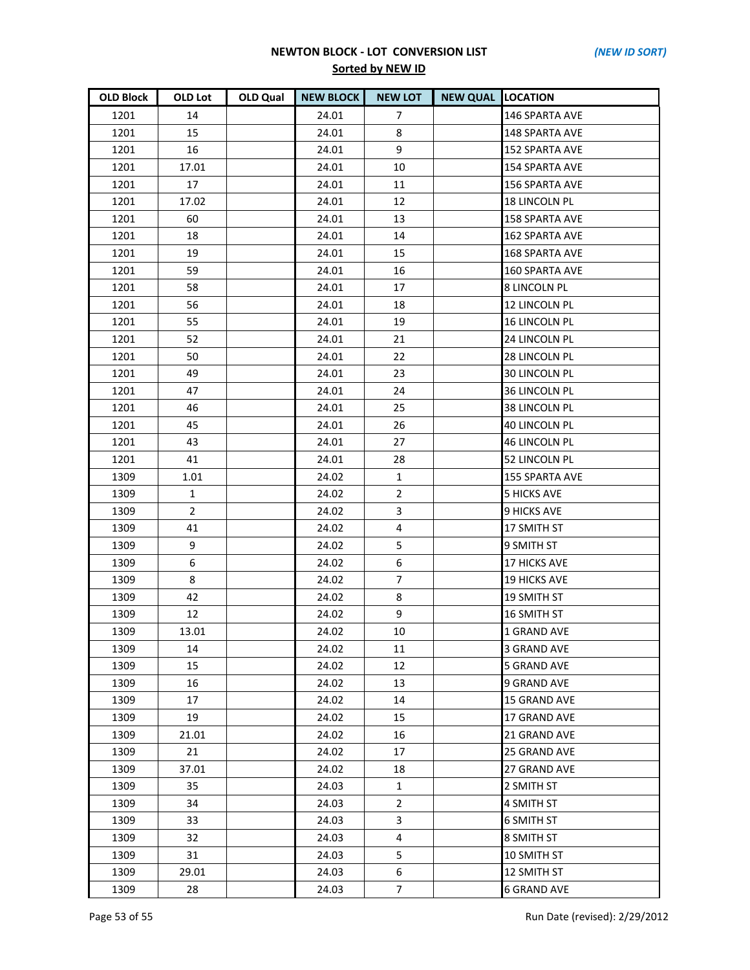| <b>OLD Block</b> | <b>OLD Lot</b> | OLD Qual | <b>NEW BLOCK</b> | <b>NEW LOT</b> | <b>NEW QUAL LOCATION</b> |                       |
|------------------|----------------|----------|------------------|----------------|--------------------------|-----------------------|
| 1201             | 14             |          | 24.01            | 7              |                          | 146 SPARTA AVE        |
| 1201             | 15             |          | 24.01            | 8              |                          | 148 SPARTA AVE        |
| 1201             | 16             |          | 24.01            | 9              |                          | <b>152 SPARTA AVE</b> |
| 1201             | 17.01          |          | 24.01            | 10             |                          | 154 SPARTA AVE        |
| 1201             | 17             |          | 24.01            | 11             |                          | 156 SPARTA AVE        |
| 1201             | 17.02          |          | 24.01            | 12             |                          | <b>18 LINCOLN PL</b>  |
| 1201             | 60             |          | 24.01            | 13             |                          | 158 SPARTA AVE        |
| 1201             | 18             |          | 24.01            | 14             |                          | 162 SPARTA AVE        |
| 1201             | 19             |          | 24.01            | 15             |                          | 168 SPARTA AVE        |
| 1201             | 59             |          | 24.01            | 16             |                          | 160 SPARTA AVE        |
| 1201             | 58             |          | 24.01            | 17             |                          | <b>8 LINCOLN PL</b>   |
| 1201             | 56             |          | 24.01            | 18             |                          | 12 LINCOLN PL         |
| 1201             | 55             |          | 24.01            | 19             |                          | 16 LINCOLN PL         |
| 1201             | 52             |          | 24.01            | 21             |                          | 24 LINCOLN PL         |
| 1201             | 50             |          | 24.01            | 22             |                          | 28 LINCOLN PL         |
| 1201             | 49             |          | 24.01            | 23             |                          | <b>30 LINCOLN PL</b>  |
| 1201             | 47             |          | 24.01            | 24             |                          | 36 LINCOLN PL         |
| 1201             | 46             |          | 24.01            | 25             |                          | 38 LINCOLN PL         |
| 1201             | 45             |          | 24.01            | 26             |                          | <b>40 LINCOLN PL</b>  |
| 1201             | 43             |          | 24.01            | 27             |                          | <b>46 LINCOLN PL</b>  |
| 1201             | 41             |          | 24.01            | 28             |                          | 52 LINCOLN PL         |
| 1309             | 1.01           |          | 24.02            | $\mathbf{1}$   |                          | 155 SPARTA AVE        |
| 1309             | 1              |          | 24.02            | $\overline{2}$ |                          | <b>5 HICKS AVE</b>    |
| 1309             | $2^{\circ}$    |          | 24.02            | 3              |                          | <b>9 HICKS AVE</b>    |
| 1309             | 41             |          | 24.02            | 4              |                          | 17 SMITH ST           |
| 1309             | 9              |          | 24.02            | 5              |                          | 9 SMITH ST            |
| 1309             | 6              |          | 24.02            | 6              |                          | <b>17 HICKS AVE</b>   |
| 1309             | 8              |          | 24.02            | $\overline{7}$ |                          | <b>19 HICKS AVE</b>   |
| 1309             | 42             |          | 24.02            | 8              |                          | 19 SMITH ST           |
| 1309             | 12             |          | 24.02            | 9              |                          | 16 SMITH ST           |
| 1309             | 13.01          |          | 24.02            | 10             |                          | <b>1 GRAND AVE</b>    |
| 1309             | 14             |          | 24.02            | 11             |                          | 3 GRAND AVE           |
| 1309             | 15             |          | 24.02            | 12             |                          | <b>5 GRAND AVE</b>    |
| 1309             | 16             |          | 24.02            | 13             |                          | 9 GRAND AVE           |
| 1309             | 17             |          | 24.02            | 14             |                          | <b>15 GRAND AVE</b>   |
| 1309             | 19             |          | 24.02            | 15             |                          | 17 GRAND AVE          |
| 1309             | 21.01          |          | 24.02            | 16             |                          | 21 GRAND AVE          |
| 1309             | 21             |          | 24.02            | 17             |                          | 25 GRAND AVE          |
| 1309             | 37.01          |          | 24.02            | 18             |                          | 27 GRAND AVE          |
| 1309             | 35             |          | 24.03            | $\mathbf{1}$   |                          | 2 SMITH ST            |
| 1309             | 34             |          | 24.03            | $\overline{2}$ |                          | 4 SMITH ST            |
| 1309             | 33             |          | 24.03            | 3              |                          | <b>6 SMITH ST</b>     |
| 1309             | 32             |          | 24.03            | 4              |                          | 8 SMITH ST            |
| 1309             | 31             |          | 24.03            | 5              |                          | 10 SMITH ST           |
| 1309             | 29.01          |          | 24.03            | 6              |                          | 12 SMITH ST           |
| 1309             | 28             |          | 24.03            | $\overline{7}$ |                          | <b>6 GRAND AVE</b>    |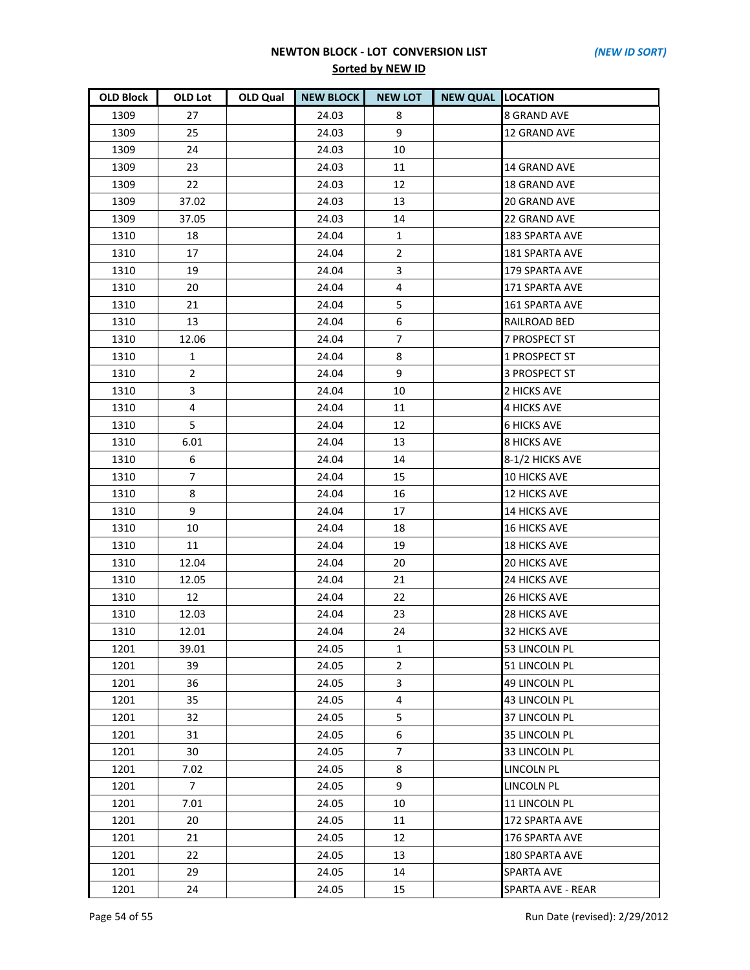| <b>OLD Block</b> | <b>OLD Lot</b> | OLD Qual | <b>NEW BLOCK</b> | <b>NEW LOT</b> | <b>NEW QUAL LOCATION</b> |                          |
|------------------|----------------|----------|------------------|----------------|--------------------------|--------------------------|
| 1309             | 27             |          | 24.03            | 8              |                          | <b>8 GRAND AVE</b>       |
| 1309             | 25             |          | 24.03            | 9              |                          | 12 GRAND AVE             |
| 1309             | 24             |          | 24.03            | 10             |                          |                          |
| 1309             | 23             |          | 24.03            | 11             |                          | 14 GRAND AVE             |
| 1309             | 22             |          | 24.03            | 12             |                          | <b>18 GRAND AVE</b>      |
| 1309             | 37.02          |          | 24.03            | 13             |                          | 20 GRAND AVE             |
| 1309             | 37.05          |          | 24.03            | 14             |                          | 22 GRAND AVE             |
| 1310             | 18             |          | 24.04            | $\mathbf{1}$   |                          | 183 SPARTA AVE           |
| 1310             | 17             |          | 24.04            | $\overline{2}$ |                          | 181 SPARTA AVE           |
| 1310             | 19             |          | 24.04            | 3              |                          | 179 SPARTA AVE           |
| 1310             | 20             |          | 24.04            | 4              |                          | 171 SPARTA AVE           |
| 1310             | 21             |          | 24.04            | 5              |                          | 161 SPARTA AVE           |
| 1310             | 13             |          | 24.04            | 6              |                          | RAILROAD BED             |
| 1310             | 12.06          |          | 24.04            | $\overline{7}$ |                          | 7 PROSPECT ST            |
| 1310             | $\mathbf{1}$   |          | 24.04            | 8              |                          | 1 PROSPECT ST            |
| 1310             | $\overline{a}$ |          | 24.04            | 9              |                          | 3 PROSPECT ST            |
| 1310             | 3              |          | 24.04            | 10             |                          | 2 HICKS AVE              |
| 1310             | 4              |          | 24.04            | 11             |                          | <b>4 HICKS AVE</b>       |
| 1310             | 5              |          | 24.04            | 12             |                          | <b>6 HICKS AVE</b>       |
| 1310             | 6.01           |          | 24.04            | 13             |                          | <b>8 HICKS AVE</b>       |
| 1310             | 6              |          | 24.04            | 14             |                          | 8-1/2 HICKS AVE          |
| 1310             | $\overline{7}$ |          | 24.04            | 15             |                          | 10 HICKS AVE             |
| 1310             | 8              |          | 24.04            | 16             |                          | <b>12 HICKS AVE</b>      |
| 1310             | 9              |          | 24.04            | 17             |                          | <b>14 HICKS AVE</b>      |
| 1310             | 10             |          | 24.04            | 18             |                          | <b>16 HICKS AVE</b>      |
| 1310             | 11             |          | 24.04            | 19             |                          | <b>18 HICKS AVE</b>      |
| 1310             | 12.04          |          | 24.04            | 20             |                          | <b>20 HICKS AVE</b>      |
| 1310             | 12.05          |          | 24.04            | 21             |                          | <b>24 HICKS AVE</b>      |
| 1310             | 12             |          | 24.04            | 22             |                          | <b>26 HICKS AVE</b>      |
| 1310             | 12.03          |          | 24.04            | 23             |                          | <b>28 HICKS AVE</b>      |
| 1310             | 12.01          |          | 24.04            | 24             |                          | 32 HICKS AVE             |
| 1201             | 39.01          |          | 24.05            | 1              |                          | 53 LINCOLN PL            |
| 1201             | 39             |          | 24.05            | $\overline{2}$ |                          | 51 LINCOLN PL            |
| 1201             | 36             |          | 24.05            | 3              |                          | 49 LINCOLN PL            |
| 1201             | 35             |          | 24.05            | 4              |                          | <b>43 LINCOLN PL</b>     |
| 1201             | 32             |          | 24.05            | 5              |                          | 37 LINCOLN PL            |
| 1201             | 31             |          | 24.05            | 6              |                          | 35 LINCOLN PL            |
| 1201             | 30             |          | 24.05            | $\overline{7}$ |                          | 33 LINCOLN PL            |
| 1201             | 7.02           |          | 24.05            | 8              |                          | <b>LINCOLN PL</b>        |
| 1201             | 7              |          | 24.05            | 9              |                          | <b>LINCOLN PL</b>        |
| 1201             | 7.01           |          | 24.05            | 10             |                          | 11 LINCOLN PL            |
| 1201             | 20             |          | 24.05            | 11             |                          | 172 SPARTA AVE           |
| 1201             | 21             |          | 24.05            | 12             |                          | 176 SPARTA AVE           |
| 1201             | 22             |          | 24.05            | 13             |                          | 180 SPARTA AVE           |
| 1201             | 29             |          | 24.05            | 14             |                          | <b>SPARTA AVE</b>        |
| 1201             | 24             |          | 24.05            | 15             |                          | <b>SPARTA AVE - REAR</b> |

Page 54 of 55 Run Date (revised): 2/29/2012